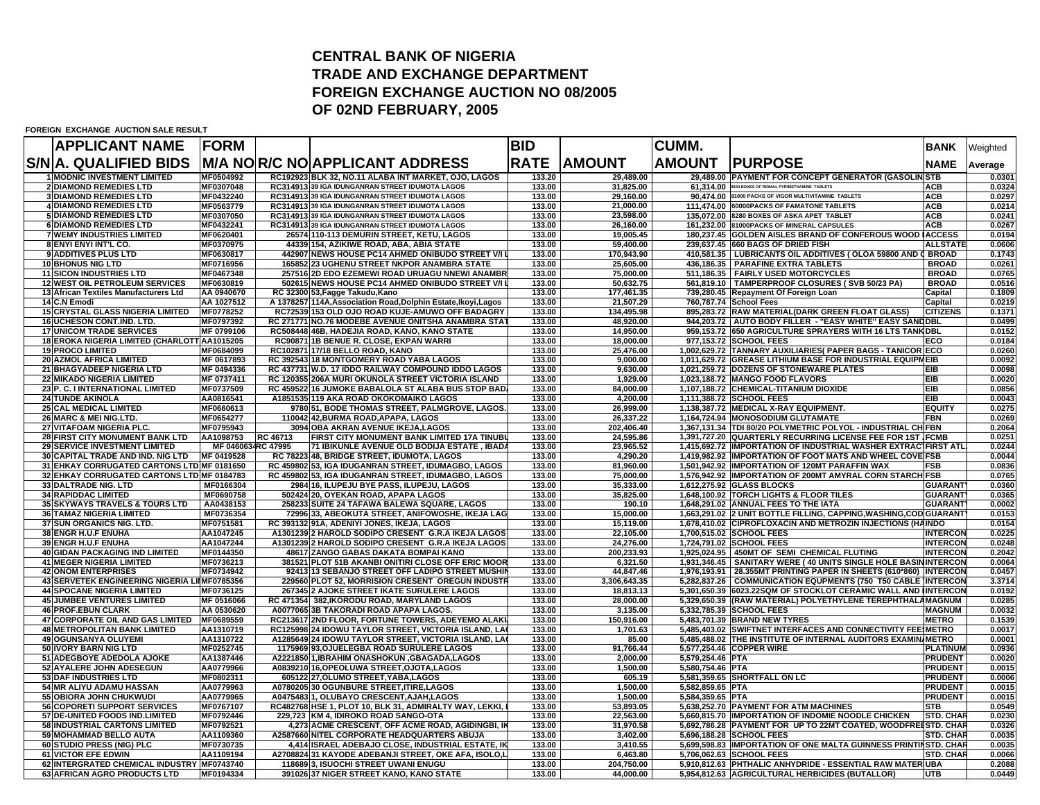## **CENTRAL BANK OF NIGERIATRADE AND EXCHANGE DEPARTMENTFOREIGN EXCHANGE AUCTION NO 08/2005 OF 02ND FEBRUARY, 2005**

**FOREIGN EXCHANGE AUCTION SALE RESULT**

| <b>APPLICANT NAME</b>                                          | <b>FORM</b>              |          |                                                                                                    | <b>BID</b>       |                         | <b>CUMM.</b>     |                                                                                                                           | <b>BANK</b>                        | Weighted         |
|----------------------------------------------------------------|--------------------------|----------|----------------------------------------------------------------------------------------------------|------------------|-------------------------|------------------|---------------------------------------------------------------------------------------------------------------------------|------------------------------------|------------------|
| S/N A. QUALIFIED BIDS                                          |                          |          | <b>M/A NOR/C NO APPLICANT ADDRESS</b>                                                              | <b>RATE</b>      | <b>AMOUNT</b>           | <b>AMOUNT</b>    | <b>PURPOSE</b>                                                                                                            | <b>NAME</b>                        | Average          |
| <b>1 MODNIC INVESTMENT LIMITED</b>                             | MF0504992                |          | RC192923 BLK 32, NO.11 ALABA INT MARKET, OJO, LAGOS                                                | 133.20           | 29.489.00               |                  | 29,489.00 PAYMENT FOR CONCEPT GENERATOR (GASOLIN STB                                                                      |                                    | 0.0301           |
| <b>2 DIAMOND REMEDIES LTD</b>                                  | MF0307048                |          | RC314913 39 IGA IDUNGANRAN STREET IDUMOTA LAGOS                                                    | 133.00           | 31,825.00               | 61,314.00        | 9500 BOXES OF RIDMAL PYRIMETHAMINE TABLETS                                                                                | <b>ACB</b>                         | 0.0324           |
| <b>3 DIAMOND REMEDIES LTD</b>                                  | MF0432240                |          | RC314913 39 IGA IDUNGANRAN STREET IDUMOTA LAGOS                                                    | 133.00           | 29.160.00               |                  | 90.474.00 81000 PACKS OF VIGOR MULTIVITAMINE TABLETS                                                                      | <b>ACB</b>                         | 0.0297           |
| <b>4 DIAMOND REMEDIES LTD</b><br><b>5 DIAMOND REMEDIES LTD</b> | MF0563779<br>MF0307050   |          | RC314913 39 IGA IDUNGANRAN STREET IDUMOTA LAGOS<br>RC314913 39 IGA IDUNGANRAN STREET IDUMOTA LAGOS | 133.00<br>133.00 | 21,000.00<br>23,598.00  |                  | 111,474.00 60000PACKS OF FAMATONE TABLETS<br>135.072.00 8280 BOXES OF ASKA APET TABLET                                    | <b>ACB</b><br><b>ACB</b>           | 0.0214<br>0.0241 |
| <b>6 DIAMOND REMEDIES LTD</b>                                  | MF0432241                |          | RC314913 39 IGA IDUNGANRAN STREET IDUMOTA LAGOS                                                    | 133.00           | 26,160.00               |                  | 161,232.00 81000PACKS OF MINERAL CAPSULES                                                                                 | <b>ACB</b>                         | 0.0267           |
| <b>7 WEMY INDUSTRIES LIMITED</b>                               | MF0620401                |          | 26574 110-113 DEMURIN STREET, KETU, LAGOS                                                          | 133.00           | 19,005.45               |                  | 180,237.45 GOLDEN AISLES BRAND OF CONFEROUS WOOD LACCESS                                                                  |                                    | 0.0194           |
| 8 ENYI ENYI INT'L CO.                                          | MF0370975                |          | 44339 154, AZIKIWE ROAD, ABA, ABIA STATE                                                           | 133.00           | 59,400.00               |                  | 239,637.45 660 BAGS OF DRIED FISH                                                                                         | ALLSTATE                           | 0.0606           |
| 9 ADDITIVES PLUS LTD                                           | MF0630817                |          | 442907 NEWS HOUSE PC14 AHMED ONIBUDO STREET V/I L                                                  | 133.00           | 170,943.90              |                  | 410,581.35   LUBRICANTS OIL ADDITIVES ( OLOA 59800 AND ( BROAD                                                            |                                    | 0.1743           |
| <b>10 BHONUS NIG LTD</b>                                       | MF0716956                |          | 165852 23 UGHENU STREET NKPOR ANAMBRA STATE                                                        | 133.00           | 25,605.00               |                  | 436,186.35 PARAFINE EXTRA TABLETS                                                                                         | <b>BROAD</b>                       | 0.0261           |
| <b>11 SICON INDUSTRIES LTD</b>                                 | MF0467348                |          | 257516 2D EDO EZEMEWI ROAD URUAGU NNEWI ANAMBR                                                     | 133.00           | 75.000.00               |                  | 511.186.35   FAIRLY USED MOTORCYCLES                                                                                      | <b>BROAD</b>                       | 0.0765           |
| 12 WEST OIL PETROLEUM SERVICES                                 | MF0630819                |          | 502615 NEWS HOUSE PC14 AHMED ONIBUDO STREET V/I L                                                  | 133.00           | 50,632.75               |                  | 561,819.10   TAMPERPROOF CLOSURES (SVB 50/23 PA)                                                                          | <b>BROAD</b>                       | 0.0516           |
| 13 African Textiles Manufacturers Ltd<br>14 C.N Emodi          | AA 0940670<br>AA 1027512 |          | RC 32300 53, Fagge Takudu, Kano<br>A 1378257 114A, Association Road, Dolphin Estate, Ikoyi, Lagos  | 133.00<br>133.00 | 177.461.35<br>21,507.29 |                  | 739,280.45 Repayment Of Foreign Loan<br>760,787.74 School Fees                                                            | Capital<br>Capital                 | 0.1809<br>0.0219 |
| <b>15 CRYSTAL GLASS NIGERIA LIMITED</b>                        | MF0778252                |          | RC72539 153 OLD OJO ROAD KUJE-AMUWO OFF BADAGRY                                                    | 133.00           | 134.495.98              |                  | 895,283.72 RAW MATERIAL(DARK GREEN FLOAT GLASS)                                                                           | <b>CITIZENS</b>                    | 0.1371           |
| 16 UCHESON CONT.IND. LTD.                                      | MF0797392                |          | RC 271771 NO.76 MODEBE AVENUE ONITSHA ANAMBRA STA                                                  | 133.00           | 48,920.00               |                  | 944,203.72   AUTO BODY FILLER - "EASY WHITE" EASY SANDDBL                                                                 |                                    | 0.0499           |
| <b>17 UNICOM TRADE SERVICES</b>                                | MF 0799106               |          | RC508448 46B, HADEJIA ROAD, KANO, KANO STATE                                                       | 133.00           | 14.950.00               |                  | 959.153.72 650 AGRICULTURE SPRAYERS WITH 16 LTS TANKIDBL                                                                  |                                    | 0.0152           |
| 18 EROKA NIGERIA LIMITED (CHARLOTT AA1015205                   |                          |          | RC90871 1B BENUE R. CLOSE, EKPAN WARRI                                                             | 133.00           | 18,000.00               |                  | 977,153.72 SCHOOL FEES                                                                                                    | ECO                                | 0.0184           |
| <b>19 PROCO LIMITED</b>                                        | MF0684099                |          | RC102871 17/18 BELLO ROAD, KANO                                                                    | 133.00           | 25,476.00               |                  | 1,002,629.72 TANNARY AUXILIARIES( PAPER BAGS - TANICOR ECO                                                                |                                    | 0.0260           |
| <b>20 AZMOL AFRICA LIMITED</b>                                 | MF 0617893               |          | RC 392543 18 MONTGOMERY ROAD YABA LAGOS                                                            | 133.00           | 9.000.00                |                  | 1,011,629.72 GREASE LITHIUM BASE FOR INDUSTRIAL EQUIPMEIB                                                                 |                                    | 0.0092           |
| 21 BHAGYADEEP NIGERIA LTD                                      | MF 0494336               |          | RC 437731 W.D. 17 IDDO RAILWAY COMPOUND IDDO LAGOS                                                 | 133.00           | 9,630.00                |                  | 1,021,259.72 DOZENS OF STONEWARE PLATES                                                                                   | <b>EIB</b>                         | 0.0098           |
| <b>22 MIKADO NIGERIA LIMITED</b>                               | MF 0737411               |          | RC 120355 206A MURI OKUNOLA STREET VICTORIA ISLAND                                                 | 133.00           | 1,929.00                |                  | 1,023,188.72 MANGO FOOD FLAVORS                                                                                           | EIB                                | 0.0020           |
| 23 P. C. I INTERNATIONAL LIMITED                               | MF0737509                |          | RC 459522 16 JUMOKE BABALOLA ST ALABA BUS STOP BAD                                                 | 133.00           | 84,000.00               |                  | 1,107,188.72 CHEMICAL-TITANIUM DIOXIDE                                                                                    | <b>EIB</b>                         | 0.0856           |
| <b>24 TUNDE AKINOLA</b>                                        | AA0816541                |          | A1851535 119 AKA ROAD OKOKOMAIKO LAGOS                                                             | 133.00           | 4,200.00                |                  | 1,111,388.72 SCHOOL FEES                                                                                                  | <b>EIB</b>                         | 0.0043           |
| <b>25 CAL MEDICAL LIMITED</b>                                  | MF0660613                |          | 9780 51, BODE THOMAS STREET, PALMGROVE, LAGOS                                                      | 133.00           | 26.999.00               |                  | 1,138,387.72 MEDICAL X-RAY EQUIPMENT.                                                                                     | <b>EQUIT)</b>                      | 0.0275           |
| 26 MARC & MEI NIG.LTD.<br>27 VITAFOAM NIGERIA PLC.             | MF0654277<br>MF0795943   |          | 110042 42, BURMA ROAD, APAPA, LAGOS                                                                | 133.00<br>133.00 | 26,337.22               |                  | 1,164,724.94 MONOSODIUM GLUTAMATE                                                                                         | <b>FBN</b>                         | 0.0269<br>0.2064 |
| 28 FIRST CITY MONUMENT BANK LTD                                | AA1098753                | RC 46713 | 3094 OBA AKRAN AVENUE IKEJA,LAGOS<br>FIRST CITY MONUMENT BANK LIMITED 17A TINUBI                   | 133.00           | 202,406.40<br>24,595.86 |                  | 1,367,131.34 TDI 80/20 POLYMETRIC POLYOL - INDUSTRIAL CH FBN<br>1,391,727.20 QUARTERLY RECURRING LICENSE FEE FOR 1ST FCMB |                                    | 0.0251           |
| <b>29 SERVICE INVESTMENT LIMITED</b>                           | MF 0460634RC 47995       |          | 71 IBIKUNLE AVENUE OLD BODIJA ESTATE, IBAD/                                                        | 133.00           | 23,965.52               |                  | 1,415,692.72 IIMPORTATION OF INDUSTRIAL WASHER EXTRACTFIRST ATL                                                           |                                    | 0.0244           |
| 30 CAPITAL TRADE AND IND. NIG LTD                              | MF 0419528               |          | RC 78223 48, BRIDGE STREET, IDUMOTA, LAGOS                                                         | 133.00           | 4,290.20                |                  | 1,419,982.92 IMPORTATION OF FOOT MATS AND WHEEL COVE FSB                                                                  |                                    | 0.0044           |
| 31 EHKAY CORRUGATED CARTONS LTD MF 0181650                     |                          |          | RC 459802 53, IGA IDUGANRAN STREET, IDUMAGBO, LAGOS                                                | 133.00           | 81,960.00               |                  | 1,501,942.92 IMPORTATION OF 120MT PARAFFIN WAX                                                                            | <b>FSB</b>                         | 0.0836           |
| 32 EHKAY CORRUGATED CARTONS LTD MF 0184783                     |                          |          | RC 459802 53, IGA IDUGANRAN STREET, IDUMAGBO, LAGOS                                                | 133.00           | 75,000.00               |                  | 1.576.942.92 IMPORTATION OF 200MT AMYRAL CORN STARCHIFSB                                                                  |                                    | 0.0765           |
| 33 DALTRADE NIG. LTD                                           | MF0166304                |          | 2984 16, ILUPEJU BYE PASS, ILUPEJU, LAGOS                                                          | 133.00           | 35,333.00               |                  | 1,612,275.92 GLASS BLOCKS                                                                                                 | <b>GUARANT</b>                     | 0.0360           |
| <b>34 RAPIDDAC LIMITED</b>                                     | MF0690758                |          | 502424 20, OYEKAN ROAD, APAPA LAGOS                                                                | 133.00           | 35,825.00               |                  | 1,648,100.92 TORCH LIGHTS & FLOOR TILES                                                                                   | <b>GUARANT</b>                     | 0.0365           |
| 35 SKYWAYS TRAVELS & TOURS LTD                                 | AA0438153                |          | 258233 SUITE 24 TAFAWA BALEWA SQUARE, LAGOS                                                        | 133.00           | 190.10                  |                  | 1,648,291.02 ANNUAL FEES TO THE IATA                                                                                      | <b>GUARANT</b>                     | 0.0002           |
| <b>36 TAMAZ NIGERIA LIMITED</b>                                | MF0736354                |          | 72996 33, ABEOKUTA STREET, ANIFOWOSHE, IKEJA LAG                                                   | 133.00           | 15.000.00               |                  | 1,663,291.02 2 UNIT BOTTLE FILLING, CAPPING, WASHING, COD GUARANT                                                         |                                    | 0.0153           |
| 37 SUN ORGANICS NIG. LTD.                                      | MF0751581                |          | RC 393132 91A, ADENIYI JONES, IKEJA, LAGOS                                                         | 133.00           | 15.119.00               |                  | 1,678,410.02 CIPROFLOXACIN AND METROZIN INJECTIONS (HAINDO                                                                |                                    | 0.0154           |
| 38 ENGR H.U.F ENUHA                                            | AA1047245                |          | A1301239 2 HAROLD SODIPO CRESENT G.R.A IKEJA LAGOS                                                 | 133.00           | 22.105.00               |                  | 1.700.515.02 SCHOOL FEES                                                                                                  | <b>INTERCON</b>                    | 0.0225           |
| 39 ENGR H.U.F ENUHA<br><b>40 GIDAN PACKAGING IND LIMITED</b>   | AA1047244<br>MF0144350   |          | A1301239 2 HAROLD SODIPO CRESENT G.R.A IKEJA LAGOS                                                 | 133.00<br>133.00 | 24,276.00<br>200.233.93 |                  | 1,724,791.02 SCHOOL FEES<br>1,925,024.95 450MT OF SEMI CHEMICAL FLUTING                                                   | <b>INTERCON</b><br><b>INTERCON</b> | 0.0248<br>0.2042 |
| <b>41 MEGER NIGERIA LIMITED</b>                                | MF0736213                |          | 48617 ZANGO GABAS DAKATA BOMPAI KANO<br>381521 PLOT 51B AKANBI ONITIRI CLOSE OFF ERIC MOOR         | 133.00           | 6,321.50                |                  | 1,931,346.45   SANITARY WERE (40 UNITS SINGLE HOLE BASIN INTERCON                                                         |                                    | 0.0064           |
| <b>42 ONOM ENTERPRISES</b>                                     | MF0734942                |          | 92413 13 SEBANJO STREET OFF LADIPO STREET MUSHII                                                   | 133.00           | 44.847.46               |                  | 1.976.193.91 28.355MT PRINTING PAPER IN SHEETS (610*860) INTERCON                                                         |                                    | 0.0457           |
| 43 SERVETEK ENGINEERING NIGERIA LIIMF0785356                   |                          |          | 229560 PLOT 52, MORRISION CRESENT OREGUN INDUSTR                                                   | 133.00           | 3,306,643.35            |                  | 5,282,837.26   COMMUNICATION EQUPMENTS (750 T50 CABLE   INTERCON                                                          |                                    | 3.3714           |
| <b>44 SPOCANE NIGERIA LIMITED</b>                              | MF0736125                |          | 267345 2 AJOKE STREET IKATE SURULERE LAGOS                                                         | 133.00           | 18,813.13               |                  | 5,301,650.39 6023.22SQM OF STOCKLOT CERAMIC WALL AND INTERCON                                                             |                                    | 0.0192           |
| <b>45 JUMBEE VENTURES LIMITED</b>                              | MF 0516066               |          | RC 471354 382, IKORODU ROAD, MARYLAND LAGOS                                                        | 133.00           | 28,000.00               |                  | 5,329,650.39 ((RAW MATERIAL) POLYETHYLENE TEREPHTHALAMAGNUM                                                               |                                    | 0.0285           |
| <b>46 PROF.EBUN CLARK</b>                                      | AA 0530620               |          | A0077065 3B TAKORADI ROAD APAPA LAGOS.                                                             | 133.00           | 3,135.00                |                  | 5,332,785.39 SCHOOL FEES                                                                                                  | <b>MAGNUM</b>                      | 0.0032           |
| 47 CORPORATE OIL AND GAS LIMITED                               | MF0689559                |          | RC213617 2ND FLOOR, FORTUNE TOWERS, ADEYEMO ALAKI                                                  | 133.00           | 150,916.00              |                  | 5,483,701.39 BRAND NEW TYRES                                                                                              | <b>METRO</b>                       | 0.1539           |
| <b>48 METROPOLITAN BANK LIMITED</b>                            | AA1310719                |          | RC125998 24 IDOWU TAYLOR STREET, VICTORIA ISLAND, LA                                               | 133.00           | 1,701.63                |                  | 5,485,403.02 SWIFTNET INTERFACES AND CONNECTIVITY FEEIMETRO                                                               |                                    | 0.0017           |
| <b>49 OGUNSANYA OLUYEMI</b>                                    | AA1310722                |          | A1285649 24 IDOWU TAYLOR STREET, VICTORIA ISLAND, LA                                               | 133.00           | 85.00                   |                  | 5,485,488.02 THE INSTITUTE OF INTERNAL AUDITORS EXAMINAMETRO                                                              |                                    | 0.0001           |
| 50 IVORY BARN NIG LTD                                          | MF0252745                |          | 1175969 93, OJUELEGBA ROAD SURULERE LAGOS                                                          | 133.00           | 91,766.44               |                  | 5,577,254.46 COPPER WIRE                                                                                                  | <b>PLATINUM</b>                    | 0.0936           |
| 51 ADEGBOYE ADEDOLA AJOKE                                      | AA1387446                |          | A2221850 1, IBRAHIM ONASHOKUN , GBAGADA, LAGOS                                                     | 133.00           | 2,000.00                | 5,579,254.46 PTA |                                                                                                                           | <b>PRUDENT</b>                     | 0.0020           |
| 52 AYALERE JOHN ADESEGUN<br>53 DAF INDUSTRIES LTD              | AA0779966<br>MF0802311   |          | A0839210 16, OPEOLUWA STREET, OJOTA, LAGOS                                                         | 133.00<br>133.00 | 1.500.00<br>605.19      | 5.580.754.46 PTA | 5,581,359.65 SHORTFALL ON LC                                                                                              | <b>PRUDENT</b><br><b>PRUDENT</b>   | 0.0015<br>0.0006 |
| 54 MR ALIYU ADAMU HASSAN                                       | AA0779963                |          | 605122 27, OLUMO STREET, YABA, LAGOS<br>A0780205 30 OGUNBURE STREET, ITIRE, LAGOS                  | 133.00           | 1,500.00                | 5,582,859.65 PTA |                                                                                                                           | <b>PRUDENT</b>                     | 0.0015           |
| 55 OBIORA JOHN CHUKWUDI                                        | AA0779965                |          | A04754831, OLUBAYO CRESCENT, AJAH, LAGOS                                                           | 133.00           | 1.500.00                | 5,584,359.65 PTA |                                                                                                                           | <b>PRUDENT</b>                     | 0.0015           |
| 56 COPORETI SUPPORT SERVICES                                   | MF0767107                |          | RC482768 HSE 1, PLOT 10, BLK 31, ADMIRALTY WAY, LEKKI,                                             | 133.00           | 53,893.05               |                  | 5,638,252.70 PAYMENT FOR ATM MACHINES                                                                                     | <b>STB</b>                         | 0.0549           |
| 57 DE-UNITED FOODS IND.LIMITED                                 | MF0792446                |          | 229,723 KM 4, IDIROKO ROAD SANGO-OTA                                                               | 133.00           | 22.563.00               |                  | 5.660.815.70 IMPORTATION OF INDOMIE NOODLE CHICKEN                                                                        | <b>STD. CHAF</b>                   | 0.0230           |
| <b>58 INDUSTRIAL CARTONS LIMITED</b>                           | MF0792521                |          | 4,273 ACME CRESCENT, OFF ACME ROAD, AGIDINGBI, IP                                                  | 133.00           | 31,970.58               |                  | 5,692,786.28 PAYMENT FOR UP TO 22MT COATED, WOODFREESTD. CHAP                                                             |                                    | 0.0326           |
| 59 MOHAMMAD BELLO AUTA                                         | AA1109360                |          | A2587660 NITEL CORPORATE HEADQUARTERS ABUJA                                                        | 133.00           | 3,402.00                |                  | 5,696,188.28 SCHOOL FEES                                                                                                  | <b>STD. CHAI</b>                   | 0.0035           |
| 60 STUDIO PRESS (NIG) PLC                                      | MF0730735                |          | 4,414 ISRAEL ADEBAJO CLOSE, INDUSTRIAL ESTATE, IK                                                  | 133.00           | 3,410.55                |                  | 5,699,598.83 IMPORTATION OF ONE MALTA GUINNESS PRINTINSTD. CHAI                                                           |                                    | 0.0035           |
| <b>61 VICTOR EFE EDWIN</b>                                     | AA1109194                |          | A2708824 31 KAYODE ADEBANJI STREET, OKE AFA, ISOLO,L                                               | 133.00           | 6.463.80                |                  | 5.706.062.63 SCHOOL FEES                                                                                                  | <b>STD. CHAF</b>                   | 0.0066           |
| 62 INTERGRATED CHEMICAL INDUSTRY MF0743740                     |                          |          | 118689 3, ISUOCHI STREET UWANI ENUGU                                                               | 133.00           | 204.750.00              |                  | 5,910,812.63 PHTHALIC ANHYDRIDE - ESSENTIAL RAW MATER UBA                                                                 |                                    | 0.2088           |
| <b>63 AFRICAN AGRO PRODUCTS LTD</b>                            | MF0194334                |          | 391026 37 NIGER STREET KANO, KANO STATE                                                            | 133.00           | 44.000.00               |                  | 5,954,812.63 AGRICULTURAL HERBICIDES (BUTALLOR)                                                                           | <b>UTB</b>                         | 0.0449           |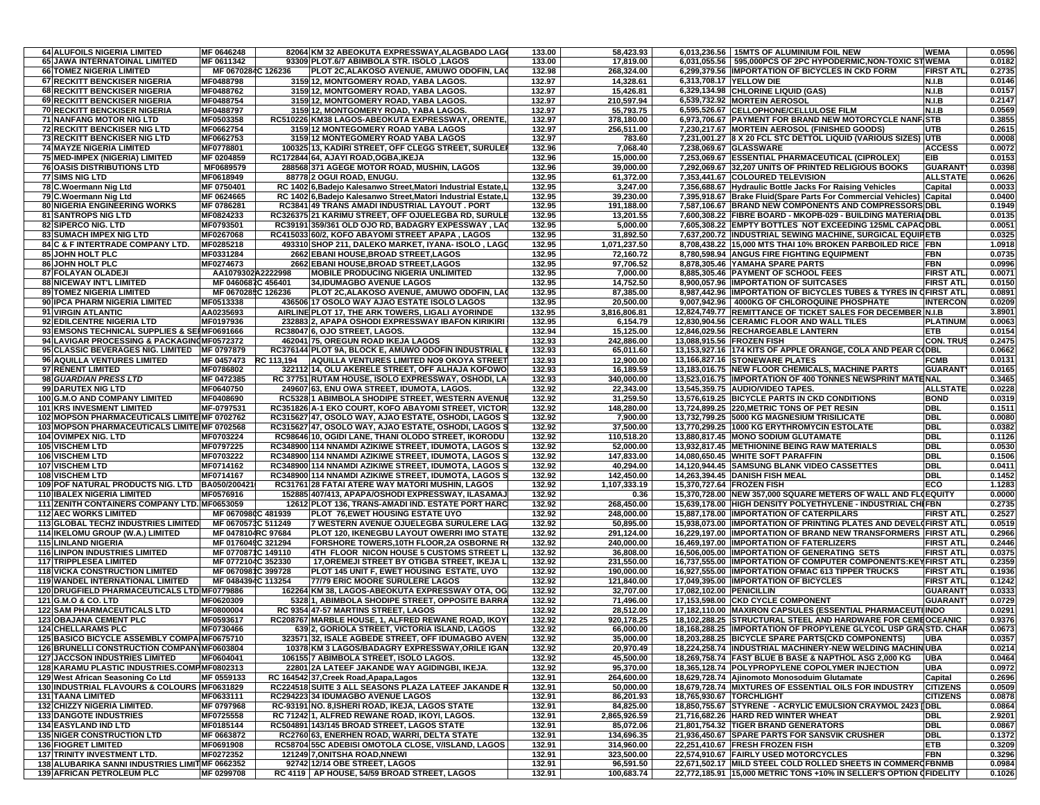| <b>64 ALUFOILS NIGERIA LIMITED</b>                                                               | MF 0646248                               |            | 82064 KM 32 ABEOKUTA EXPRESSWAY, ALAGBADO LAGO                                                              | 133.00           | 58,423.93                 |                           | 6,013,236.56   15MTS OF ALUMINIUM FOIL NEW                                                                                        | <b>WEMA</b>                  | 0.0596           |
|--------------------------------------------------------------------------------------------------|------------------------------------------|------------|-------------------------------------------------------------------------------------------------------------|------------------|---------------------------|---------------------------|-----------------------------------------------------------------------------------------------------------------------------------|------------------------------|------------------|
| 65 JAWA INTERNATOINAL LIMITED                                                                    | MF 0611342                               |            | 93309 PLOT.6/7 ABIMBOLA STR. ISOLO ,LAGOS                                                                   | 133.00           | 17,819.00                 |                           | 6,031,055.56 595,000PCS OF 2PC HYPODERMIC, NON-TOXIC STWEMA                                                                       |                              | 0.0182           |
| <b>66 TOMEZ NIGERIA LIMITED</b>                                                                  | MF 0670284C 126236                       |            | PLOT 2C,ALAKOSO AVENUE, AMUWO ODOFIN, LAO                                                                   | 132.98           | 268,324.00                |                           | 6,299,379.56 IMPORTATION OF BICYCLES IN CKD FORM                                                                                  | <b>FIRST ATL</b>             | 0.2735           |
| 67 RECKITT BENCKISER NIGERIA                                                                     | MF0488798                                |            | 3159 12, MONTGOMERY ROAD, YABA LAGOS                                                                        | 132.97           | 14,328.61                 | 6,313,708.17 YELLOW DIE   |                                                                                                                                   | N.I.B                        | 0.0146           |
| <b>68 RECKITT BENCKISER NIGERIA</b><br>69 RECKITT BENCKISER NIGERIA                              | MF0488762<br>MF0488754                   |            | 3159 12, MONTGOMERY ROAD, YABA LAGOS.<br>3159 12, MONTGOMERY ROAD, YABA LAGOS.                              | 132.97<br>132.97 | 15,426.81<br>210,597.94   |                           | 6,329,134.98 CHLORINE LIQUID (GAS)<br>6,539,732.92 MORTEIN AEROSOL                                                                | <b>N.I.B</b><br><b>N.I.B</b> | 0.0157<br>0.2147 |
| <b>70 RECKITT BENCKISER NIGERIA</b>                                                              | MF0488797                                |            | 3159 12, MONTGOMERY ROAD, YABA LAGOS                                                                        | 132.97           | 55,793.75                 |                           | 6,595,526.67 CELLOPHONE/CELLULOSE FILM                                                                                            | N.I.B                        | 0.0569           |
| 71 NANFANG MOTOR NIG LTD                                                                         | MF0503358                                |            | RC510226 KM38 LAGOS-ABEOKUTA EXPRESSWAY, ORENTE                                                             | 132.97           | 378,180.00                |                           | 6,973,706.67 PAYMENT FOR BRAND NEW MOTORCYCLE NANFISTB                                                                            |                              | 0.3855           |
| <b>72 RECKITT BENCKISER NIG LTD</b>                                                              | MF0662754                                |            | 3159 12 MONTEGOMERY ROAD YABA LAGOS                                                                         | 132.97           | 256,511.00                |                           | 7,230,217.67 MORTEIN AEROSOL (FINISHED GOODS)                                                                                     | <b>UTB</b>                   | 0.2615           |
| <b>73 RECKITT BENCKISER NIG LTD</b>                                                              | MF0662753                                |            | 3159 12 MONTEGOMERY ROAD YABA LAGOS                                                                         | 132.97           | 783.60                    |                           | 7,231,001.27 8 X 20 FCL STC DETTOL LIQUID (VARIOUS SIZES)                                                                         | <b>UTB</b>                   | 0.0008           |
| <b>74 MAYZE NIGERIA LIMITED</b>                                                                  | MF0778801                                |            | 100325 13, KADIRI STREET, OFF CLEGG STREET, SURULE                                                          | 132.96           | 7,068.40                  |                           | 7,238,069.67 GLASSWARE                                                                                                            | <b>ACCESS</b>                | 0.0072           |
| 75 MED-IMPEX (NIGERIA) LIMITED<br><b>76 OASIS DISTRIBUTIONS LTD</b>                              | MF 0204859<br>MF0689579                  |            | RC172844 64, AJAYI ROAD, OGBA, IKEJA<br>288568 371 AGEGE MOTOR ROAD, MUSHIN, LAGOS                          | 132.96<br>132.96 | 15,000.00<br>39,000.00    |                           | 7,253,069.67 ESSENTIAL PHARMACEUTICAL (CIPROLEX)<br>7,292,069.67 32,207 UNITS OF PRINTED RELIGIOUS BOOKS                          | EIB<br><b>GUARANT</b>        | 0.0153<br>0.0398 |
| <b>77 SIMS NIG LTD</b>                                                                           | MF0618949                                |            | 88778 2 OGUI ROAD, ENUGU.                                                                                   | 132.95           | 61,372.00                 |                           | 7,353,441.67 COLOURED TELEVISION                                                                                                  | <b>ALLSTATE</b>              | 0.0626           |
| 78 C.Woermann Nig Ltd                                                                            | MF 0750401                               |            | RC 1402 6, Badejo Kalesanwo Street, Matori Industrial Estate, I                                             | 132.95           | 3,247.00                  |                           | 7,356,688.67 Hydraulic Bottle Jacks For Raising Vehicles                                                                          | Capital                      | 0.0033           |
| 79 C. Woermann Nig Ltd                                                                           | MF 0624665                               |            | RC 1402 6. Badeio Kalesanwo Street. Matori Industrial Estate. L                                             | 132.95           | 39,230.00                 |                           | 7,395,918.67   Brake Fluid(Spare Parts For Commercial Vehicles)   Capital                                                         |                              | 0.0400           |
| 80 NIGERIA ENGINEERING WORKS                                                                     | MF 0786281                               |            | RC3841 49 TRANS AMADI INDUSTRIAL LAYOUT . PORT                                                              | 132.95           | 191,188.00                |                           | 7.587.106.67 BRAND NEW COMPONENTS AND COMPRESSORS DBL                                                                             |                              | 0.1949           |
| 81 SANTROPS NIG LTD                                                                              | MF0824233                                |            | RC326375 21 KARIMU STREET, OFF OJUELEGBA RD, SURULE                                                         | 132.95           | 13,201.55                 |                           | 7,600,308.22 FIBRE BOARD - MKOPB-029 - BUILDING MATERIAIDBL                                                                       |                              | 0.0135           |
| 82 SIPERCO NIG. LTD<br><b>83 SUMACH IMPEX NIG LTD</b>                                            | MF0793501<br>MF0267068                   |            | RC39191 359/361 OLD OJO RD, BADAGRY EXPESSWAY, LAC<br>RC415033 60/2, KOFO ABAYOMI STREET APAPA, LAGOS       | 132.95<br>132.95 | 5,000.00<br>31,892.50     |                           | 7,605,308.22 EMPTY BOTTLES NOT EXCEEDING 125ML CAPACDBL<br>7,637,200.72 INDUSTRIAL SEWING MACHINE, SURGICAL EQUIPETB              |                              | 0.0051<br>0.0325 |
| 84 C & F INTERTRADE COMPANY LTD.                                                                 | MF0285218                                |            | 493310 SHOP 211, DALEKO MARKET, IYANA- ISOLO, LAGO                                                          | 132.95           | 1,071,237.50              |                           | 8,708,438.22 15,000 MTS THAI 10% BROKEN PARBOILED RICE FBN                                                                        |                              | 1.0918           |
| 85 JOHN HOLT PLC                                                                                 | MF0331284                                |            | 2662 EBANI HOUSE, BROAD STREET, LAGOS                                                                       | 132.95           | 72,160.72                 |                           | 8,780,598.94 ANGUS FIRE FIGHTING EQUIPMENT                                                                                        | FBN                          | 0.0735           |
| 86 JOHN HOLT PLC                                                                                 | MF0274673                                |            | 2662 EBANI HOUSE, BROAD STREET, LAGOS                                                                       | 132.95           | 97,706.52                 |                           | 8,878,305.46 YAMAHA SPARE PARTS                                                                                                   | FBN                          | 0.0996           |
| 87 FOLAYAN OLADEJI                                                                               | AA1079302A2222998                        |            | <b>MOBILE PRODUCING NIGERIA UNLIMITED</b>                                                                   | 132.95           | 7,000.00                  |                           | 8,885,305.46 PAYMENT OF SCHOOL FEES                                                                                               | <b>FIRST ATL</b>             | 0.0071           |
| <b>88 NICEWAY INT'L LIMITED</b>                                                                  | MF 0460687C 456401                       |            | 34, IDUMAGBO AVENUE LAGOS                                                                                   | 132.95           | 14,752.50                 |                           | 8,900,057.96 IMPORTATION OF SUITCASES                                                                                             | <b>FIRST ATL</b>             | 0.0150           |
| <b>89 TOMEZ NIGERIA LIMITED</b><br>90 IPCA PHARM NIGERIA LIMITED                                 | MF 0670285C 126236<br>MF0513338          |            | PLOT 2C,ALAKOSO AVENUE, AMUWO ODOFIN, LAO<br>436506 17 OSOLO WAY AJAO ESTATE ISOLO LAGOS                    | 132.95<br>132.95 | 87,385.00<br>20,500.00    |                           | 8,987,442.96 IMPORTATION OF BICYCLES TUBES & TYRES IN CFIRST ATL<br>9,007,942.96 4000KG OF CHLOROQUINE PHOSPHATE                  | <b>INTERCON</b>              | 0.0891<br>0.0209 |
| 91 VIRGIN ATLANTIC                                                                               | AA0235693                                |            | AIRLINE PLOT 17. THE ARK TOWERS, LIGALI AYORINDE                                                            | 132.95           | 3,816,806.81              |                           | 12,824,749.77 REMITTANCE OF TICKET SALES FOR DECEMBER N.I.B                                                                       |                              | 3.8901           |
| 92 EDILCENTRE NIGERIA LTD                                                                        | MF0197936                                |            | 232883 2, APAPA OSHODI EXPRESSWAY IBAFON KIRIKIRI                                                           | 132.95           | 6,154.79                  |                           | 12,830,904.56 CERAMIC FLOOR AND WALL TILES                                                                                        | <b>PLATINUM</b>              | 0.0063           |
| 93 EMSONS TECHNICAL SUPPLIES & SEIMF0691666                                                      |                                          |            | RC38047 6, OJO STREET, LAGOS.                                                                               | 132.94           | 15,125.00                 |                           | 12,846,029.56 RECHARGEABLE LANTERN                                                                                                | ETB                          | 0.0154           |
| 94 LAVIGAR PROCESSING & PACKAGIN(MF0572372                                                       |                                          |            | 462041 75, OREGUN ROAD IKEJA LAGOS                                                                          | 132.93           | 242,886.00                | 13,088,915.56 FROZEN FISH |                                                                                                                                   | <b>CON. TRUS</b>             | 0.2475           |
| <b>95 CLASSIC BEVERAGES NIG. LIMITED</b>                                                         | MF 0797879                               |            | RC376144 PLOT 9A, BLOCK E, AMUWO ODOFIN INDUSTRIAL                                                          | 132.93           | 65,011.60                 |                           | 13,153,927.16  174 KITS OF APPLE ORANGE, COLA AND PEAR CODBL                                                                      |                              | 0.0662           |
| 96 AQUILLA VENTURES LIMITED                                                                      | MF 0457473                               | RC 113.194 | AQUILLA VENTURES LIMITED NO9 OKOYA STREET                                                                   | 132.93           | 12,900.00                 |                           | 13,166,827.16 STONEWARE PLATES                                                                                                    | <b>FCMB</b>                  | 0.0131           |
| 97 RENENT LIMITED<br>98 GUARDIAN PRESS LTD                                                       | MF0786802<br>MF 0472385                  |            | 322112 14, OLU AKERELE STREET, OFF ALHAJA KOFOWO<br>RC 37751 RUTAM HOUSE, ISOLO EXPRESSWAY, OSHODI, LA      | 132.93<br>132.93 | 16,189.59<br>340,000.00   |                           | 13.183.016.75 NEW FLOOR CHEMICALS. MACHINE PARTS<br>13,523,016.75  IMPORTATION OF 400 TONNES NEWSPRINT MATENAL                    | <b>GUARANT</b>               | 0.0165<br>0.3465 |
| 99 DARUTEX NIG LTD                                                                               | MF0640750                                |            | 249607 63, ENU OWA STREET, IDUMOTA, LAGOS                                                                   | 132.92           | 22,343.00                 |                           | 13,545,359.75 AUDIO/VIDEO TAPES.                                                                                                  | <b>ALLSTATE</b>              | 0.0228           |
| 100 G.M.O AND COMPANY LIMITED                                                                    | MF0408690                                |            | RC5328 1 ABIMBOLA SHODIPE STREET, WESTERN AVENUE                                                            | 132.92           | 31,259.50                 |                           | 13,576,619.25 BICYCLE PARTS IN CKD CONDITIONS                                                                                     | <b>BOND</b>                  | 0.0319           |
| <b>101 KRS INVESMENT LIMITED</b>                                                                 | MF-0797531                               |            | RC351826 A-1 EKO COURT, KOFO ABAYOMI STREET, VICTOR                                                         | 132.92           | 148,280.00                |                           | 13,724,899.25 220, METRIC TONS OF PET RESIN                                                                                       | <b>DBL</b>                   | 0.1511           |
| 102 MOPSON PHARMACEUTICALS LIMITE MF 0702762                                                     |                                          |            | RC315627 47, OSOLO WAY, AJAO ESTATE, OSHODI, LAGOS S                                                        | 132.92           | 7,900.00                  |                           | 13,732,799.25 5000 KG MAGNESIUM TRISILICATE                                                                                       | <b>DBL</b>                   | 0.0080           |
| 103 MOPSON PHARMACEUTICALS LIMITE MF 0702568                                                     |                                          |            | RC315627 47, OSOLO WAY, AJAO ESTATE, OSHODI, LAGOS S                                                        | 132.92           | 37,500.00                 |                           | 13,770,299.25 1000 KG ERYTHROMYCIN ESTOLATE                                                                                       | DBL                          | 0.0382           |
| <b>104 OVIMPEX NIG. LTD</b><br><b>105 VISCHEM LTD</b>                                            | MF0703224<br>MF0797225                   |            | RC98646 10, OGIDI LANE, THANI OLODO STREET, IKORODU<br>RC348900 114 NNAMDI AZIKIWE STREET, IDUMOTA, LAGOS S | 132.92<br>132.92 | 110,518.20<br>52,000.00   |                           | 13,880,817.45 MONO SODIUM GLUTAMATE<br>13,932,817.45 METHIONINE BEING RAW MATERIALS                                               | <b>DBL</b><br><b>DBL</b>     | 0.1126<br>0.0530 |
| <b>106 VISCHEM LTD</b>                                                                           | MF0703222                                |            | RC348900 114 NNAMDI AZIKIWE STREET, IDUMOTA, LAGOS S                                                        | 132.92           | 147,833.00                |                           | 14,080,650.45 WHITE SOFT PARAFFIN                                                                                                 | <b>DBL</b>                   | 0.1506           |
| <b>107 VISCHEM LTD</b>                                                                           | MF0714162                                |            | RC348900 114 NNAMDI AZIKIWE STREET, IDUMOTA, LAGOS S                                                        | 132.92           | 40,294.00                 |                           | 14,120,944.45 SAMSUNG BLANK VIDEO CASSETTES                                                                                       | <b>DBL</b>                   | 0.0411           |
| <b>108 VISCHEM LTD</b>                                                                           | MF0714167                                |            | RC348900 114 NNAMDI AZIKIWE STREET, IDUMOTA, LAGOS S                                                        | 132.92           | 142,450.00                |                           | 14,263,394.45 DANISH FISH MEAL                                                                                                    | <b>DBL</b>                   | 0.1452           |
| 109 POF NATURAL PRODUCTS NIG. LTD                                                                | BA050/200421                             |            | RC31761 28 FATAI ATERE WAY MATORI MUSHIN, LAGOS                                                             | 132.92           | 1,107,333.19              | 15,370,727.64 FROZEN FISH |                                                                                                                                   | ECO                          | 1.1283           |
| <b>110 IBALEX NIGERIA LIMITED</b>                                                                | MF0576916                                |            | 152885 407/413, APAPA/OSHODI EXPRESSWAY, ILASAMA.                                                           | 132.92           | 0.36                      |                           | 15,370,728.00 NEW 357,000 SQUARE METERS OF WALL AND FLOEQUITY                                                                     |                              | 0.0000           |
| 111 ZENITH CONTAINERS COMPANY LTD. MF0653059<br><b>112 AEC WORKS LIMITED</b>                     | MF 0670980C 481939                       |            | 12612 PLOT 136, TRANS-AMADI IND. ESTATE PORT HARC<br>PLOT 76,EWET HOUSING ESTATE UYO                        | 132.92<br>132.92 | 268,450.00<br>248,000.00  |                           | 15,639,178.00 HIGH DENSITY POLYETHYLENE - INDUSTRIAL CHIFBN<br>15,887,178.00 IMPORTATION OF CATERPILARS                           | FIRST ATL.                   | 0.2735<br>0.2527 |
| <b>113 GLOBAL TECHZ INDUSTRIES LIMITED</b>                                                       | MF 0670573C 511249                       |            | 7 WESTERN AVENUE OJUELEGBA SURULERE LAG                                                                     | 132.92           | 50,895.00                 |                           | 15,938,073.00 IMPORTATION OF PRINTING PLATES AND DEVELOFIRST ATL                                                                  |                              | 0.0519           |
| 114 IKELOMU GROUP (W.A.) LIMITED                                                                 | MF 0478104RC 97684                       |            | PLOT 120, IKENEGBU LAYOUT OWERRI IMO STATE                                                                  | 132.92           | 291,124.00                |                           | 16,229,197.00  IMPORTATION OF BRAND NEW TRANSFORMERS   FIRST ATL                                                                  |                              | 0.2966           |
| <b>115 LINLAND NIGERIA</b>                                                                       | MF 0176049C 321294                       |            | FORSHORE TOWERS, 10TH FLOOR, 2A OSBORNE RO                                                                  | 132.92           | 240,000.00                |                           | 16,469,197.00 IMPORTATION OF FATERLIZERS                                                                                          | FIRST ATL                    | 0.2446           |
| <b>116 LINPON INDUSTRIES LIMITED</b>                                                             | MF 0770871C 149110                       |            | 4TH FLOOR NICON HOUSE 5 CUSTOMS STREET L                                                                    | 132.92           | 36,808.00                 |                           | 16,506,005.00 IMPORTATION OF GENERATING SETS                                                                                      | FIRST ATL.                   | 0.0375           |
| <b>117 TRIPPLESEA LIMITED</b><br><b>118 VICKA CONSTRUCTION LIMITED</b>                           | MF 0772104C 352330                       |            | 17, OREMEJI STREET BY OTIGBA STREET, IKEJA L                                                                | 132.92<br>132.92 | 231,550.00<br>190,000.00  |                           | 16,737,555.00 IMPORTATION OF COMPUTER COMPONENTS: KEY FIRST ATL<br>16,927,555.00 IMPORTATION OFMAC 613 TIPPER TRUCKS              | FIRST ATL.                   | 0.2359<br>0.1936 |
| <b>119 WANDEL INTERNATIONAL LIMITED</b>                                                          | MF 0670981C 399728<br>MF 0484394C 113254 |            | PLOT 145 UNIT F, EWET HOUSING ESTATE, UYO<br>77/79 ERIC MOORE SURULERE LAGOS                                | 132.92           | 121,840.00                |                           | 17,049,395.00 IMPORTATION OF BICYCLES                                                                                             | <b>FIRST ATL</b>             | 0.1242           |
| 120 DRUGFIELD PHARMACEUTICALS LTD MF0779886                                                      |                                          |            | 162264 KM 38, LAGOS-ABEOKUTA EXPRESSWAY OTA, OG                                                             | 132.92           | 32,707.00                 | 17,082,102.00 PENICILLIN  |                                                                                                                                   | <b>GUARANT</b>               | 0.0333           |
| 121 G.M.O & CO. LTD                                                                              | MF0620309                                |            | 5328 1, ABIMBOLA SHODIPE STREET, OPPOSITE BARRA                                                             | 132.92           | 71,496.00                 |                           | 17,153,598.00 CKD CYCLE COMPONENT                                                                                                 | <b>GUARANT</b>               | 0.0729           |
| <b>122 SAM PHARMACEUTICALS LTD</b>                                                               | MF0800004                                |            | RC 9354 47-57 MARTINS STREET, LAGOS                                                                         | 132.92           | 28,512.00                 |                           | 17,182,110.00 MAXIRON CAPSULES (ESSENTIAL PHARMACEUTI INDO                                                                        |                              | 0.0291           |
| <b>123 OBAJANA CEMENT PLC</b>                                                                    | MF0593617                                |            | RC208767 MARBLE HOUSE, 1, ALFRED REWANE ROAD, IKOYI                                                         | 132.92           | 920,178.25                |                           | 18,102,288.25 STRUCTURAL STEEL AND HARDWARE FOR CEMEOCEANIC                                                                       |                              | 0.9376           |
| <b>124 CHELLARAMS PLC</b>                                                                        | MF0730466                                |            | 639 2, GORIOLA STREET, VICTORIA ISLAND, LAGOS                                                               | 132.92           | 66,000.00                 |                           | 18,168,288.25 IMPORTATION OF PROPYLENE GLYCOL USP GRASTD. CHAR                                                                    |                              | 0.0673           |
| <b>125 BASICO BICYCLE ASSEMBLY COMPAIMF0675710</b><br>126 BRUNELLI CONSTRUCTION COMPANYMF0603804 |                                          |            | 323571 32, ISALE AGBEDE STREET, OFF IDUMAGBO AVEN<br>10378 KM 3 LAGOS/BADAGRY EXPRESSWAY, ORILE IGAN        | 132.92<br>132.92 | 35,000.00<br>20,970.49    |                           | 18,203,288.25 BICYCLE SPARE PARTS(CKD COMPONENTS)<br>18,224,258.74 INDUSTRIAL MACHINERY-NEW WELDING MACHIN UBA                    | UBA                          | 0.0357<br>0.0214 |
| <b>127 JACCSON INDUSTRIES LIMITED</b>                                                            | MF0604041                                |            | 106155 7 ABIMBOLA STREET, ISOLO LAGOS.                                                                      | 132.92           | 45,500.00                 |                           | 18,269,758.74 FAST BLUE B BASE & NAPTHOL ASG 2,000 KG                                                                             | <b>UBA</b>                   | 0.0464           |
| 128 KARAMU PLASTIC INDUSTRIES.COMPMF0802313                                                      |                                          |            | 22801 2A LATEEF JAKANDE WAY AGIDINGBI, IKEJA.                                                               | 132.92           | 95,370.00                 |                           | 18.365.128.74 POLYPROPYLENE COPOLYMER INJECTION                                                                                   | UBA                          | 0.0972           |
| 129 West African Seasoning Co Ltd                                                                | MF 0559133                               |            | RC 164542 37, Creek Road, Apapa, Lagos                                                                      | 132.91           | 264.600.00                |                           | 18,629,728.74 Ajinomoto Monosoduim Glutamate                                                                                      | Capital                      | 0.2696           |
| 130 INDUSTRIAL FLAVOURS & COLOURS IMF0631829                                                     |                                          |            | RC224518 SUITE 3 ALL SEASONS PLAZA LATEEF JAKANDE R                                                         | 132.91           | 50,000.00                 |                           | 18,679,728.74 MIXTURES OF ESSENTIAL OILS FOR INDUSTRY                                                                             | <b>CITIZENS</b>              | 0.0509           |
| <b>131 TAANA LIMITED</b>                                                                         | MF0633111                                |            | RC294223 34 IDUMAGBO AVENUE LAGOS                                                                           | 132.91           | 86,201.93                 | 18,765,930.67 TORCHLIGHT  |                                                                                                                                   | <b>CITIZENS</b>              | 0.0878           |
| <b>132 CHIZZY NIGERIA LIMITED.</b><br><b>133 DANGOTE INDUSTRIES</b>                              | MF 0797968<br>MF0725558                  |            | RC-93191 NO. 8, ISHERI ROAD, IKEJA, LAGOS STATE<br>RC 71242 1, ALFRED REWANE ROAD, IKOYI, LAGOS.            | 132.91<br>132.91 | 84,825.00<br>2,865,926.59 |                           | 18,850,755.67 STYRENE - ACRYLIC EMULSION CRAYMOL 2423<br>21,716,682.26 HARD RED WINTER WHEAT                                      | [IDBL<br><b>DBL</b>          | 0.0864<br>2.9201 |
| <b>134 EASYLAND IND LTD</b>                                                                      | MF0185144                                |            | RC504891 143/145 BROAD STREET, LAGOS STATE                                                                  | 132.91           | 85,072.06                 |                           | 21,801,754.32 TIGER BRAND GENERATORS                                                                                              | <b>DBL</b>                   | 0.0867           |
| <b>135 NIGER CONSTRUCTION LTD</b>                                                                | MF 0663872                               |            | RC2760 63, ENERHEN ROAD, WARRI, DELTA STATE                                                                 | 132.91           | 134,696.35                |                           | 21,936,450.67 SPARE PARTS FOR SANSVIK CRUSHER                                                                                     | DBL.                         | 0.1372           |
| <b>136 FIOGRET LIMITED</b>                                                                       | MF0691908                                |            | RC58704 55C ADEBISI OMOTOLA CLOSE, V/ISLAND, LAGOS                                                          | 132.91           | 314,960.00                |                           | 22,251,410.67 FRESH FROZEN FISH                                                                                                   | <b>ETB</b>                   | 0.3209           |
| <b>137 TRINITY INVESTMENT LTD.</b>                                                               | MF0272352                                |            | <b>121249 7, ONITSHA ROAD, NNEWI</b>                                                                        | 132.91           | 323,500.00                |                           | 22,574,910.67 FAIRLY USED MOTORCYCLES                                                                                             | <b>FBN</b>                   | 0.3296           |
| 138 ALUBARIKA SANNI INDUSTRIES LIMITMF 0662352                                                   |                                          |            | 92742 12/14 OBE STREET, LAGOS                                                                               | 132.91           | 96,591.50                 |                           | 22,671,502.17 MILD STEEL COLD ROLLED SHEETS IN COMMERCFBNMB<br>22,772,185.91 15,000 METRIC TONS +10% IN SELLER'S OPTION (FIDELITY |                              | 0.0984           |
| <b>139 AFRICAN PETROLEUM PLC</b>                                                                 | MF 0299708                               |            | RC 4119   AP HOUSE, 54/59 BROAD STREET, LAGOS                                                               | 132.91           | 100,683.74                |                           |                                                                                                                                   |                              | 0.1026           |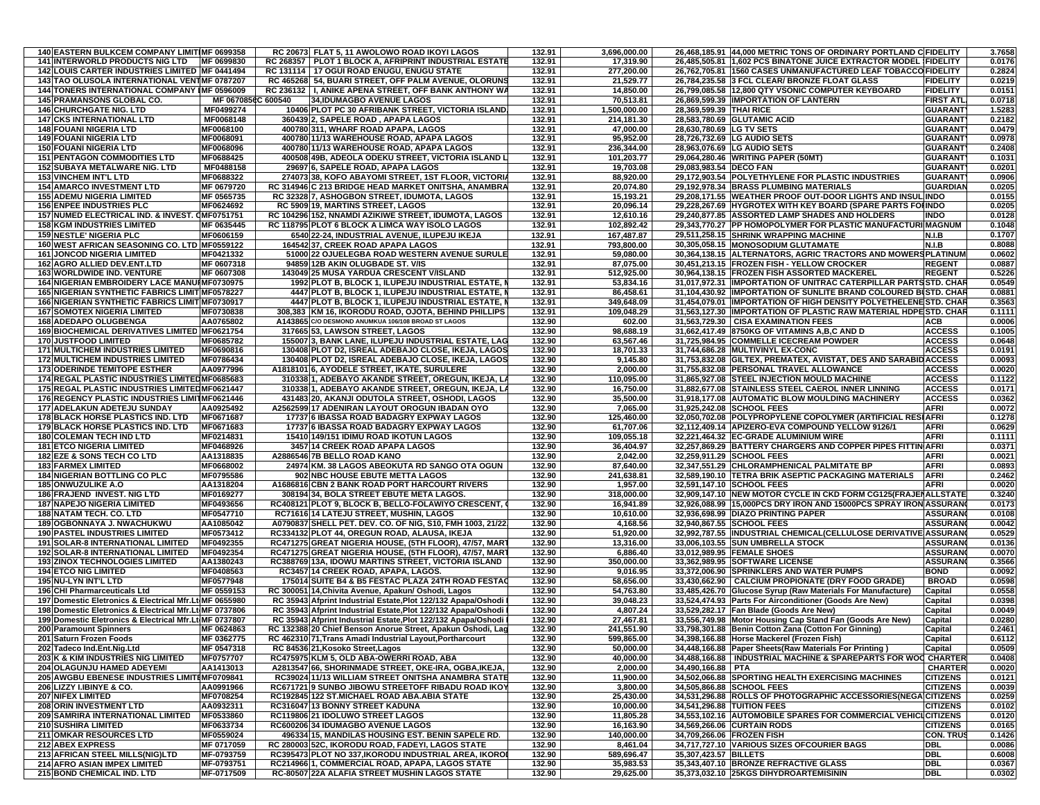| <b>140 EASTERN BULKCEM COMPANY LIMITIMF 0699358</b>                                                              |                          |          | RC 20673 FLAT 5, 11 AWOLOWO ROAD IKOYI LAGOS                                                                                   | 132.91           | 3,696,000.00             |                            | 26,468,185.91 44,000 METRIC TONS OF ORDINARY PORTLAND C FIDELITY                                                                    |                                    | 3.7658           |
|------------------------------------------------------------------------------------------------------------------|--------------------------|----------|--------------------------------------------------------------------------------------------------------------------------------|------------------|--------------------------|----------------------------|-------------------------------------------------------------------------------------------------------------------------------------|------------------------------------|------------------|
| 141 INTERWORLD PRODUCTS NIG LTD MF 0699830                                                                       |                          |          | RC 268357   PLOT 1 BLOCK A, AFRIPRINT INDUSTRIAL ESTATE                                                                        | 132.91           | 17,319.90                |                            | 26,485,505.81 1,602 PCS BINATONE JUICE EXTRACTOR MODEL [FIDELITY                                                                    |                                    | 0.0176           |
| 142 LOUIS CARTER INDUSTRIES LIMITED MF 0441494<br>143 TAO OLUSOLA INTERNATIONAL VENTIMF 0787207                  |                          |          | RC 131114   17 OGUI ROAD ENUGU, ENUGU STATE                                                                                    | 132.91           | 277,200.00               |                            | 26,762,705.81 1560 CASES UNMANUFACTURED LEAF TOBACCO FIDELITY                                                                       |                                    | 0.2824           |
| <b>144 TONERS INTERNATIONAL COMPANY IMF 0596009</b>                                                              |                          |          | RC 465268 54, BUARI STREET, OFF PALM AVENUE, OLORUNS<br>RC 236132   I, ANIKE APENA STREET, OFF BANK ANTHONY WA                 | 132.91<br>132.91 | 21,529.77<br>14,850.00   |                            | 26,784,235.58 3 FCL CLEAR/ BRONZE FLOAT GLASS<br>26,799,085.58 12,800 QTY VSONIC COMPUTER KEYBOARD                                  | <b>FIDELITY</b><br><b>FIDELITY</b> | 0.0219<br>0.0151 |
| 145 PRAMANSONS GLOBAL CO.                                                                                        | MF 067085                | C 600540 | 34, IDUMAGBO AVENUE LAGOS                                                                                                      | 132.91           | 70,513.81                |                            | 26,869,599.39 IMPORTATION OF LANTERN                                                                                                | <b>FIRST ATL</b>                   | 0.0718           |
| <b>146 CHURCHGATE NIG. LTD</b>                                                                                   | MF0499274                |          | 10406 PLOT PC 30 AFRIBANK STREET, VICTORIA ISLAND                                                                              | 132.91           | 1.500.000.00             | 28.369.599.39 THAI RICE    |                                                                                                                                     | <b>GUARANT</b>                     | 1.5283           |
| <b>147 CKS INTERNATIONAL LTD</b>                                                                                 | <b>MF0068148</b>         |          | 360439 2, SAPELE ROAD, APAPA LAGOS                                                                                             | 132.91           | 214,181.30               |                            | 28,583,780.69 GLUTAMIC ACID                                                                                                         | <b>GUARANT</b>                     | 0.2182           |
| <b>148 FOUANI NIGERIA LTD</b>                                                                                    | MF0068100                |          | 400780 311, WHARF ROAD APAPA, LAGOS                                                                                            | 132.91           | 47.000.00                | 28,630,780.69 LG TV SETS   |                                                                                                                                     | <b>GUARANT</b>                     | 0.0479           |
| <b>149 FOUANI NIGERIA LTD</b>                                                                                    | MF0068091                |          | 400780 11/13 WAREHOUSE ROAD, APAPA LAGOS                                                                                       | 132.91           | 95,952.00                |                            | 28,726,732.69 LG AUDIO SETS                                                                                                         | <b>GUARANT</b>                     | 0.0978           |
| <b>150 FOUANI NIGERIA LTD</b><br><b>151 PENTAGON COMMODITIES LTD</b>                                             | MF0068096<br>MF0688425   |          | 400780 11/13 WAREHOUSE ROAD, APAPA LAGOS<br>400508 49B, ADEOLA ODEKU STREET, VICTORIA ISLAND L                                 | 132.91<br>132.91 | 236,344.00<br>101,203.77 |                            | 28,963,076.69 LG AUDIO SETS<br>29,064,280.46 WRITING PAPER (50MT)                                                                   | <b>GUARANT</b><br><b>GUARANT</b>   | 0.2408<br>0.1031 |
| <b>152 SUBAYA METALWARE NIG. LTD</b>                                                                             | MF0488158                |          | 29697 6, SAPELE ROAD, APAPA LAGOS                                                                                              | 132.91           | 19,703.08                | 29,083,983.54 DECO FAN     |                                                                                                                                     | <b>GUARANT</b>                     | 0.0201           |
| <b>153 VINCHEM INT'L LTD</b>                                                                                     | MF0688322                |          | 274073 38, KOFO ABAYOMI STREET, 1ST FLOOR, VICTORI                                                                             | 132.91           | 88,920.00                |                            | 29,172,903.54 POLYETHYLENE FOR PLASTIC INDUSTRIES                                                                                   | <b>GUARANT</b>                     | 0.0906           |
| <b>154 AMARCO INVESTMENT LTD</b>                                                                                 | MF 0679720               |          | RC 314946 C 213 BRIDGE HEAD MARKET ONITSHA, ANAMBRA                                                                            | 132.91           | 20,074.80                |                            | 29,192,978.34 BRASS PLUMBING MATERIALS                                                                                              | <b>GUARDIAN</b>                    | 0.0205           |
| <b>155 ADEMU NIGERIA LIMITED</b>                                                                                 | MF 0565735               |          | RC 32328 7, ASHOGBON STREET, IDUMOTA, LAGOS                                                                                    | 132.91           | 15,193.21                |                            | 29,208,171.55   WEATHER PROOF OUT-DOOR LIGHTS AND INSUL INDO                                                                        |                                    | 0.0155           |
| <b>156 ENPEE INDUSTRIES PLC</b>                                                                                  | MF0624692                |          | RC 5909 19, MARTINS STREET, LAGOS                                                                                              | 132.91           | 20,096.14                |                            | 29,228,267.69 HYGROTEX WITH KEY BOARD (SPARE PARTS FOILNDO                                                                          |                                    | 0.0205           |
| 157 NUMED ELECTRICAL IND. & INVEST. CMF0751751                                                                   | MF 0635445               |          | RC 104296 152, NNAMDI AZIKIWE STREET, IDUMOTA, LAGOS<br>RC 118795 PLOT 6 BLOCK A LIMCA WAY ISOLO LAGOS                         | 132.91<br>132.91 | 12,610.16<br>102,892.42  |                            | 29,240,877.85 ASSORTED LAMP SHADES AND HOLDERS<br>29,343,770.27 PP HOMOPOLYMER FOR PLASTIC MANUFACTURI MAGNUM                       | <b>INDO</b>                        | 0.0128<br>0.1048 |
| <b>158 KGM INDUSTRIES LIMITED</b><br><b>159 NESTLE' NIGERIA PLC</b>                                              | MF0606159                |          | 6540 22-24, INDUSTRIAL AVENUE, ILUPEJU IKEJA                                                                                   | 132.91           | 167.487.87               |                            | 29,511,258.15 SHRINK WRAPPING MACHINE                                                                                               | N.I.B                              | 0.1707           |
| 160 WEST AFRICAN SEASONING CO. LTD MF0559122                                                                     |                          |          | 164542 37, CREEK ROAD APAPA LAGOS                                                                                              | 132.91           | 793,800.00               |                            | 30,305,058.15 MONOSODIUM GLUTAMATE                                                                                                  | N.I.B                              | 0.8088           |
| <b>161 JONCOD NIGERIA LIMITED</b>                                                                                | MF0421332                |          | 51000 22 OJUELEGBA ROAD WESTERN AVENUE SURULE                                                                                  | 132.91           | 59,080.00                |                            | 30,364,138.15 ALTERNATORS, AGRIC TRACTORS AND MOWER                                                                                 | <b>SPLATINUM</b>                   | 0.0602           |
| 162 AGRO ALLIED DEV.ENT.LTD                                                                                      | MF 0607318               |          | 94859 12B AKIN OLUGBADE ST. V/IS                                                                                               | 132.91           | 87,075.00                |                            | 30,451,213.15 FROZEN FISH - YELLOW CROCKER                                                                                          | <b>REGENT</b>                      | 0.0887           |
| <b>163 WORLDWIDE IND. VENTURE</b>                                                                                | MF 0607308               |          | 143049 25 MUSA YARDUA CRESCENT V/ISLAND                                                                                        | 132.91           | 512,925.00               |                            | 30,964,138.15 FROZEN FISH ASSORTED MACKEREL                                                                                         | <b>REGENT</b>                      | 0.5226           |
| 164 NIGERIAN EMBROIDERY LACE MANUIMF0730975                                                                      |                          |          | 1992 PLOT B, BLOCK 1, ILUPEJU INDUSTRIAL ESTATE, I                                                                             | 132.91           | 53,834.16                |                            | 31,017,972.31 IMPORTATION OF UNITRAC CATERPILLAR PARTSSTD. CHAR                                                                     |                                    | 0.0549           |
| <b>165 NIGERIAN SYNTHETIC FABRICS LIMIT MF0578227</b><br><b>166 NIGERIAN SYNTHETIC FABRICS LIMITIMF0730917</b>   |                          |          | 4447 PLOT B, BLOCK 1, ILUPEJU INDUSTRIAL ESTATE, I<br>4447 PLOT B. BLOCK 1. ILUPEJU INDUSTRIAL ESTATE.                         | 132.91<br>132.91 | 86,458.61<br>349,648.09  |                            | 31,104,430.92 IMPORTATION OF SUNLITE BRAND COLOURED BISTD. CHAR<br>31.454.079.01 IMPORTATION OF HIGH DENSITY POLYETHELENE STD. CHAR |                                    | 0.0881<br>0.3563 |
| <b>167 SOMOTEX NIGERIA LIMITED</b>                                                                               | MF0730838                |          | 308.383 KM 16. IKORODU ROAD, OJOTA, BEHIND PHILLIPS                                                                            | 132.91           | 109,048.29               |                            | 31,563,127.30 IMPORTATION OF PLASTIC RAW MATERIAL HDPESTD. CHAR                                                                     |                                    | 0.1111           |
| <b>168 ADEDAPO OLUGBENGA</b>                                                                                     | AA0765802                |          | A143865 C/O DESMOND ANUMKUA 106/108 BROAD ST LAGOS                                                                             | 132.90           | 602.00                   |                            | 31.563.729.30 CISA EXAMINATION FEES                                                                                                 | ACB                                | 0.0006           |
| 169 BIOCHEMICAL DERIVATIVES LIMITED MF0621754                                                                    |                          |          | 317665 53, LAWSON STREET, LAGOS                                                                                                | 132.90           | 98,688.19                |                            | 31,662,417.49 8750KG OF VITAMINS A,B,C AND D                                                                                        | <b>ACCESS</b>                      | 0.1005           |
| <b>170 JUSTFOOD LIMITED</b>                                                                                      | MF0685782                |          | 155007 3, BANK LANE, ILUPEJU INDUSTRIAL ESTATE, LAG                                                                            | 132.90           | 63,567.46                |                            | 31,725,984.95 COMMELLE ICECREAM POWDER                                                                                              | <b>ACCESS</b>                      | 0.0648           |
| <b>171 IMULTICHEM INDUSTRIES LIMITED</b>                                                                         | MF0690816                |          | 130408 PLOT D2, ISREAL ADEBAJO CLOSE, IKEJA, LAGOS                                                                             | 132.90           | 18,701.33                |                            | 31.744.686.28 MULTIVINYL EX-CONC                                                                                                    | <b>ACCESS</b>                      | 0.0191           |
| <b>172 MULTICHEM INDUSTRIES LIMITED</b>                                                                          | MF0786434<br>AA0977996   |          | 130408 PLOT D2, ISREAL ADEBAJO CLOSE, IKEJA, LAGOS                                                                             | 132.90           | 9,145.80                 |                            | 31,753,832.08 GILTEX, PREMATEX, AVISTAT, DES AND SARABIDACCESS                                                                      |                                    | 0.0093           |
| <b>173 ODERINDE TEMITOPE ESTHER</b><br>174 REGAL PLASTIC INDUSTRIES LIMITED MF0685683                            |                          |          | A1818101 6. AYODELE STREET. IKATE, SURULERE<br>310338 1, ADEBAYO AKANDE STREET, OREGUN, IKEJA, LA                              | 132.90<br>132.90 | 2.000.00<br>110,095.00   |                            | 31,755,832.08 PERSONAL TRAVEL ALLOWANCE<br>31,865,927.08 STEEL INJECTION MOULD MACHINE                                              | <b>ACCESS</b><br><b>ACCESS</b>     | 0.0020<br>0.1122 |
| 175 REGAL PLASTIC INDUSTRIES LIMITEDMF0621447                                                                    |                          |          | 310338 1, ADEBAYO AKANDE STREET, OREGUN, IKEJA, LA                                                                             | 132.90           | 16,750.00                |                            | 31,882,677.08 STAINLESS STEEL CAEROL INNER LINNING                                                                                  | <b>ACCESS</b>                      | 0.0171           |
| 176 REGENCY PLASTIC INDUSTRIES LIMITMF0621446                                                                    |                          |          | 431483 20, AKANJI ODUTOLA STREET, OSHODI, LAGOS                                                                                | 132.90           | 35,500.00                |                            | 31,918,177.08 AUTOMATIC BLOW MOULDING MACHINERY                                                                                     | <b>ACCESS</b>                      | 0.0362           |
| 177 ADELAKUN ADETEJU SUNDAY                                                                                      | AA0925492                |          | A2562599 17 ADENIRAN LAYOUT OROGUN IBADAN OYO                                                                                  | 132.90           | 7,065.00                 |                            | 31.925.242.08 SCHOOL FEES                                                                                                           | <b>AFRI</b>                        | 0.0072           |
| <b>178 BLACK HORSE PLASTICS IND. LTD</b>                                                                         | MF0671687                |          | 17737 6 IBASSA ROAD BADAGRY EXPWAY LAGOS                                                                                       | 132.90           | 125,460.00               |                            | 32,050,702.08 POLYPROPYLENE COPOLYMER (ARTIFICIAL RESIAFRI                                                                          |                                    | 0.1278           |
|                                                                                                                  |                          |          |                                                                                                                                |                  |                          |                            |                                                                                                                                     |                                    |                  |
| <b>179 BLACK HORSE PLASTICS IND. LTD</b>                                                                         | MF0671683                |          | 17737 6 IBASSA ROAD BADAGRY EXPWAY LAGOS                                                                                       | 132.90           | 61,707.06                |                            | 32,112,409.14 APIZERO-EVA COMPOUND YELLOW 9126/1                                                                                    | <b>AFRI</b>                        | 0.0629           |
| <b>180 COLEMAN TECH IND LTD</b>                                                                                  | MF0214831                |          | 15410 149/151 IDIMU ROAD IKOTUN LAGOS                                                                                          | 132.90           | 109,055.18               |                            | 32,221,464.32 EC-GRADE ALUMINIUM WIRE                                                                                               | <b>AFRI</b>                        | 0.1111           |
| <b>181 ETCO NIGERIA LIMITED</b>                                                                                  | MF0468926                |          | 3457 14 CREEK ROAD APAPA LAGOS                                                                                                 | 132.90           | 36,404.97                |                            | 32,257,869.29 BATTERY CHARGERS AND COPPER PIPES FITTIN AFRI                                                                         |                                    | 0.0371           |
| <b>182 EZE &amp; SONS TECH CO LTD</b>                                                                            | AA1318835                |          | A2886546 7B BELLO ROAD KANO                                                                                                    | 132.90           | 2,042.00                 |                            | 32,259,911.29 SCHOOL FEES                                                                                                           | <b>AFRI</b>                        | 0.0021           |
| <b>183 FARMEX LIMITED</b><br><b>184 NIGERIAN BOTTLING CO PLC</b>                                                 | MF0668002<br>MF0795586   |          | 24974 KM. 38 LAGOS ABEOKUTA RD SANGO OTA OGUN<br>902 NBC HOUSE EBUTE METTA LAGOS                                               | 132.90<br>132.90 | 87,640.00<br>241,638.81  |                            | 32,347,551.29 CHLORAMPHENICAL PALMITATE BP<br>32,589,190.10 TETRA BRIK ASEPTIC PACKAGING MATERIALS                                  | <b>AFRI</b><br><b>AFRI</b>         | 0.0893<br>0.2462 |
| <b>185 ONWUZULIKE A.O</b>                                                                                        | AA1318204                |          | A1686816 CBN 2 BANK ROAD PORT HARCOURT RIVERS                                                                                  | 132.90           | 1,957.00                 |                            | 32,591,147.10 SCHOOL FEES                                                                                                           | <b>AFRI</b>                        | 0.0020           |
| <b>186 FRAJEND INVEST. NIG LTD</b>                                                                               | MF0169277                |          | 308194 34, BOLA STREET EBUTE META LAGOS.                                                                                       | 132.90           | 318,000.00               |                            | 32,909,147.10 NEW MOTOR CYCLE IN CKD FORM CG125(FRAJENALLSTATE                                                                      |                                    | 0.3240           |
| <b>187 NAPEJO NIGERIA LIMITED</b>                                                                                | MF0493656                |          | RC408121 PLOT 9, BLOCK B, BELLO-FOLAWIYO CRESCENT,                                                                             | 132.90           | 16,941.89                |                            | 32,926,088.99 15,000PCS DRY IRON AND 15000PCS SPRAY IRON ASSURAN                                                                    |                                    | 0.0173           |
| <b>188 NATAM TECH. CO. LTD</b>                                                                                   | MF0547710                |          | RC71616 14 LATEJU STREET, MUSHIN, LAGOS                                                                                        | 132.90           | 10,610.00                |                            | 32,936,698.99 DIAZO PRINTING PAPER                                                                                                  | <b>ASSURAN</b>                     | 0.0108           |
| <b>189 OGBONNAYA J. NWACHUKWU</b>                                                                                | AA1085042                |          | A0790837 SHELL PET. DEV. CO. OF NIG, S10, FMH 1003, 21/22                                                                      | 132.90           | 4,168.56                 |                            | 32,940,867.55 SCHOOL FEES                                                                                                           | <b>ASSURAN</b>                     | 0.0042           |
| <b>190 PASTEL INDUSTRIES LIMITED</b><br><b>191 SOLAR-8 INTERNATIONAL LIMITED</b>                                 | MF0573412<br>MF0492355   |          | RC334132 PLOT 44, OREGUN ROAD, ALAUSA, IKEJA<br>RC471275 GREAT NIGERIA HOUSE, (5TH FLOOR), 47/57, MART                         | 132.90<br>132.90 | 51,920.00<br>13,316.00   |                            | 32,992,787.55 INDUSTRIAL CHEMICAL(CELLULOSE DERIVATIVE ASSURAN<br>33,006,103.55 SUN UMBRELLA STOCK                                  | <b>ASSURAN</b>                     | 0.0529<br>0.0136 |
| <b>192 SOLAR-8 INTERNATIONAL LIMITED</b>                                                                         | MF0492354                |          | RC471275 GREAT NIGERIA HOUSE, (5TH FLOOR), 47/57, MAR1                                                                         | 132.90           | 6,886.40                 |                            | 33,012,989.95 FEMALE SHOES                                                                                                          | <b>ASSURAN</b>                     | 0.0070           |
| <b>193 ZINOX TECHNOLOGIES LIMITED</b>                                                                            | AA1380243                |          | RC388769 13A, IDOWU MARTINS STREET, VICTORIA ISLAND                                                                            | 132.90           | 350,000.00               |                            | 33.362.989.95 SOFTWARE LICENSE                                                                                                      | <b>ASSURAN</b>                     | 0.3566           |
| <b>194 ETCO NIG LIMITED</b>                                                                                      | MF0408563                |          | RC3457 14 CREEK ROAD, APAPA, LAGOS.                                                                                            | 132.90           | 9,016.95                 |                            | 33,372,006.90 SPRINKLERS AND WATER PUMPS                                                                                            | <b>BOND</b>                        | 0.0092           |
| 195 NU-LYN INT'L LTD                                                                                             | MF0577948                |          | 175014 SUITE B4 & B5 FESTAC PLAZA 24TH ROAD FESTAC                                                                             | 132.90           | 58,656.00                |                            | 33,430,662.90 CALCIUM PROPIONATE (DRY FOOD GRADE)                                                                                   | <b>BROAD</b>                       | 0.0598           |
| 196 CHI Pharmarceuticals Ltd                                                                                     | MF 0559153               |          | RC 300051 14, Chivita Avenue, Apakun/ Oshodi, Lagos                                                                            | 132.90           | 54,763.80                |                            | 33,485,426.70 Glucose Syrup (Raw Materials For Manufacture)                                                                         | Capital                            | 0.0558           |
| 197 Domestic Eletronics & Electrical Mfr.Lt MF 0655980<br>198 Domestic Eletronics & Electrical Mfr.LtiMF 0737806 |                          |          | RC 35943 Afprint Industrial Estate, Plot 122/132 Apapa/Oshodi<br>RC 35943 Afprint Industrial Estate, Plot 122/132 Apapa/Oshodi | 132.90<br>132.90 | 39,048.23<br>4.807.24    |                            | 33,524,474.93 Parts For Airconditioner (Goods Are New)<br>33,529,282.17 Fan Blade (Goods Are New)                                   | Capital<br>Capital                 | 0.0398<br>0.0049 |
| 199 Domestic Eletronics & Electrical Mfr.Lt MF 0737807                                                           |                          |          | RC 35943 Afprint Industrial Estate, Plot 122/132 Apapa/Oshodi                                                                  | 132.90           | 27,467.81                |                            | 33,556,749.98 Motor Housing Cap Stand Fan (Goods Are New)                                                                           | Capital                            | 0.0280           |
| 200 Paramount Spinners                                                                                           | MF 0624863               |          | RC 132388 20 Chief Benson Anorue Street, Apakun Oshodi, Lag                                                                    | 132.90           | 241,551.90               |                            | 33,798,301.88 Benin Cotton Zana (Cotton For Ginning)                                                                                | Capital                            | 0.2461           |
| 201 Saturn Frozen Foods                                                                                          | MF 0362775               |          | RC 462310 71, Trans Amadi Industrial Layout, Portharcourt                                                                      | 132.90           | 599,865.00               |                            | 34,398,166.88 Horse Mackerel (Frozen Fish)                                                                                          | Capital                            | 0.6112           |
| 202 Tadeco Ind.Ent.Nig.Ltd                                                                                       | MF 0547318               |          | RC 84536 21, Kosoko Street, Lagos                                                                                              | 132.90           | 50,000.00                |                            | 34,448,166.88 Paper Sheets (Raw Materials For Printing)                                                                             | Capital                            | 0.0509           |
| 203 K & KIM INDUSTRIES NIG LIMITED                                                                               | MF0757707                |          | RC475975 KLM 5, OLD ABA-OWERRI ROAD, ABA                                                                                       | 132.90           | 40,000.00                | 34,488,166.88              | INDUSTRIAL MACHINE & SPAREPARTS FOR WOO CHARTER                                                                                     |                                    | 0.0408           |
| 204 OLAGUNJU HAMED ADEYEMI<br>205 AWGBU EBENESE INDUSTRIES LIMITEMF0709841                                       | AA1413013                |          | A2813547 66, SHORINMADE STREET, OKE-IRA, OGBA, IKEJA,<br>RC39024 11/13 WILLIAM STREET ONITSHA ANAMBRA STATE                    | 132.90<br>132.90 | 2,000.00<br>11,900.00    | 34,490,166.88 PTA          | 34,502,066.88 SPORTING HEALTH EXERCISING MACHINES                                                                                   | <b>CHARTER</b><br><b>CITIZENS</b>  | 0.0020<br>0.0121 |
| 206 LIZZY I.IBINYE & CO.                                                                                         | AA0991966                |          | RC671721 9 SUNBO JIBOWU STREETOFF RIBADU ROAD IKOY                                                                             | 132.90           | 3,800.00                 |                            | 34,505,866.88 SCHOOL FEES                                                                                                           | <b>CITIZENS</b>                    | 0.0039           |
| <b>207 NIFEX LIMITED</b>                                                                                         | MF0708254                |          | RC192845 122 ST.MICHAEL ROAD ABA.ABIA STATE                                                                                    | 132.90           | 25.430.00                |                            | 34,531,296.88 ROLLS OF PHOTOGRAPHIC ACCESSORIES(NEGA CITIZENS                                                                       |                                    | 0.0259           |
| <b>208 ORIN INVESTMENT LTD</b>                                                                                   | AA0932311                |          | RC316047 13 BONNY STREET KADUNA                                                                                                | 132.90           | 10,000.00                | 34.541.296.88 TUITION FEES |                                                                                                                                     | <b>CITIZENS</b>                    | 0.0102           |
| <b>209 SAMRIRA INTERNATIONAL LIMITED</b>                                                                         | MF0533860                |          | RC119806 21 IDOLUWO STREET LAGOS                                                                                               | 132.90           | 11,805.28                |                            | 34,553,102.16 AUTOMOBILE SPARES FOR COMMERCIAL VEHICLCITIZENS                                                                       |                                    | 0.0120           |
| <b>210 SUSHIRA LIMITED</b>                                                                                       | MF0633734                |          | RC600206 34 IDUMAGBO AVENUE LAGOS                                                                                              | 132.90           | 16,163.90                |                            | 34,569,266.06 CURTAIN RODS                                                                                                          | <b>CITIZENS</b>                    | 0.0165           |
| 211 OMKAR RESOURCES LTD                                                                                          | MF0559024                |          | 496334 15, MANDILAS HOUSING EST. BENIN SAPELE RD.                                                                              | 132.90           | 140,000.00               | 34,709,266.06 FROZEN FISH  |                                                                                                                                     | <b>CON. TRUS</b>                   | 0.1426           |
| <b>212 ABEX EXPRESS</b><br>213 AFRICAN STEEL MILLS(NIG)LTD                                                       | MF 0717059<br>MF-0793759 |          | RC 280003 52C, IKORODU ROAD, FADEYI, LAGOS STATE<br>RC395473 PLOT NO 337, IKORODU INDUSTRIAL AREA, IKOROI                      | 132.90<br>132.90 | 8,461.04<br>589,696.47   | 35,307,423.57 BILLETS      | 34,717,727.10 VARIOUS SIZES OFCOURIER BAGS                                                                                          | <b>DBL</b><br><b>DBL</b>           | 0.0086<br>0.6008 |
| 214 AFRO ASIAN IMPEX LIMITED                                                                                     | MF-0793751               |          | RC214966 1. COMMERCIAL ROAD. APAPA. LAGOS STATE                                                                                | 132.90<br>132.90 | 35,983.53<br>29,625.00   |                            | 35,343,407.10 BRONZE REFRACTIVE GLASS                                                                                               | <b>DBL</b><br><b>DBL</b>           | 0.0367<br>0.0302 |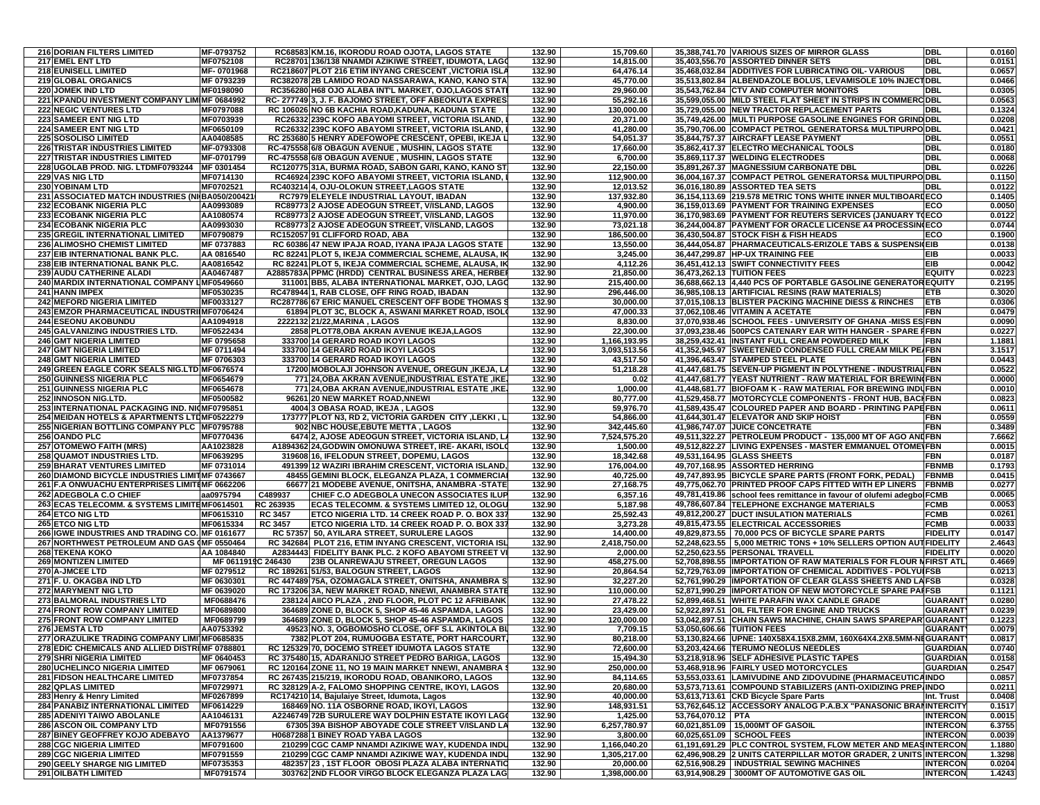| <b>216 DORIAN FILTERS LIMITED</b>                                                              | MF-0793752                       |                | RC68583 KM.16. IKORODU ROAD OJOTA, LAGOS STATE                                                                 | 132.90           | 15,709.60                |                            | 35,388,741.70 VARIOUS SIZES OF MIRROR GLASS                                                                                | <b>DBL</b>                         | 0.0160           |
|------------------------------------------------------------------------------------------------|----------------------------------|----------------|----------------------------------------------------------------------------------------------------------------|------------------|--------------------------|----------------------------|----------------------------------------------------------------------------------------------------------------------------|------------------------------------|------------------|
| 217 EMEL ENT LTD                                                                               | MF0752108                        |                | RC28701 136/138 NNAMDI AZIKIWE STREET, IDUMOTA, LAGO                                                           | 132.90           | 14,815.00                |                            | 35,403,556.70 ASSORTED DINNER SETS                                                                                         | <b>DBL</b>                         | 0.0151           |
| 218 EUNISELL LIMITED                                                                           | MF-0701968                       |                | RC218607 PLOT 216 ETIM INYANG CRESCENT , VICTORIA ISLA                                                         | 132.90           | 64,476.14                |                            | 35,468,032.84 ADDITIVES FOR LUBRICATING OIL-VARIOUS                                                                        | <b>DBL</b>                         | 0.0657           |
| 219 GLOBAL ORGANICS                                                                            | MF 0793239                       |                | RC382078 2B LAMIDO ROAD NASSARAWA, KANO, KANO STA                                                              | 132.90           | 45,770.00                |                            | 35,513,802.84 ALBENDAZOLE BOLUS, LEVAMISOLE 10% INJECTDBL                                                                  |                                    | 0.0466           |
| <b>220 JOMEK IND LTD</b>                                                                       | MF0198090                        |                | RC356280 H68 OJO ALABA INT'L MARKET, OJO,LAGOS STATI                                                           | 132.90           | 29,960.00                |                            | 35,543,762.84 CTV AND COMPUTER MONITORS                                                                                    | <b>DBL</b>                         | 0.0305           |
| 221 KPANDU INVESTMENT COMPANY LIM MF 0684992<br><b>222 NEGIC VENTURES LTD</b>                  | MF0797088                        |                | RC-277749 3, J. F. BAJOMO STREET, OFF ABEOKUTA EXPRES<br>RC 106026 NO 6B KACHIA ROAD, KADUNA, KADUNA STATE     | 132.90<br>132.90 | 55,292.16<br>130.000.00  |                            | 35,599,055.00 MILD STEEL FLAT SHEET IN STRIPS IN COMMERC DBL<br>35.729.055.00 INEW TRACTOR REPLACEMENT PARTS               | <b>DBL</b>                         | 0.0563<br>0.1324 |
| <b>223 SAMEER ENT NIG LTD</b>                                                                  | MF0703939                        |                | RC26332 239C KOFO ABAYOMI STREET, VICTORIA ISLAND,                                                             | 132.90           | 20,371.00                |                            | 35,749,426.00 MULTI PURPOSE GASOLINE ENGINES FOR GRIND DBL                                                                 |                                    | 0.0208           |
| <b>224 SAMEER ENT NIG LTD</b>                                                                  | MF0650109                        |                | RC26332 239C KOFO ABAYOMI STREET, VICTORIA ISLAND,                                                             | 132.90           | 41,280.00                |                            | 35.790.706.00 COMPACT PETROL GENERATORS& MULTIPURPODBL                                                                     |                                    | 0.0421           |
| <b>225 SOSOLISO LIMITED</b>                                                                    | AA0408585                        |                | RC 253680 5 HENRY ADEFOWOPE CRESCENT, OPEBI, IKEJA L                                                           | 132.90           | 54,051.37                |                            | 35.844.757.37 AIRCRAFT LEASE PAYMENT                                                                                       | <b>DBL</b>                         | 0.0551           |
| <b>226 TRISTAR INDUSTRIES LIMITED</b>                                                          | MF-0793308                       |                | RC-475558 6/8 OBAGUN AVENUE, MUSHIN, LAGOS STATE                                                               | 132.90           | 17,660.00                |                            | 35,862,417.37 ELECTRO MECHANICAL TOOLS                                                                                     | <b>DBL</b>                         | 0.0180           |
| <b>227 TRISTAR INDUSTRIES LIMITED</b>                                                          | MF-0701799                       |                | RC-475558 6/8 OBAGUN AVENUE, MUSHIN, LAGOS STATE                                                               | 132.90           | 6,700.00                 |                            | 35,869,117.37 WELDING ELECTRODES                                                                                           | <b>DBL</b>                         | 0.0068           |
| 228 UGOLAB PROD. NIG. LTDMF0793244 MF 0301454                                                  |                                  |                | RC120775 31A, BURMA ROAD, SABON GARI, KANO, KANO ST                                                            | 132.90           | 22,150.00                |                            | 35,891,267.37 MAGNESSIUM CARBONATE DBL                                                                                     | <b>DBI</b>                         | 0.0226           |
| <b>229 VAS NIG LTD</b>                                                                         | MF0714130                        |                | RC46924 239C KOFO ABAYOMI STREET, VICTORIA ISLAND,                                                             | 132.90           | 112,900.00               |                            | 36,004,167.37 COMPACT PETROL GENERATORS& MULTIPURPO DBL                                                                    |                                    | 0.1150           |
| 230 YOBINAM LTD<br>231 ASSOCIATED MATCH INDUSTRIES (NI BA050/200421                            | MF0702521                        |                | RC403214 4, OJU-OLOKUN STREET, LAGOS STATE<br>RC7979 ELEYELE INDUSTRIAL LAYOUT, IBADAN                         | 132.90<br>132.90 | 12,013.52                |                            | 36,016,180.89 ASSORTED TEA SETS<br>36.154.113.69 219.578 METRIC TONS WHITE INNER MULTIBOARDECO                             | <b>DBI</b>                         | 0.0122<br>0.1405 |
| <b>232 ECOBANK NIGERIA PLC</b>                                                                 | AA0993089                        |                | RC89773 2 AJOSE ADEOGUN STREET, V/ISLAND, LAGOS                                                                | 132.90           | 137,932.80<br>4,900.00   |                            | 36,159,013.69 PAYMENT FOR TRAINING EXPENSES                                                                                | ECO                                | 0.0050           |
| <b>233 ECOBANK NIGERIA PLC</b>                                                                 | AA1080574                        |                | RC89773 2 AJOSE ADEOGUN STREET, V/ISLAND, LAGOS                                                                | 132.90           | 11,970.00                |                            | 36,170,983.69 PAYMENT FOR REUTERS SERVICES (JANUARY TOECO                                                                  |                                    | 0.0122           |
| <b>234 ECOBANK NIGERIA PLC</b>                                                                 | AA0993030                        |                | RC89773 2 AJOSE ADEOGUN STREET, V/ISLAND, LAGOS                                                                | 132.90           | 73,021.18                |                            | 36,244,004.87 PAYMENT FOR ORACLE LICENSE A4 PROCESSIN(ECO                                                                  |                                    | 0.0744           |
| 235 GREGIL INTERNATIONAL LIMITED                                                               | MF0790879                        |                | RC152057 91 CLIFFORD ROAD, ABA                                                                                 | 132.90           | 186,500.00               |                            | 36,430,504.87 STOCK FISH & FISH HEADS                                                                                      | ECO                                | 0.1900           |
| <b>236 ALIMOSHO CHEMIST LIMITED</b>                                                            | MF 0737883                       |                | RC 60386 47 NEW IPAJA ROAD, IYANA IPAJA LAGOS STATE                                                            | 132.90           | 13,550.00                |                            | 36,444,054.87 PHARMACEUTICALS-ERIZOLE TABS & SUSPENSI EIB                                                                  |                                    | 0.0138           |
| 237 EIB INTERNATIONAL BANK PLC.                                                                | AA 0816540                       |                | RC 82241 PLOT 5, IKEJA COMMERCIAL SCHEME, ALAUSA, IK                                                           | 132.90           | 3,245.00                 |                            | 36,447,299.87 HP-UX TRAINING FEE                                                                                           | EIB                                | 0.0033           |
| 238 EIB INTERNATIONAL BANK PLC.                                                                | AA0816542                        |                | RC 82241 PLOT 5, IKEJA COMMERCIAL SCHEME, ALAUSA, IK                                                           | 132.90           | 4,112.26                 |                            | 36,451,412.13 SWIFT CONNECTIVITY FEES                                                                                      | EIB                                | 0.0042           |
| <b>239 AUDU CATHERINE ALADI</b>                                                                | AA0467487                        |                | A2885783A PPMC (HRDD) CENTRAL BUSINESS AREA, HERBEI                                                            | 132.90           | 21,850.00                | 36,473,262.13 TUITION FEES |                                                                                                                            | <b>EQUITY</b>                      | 0.0223           |
| 240 MARDIX INTERNATIONAL COMPANY LIMF0549660<br><b>241 HANN IMPEX</b>                          | MF0530235                        |                | 311001 BB5, ALABA INTERNATIONAL MARKET, OJO, LAGO<br>RC478944 1, RAB CLOSE, OFF RING ROAD, IBADAN              | 132.90<br>132.90 | 215,400.00<br>296,446.00 |                            | 36,688,662.13 4,440 PCS OF PORTABLE GASOLINE GENERATOR EQUITY<br>36,985,108.13 ARTIFICIAL RESINS (RAW MATERIALS)           | ETB                                | 0.2195<br>0.3020 |
| <b>242 MEFORD NIGERIA LIMITED</b>                                                              | MF0033127                        |                | RC287786 67 ERIC MANUEL CRESCENT OFF BODE THOMAS                                                               | 132.90           | 30,000.00                |                            | 37,015,108.13 BLISTER PACKING MACHINE DIESS & RINCHES                                                                      | <b>ETB</b>                         | 0.0306           |
| 243 EMZOR PHARMACEUTICAL INDUSTRIIMF0706424                                                    |                                  |                | 61894 PLOT 3C, BLOCK A, ASWANI MARKET ROAD, ISOLO                                                              | 132.90           | 47,000.33                |                            | 37,062,108.46 VITAMIN A ACETATE                                                                                            | <b>FBN</b>                         | 0.0479           |
| <b>244 ESEONU AKOBUNDU</b>                                                                     | AA1094918                        |                | 2222132 21/22 MARINA . LAGOS                                                                                   | 132.90           | 8,830.00                 |                            | 37,070,938.46 SCHOOL FEES - UNIVERSITY OF GHANA -MISS ES FBN                                                               |                                    | 0.0090           |
| 245 GALVANIZING INDUSTRIES LTD.                                                                | MF0522434                        |                | 2858 PLOT78, OBA AKRAN AVENUE IKEJA, LAGOS                                                                     | 132.90           | 22,300.00                |                            | 37,093,238.46 500PCS CATENARY EAR WITH HANGER - SPARE FFBN                                                                 |                                    | 0.0227           |
| <b>246 GMT NIGERIA LIMITED</b>                                                                 | MF 0795658                       |                | 333700 14 GERARD ROAD IKOYI LAGOS                                                                              | 132.90           | 1,166,193.95             |                            | 38,259,432.41 INSTANT FULL CREAM POWDERED MILK                                                                             | FBN                                | 1.1881           |
| <b>247 GMT NIGERIA LIMITED</b>                                                                 | MF 0711494                       |                | 333700 14 GERARD ROAD IKOYI LAGOS                                                                              | 132.90           | 3,093,513.56             |                            | 41,352,945.97 SWEETENED CONDENSED FULL CREAM MILK PE/FBN                                                                   |                                    | 3.1517           |
| <b>248 GMT NIGERIA LIMITED</b>                                                                 | MF 0706303                       |                | 333700 14 GERARD ROAD IKOYI LAGOS                                                                              | 132.90           | 43,517.50                |                            | 41,396,463.47 STAMPED STEEL PLATE                                                                                          | <b>FBN</b>                         | 0.0443           |
| 249 GREEN EAGLE CORK SEALS NIG.LTD MF0676574                                                   | MF0654679                        |                | 17200 MOBOLAJI JOHNSON AVENUE, OREGUN ,IKEJA, LA<br>771 24, OBA AKRAN AVENUE, INDUSTRIAL ESTATE                | 132.90<br>132.90 | 51,218.28<br>0.02        |                            | 41.447.681.75 SEVEN-UP PIGMENT IN POLYTHENE - INDUSTRIAL FBN<br>41,447,681.77 YEAST NUTRIENT - RAW MATERIAL FOR BREWIN(FBN |                                    | 0.0522<br>0.0000 |
| <b>250 GUINNESS NIGERIA PLC</b><br><b>251 GUINNESS NIGERIA PLC</b>                             | MF0654678                        |                | 771 24, OBA AKRAN AVENUE, INDUSTRIAL ESTATE, IKE                                                               | 132.90           | 1,000.00                 |                            | 41.448.681.77 BIOFOAM K - RAW MATERIAL FOR BREWING INDUFBN                                                                 |                                    | 0.0010           |
| 252 INNOSON NIG.LTD.                                                                           | MF0500582                        |                | 96261 20 NEW MARKET ROAD, NNEWI                                                                                | 132.90           | 80,777.00                |                            | 41,529,458.77 MOTORCYCLE COMPONENTS - FRONT HUB, BACIFBN                                                                   |                                    | 0.0823           |
| 253 INTERNATIONAL PACKAGING IND. NICMF0795851                                                  |                                  |                | 4004 3 OBASA ROAD, IKEJA, LAGOS                                                                                | 132.90           | 59,976.70                |                            | 41,589,435.47 COLOURED PAPER AND BOARD - PRINTING PAPEFBN                                                                  |                                    | 0.0611           |
| 254 MEIDAN HOTELS & APARTMENTS LTDMF0522279                                                    |                                  |                | 173777 PLOT N3, RD 2, VICTORIA GARDEN CITY, LEKKI, L                                                           | 132.90           | 54,866.00                |                            | 41,644,301.47 ELEVATOR AND SKIP HOIST                                                                                      | FBN                                | 0.0559           |
| 255 NIGERIAN BOTTLING COMPANY PLC MF0795788                                                    |                                  |                | 902 NBC HOUSE, EBUTE METTA, LAGOS                                                                              | 132.90           | 342,445.60               |                            | 41,986,747.07 JUICE CONCETRATE                                                                                             | <b>FBN</b>                         | 0.3489           |
| 256 OANDO PLC                                                                                  | MF0770436                        |                | 6474 2, AJOSE ADEOGUN STREET, VICTORIA ISLAND, L                                                               | 132.90           | 7,524,575.20             |                            | 49,511,322.27 PETROLEUM PRODUCT - 135,000 MT OF AGO AND FBN                                                                |                                    | 7.6662           |
| <b>257 OTOMEWO FAITH (MRS)</b>                                                                 | AA1023828                        |                | A1894362 24, GODWIN OMONUWA STREET, IRE- AKARI, ISOLO                                                          | 132.90           | 1,500.00                 |                            | 49,512,822.27 LIVING EXPENSES - MASTER EMMANUEL OTOME\FBN                                                                  |                                    | 0.0015           |
| <b>258 QUAMOT INDUSTRIES LTD.</b>                                                              | MF0639295                        |                | 319608 16, IFELODUN STREET, DOPEMU, LAGOS                                                                      | 132.90<br>132.90 | 18,342.68                |                            | 49,531,164.95 GLASS SHEETS                                                                                                 | FBN<br><b>FBNMB</b>                | 0.0187<br>0.1793 |
| <b>259 BHARAT VENTURES LIMITED</b><br>260 DIAMOND BICYCLE INDUSTRIES LIMITMF 0743667           | MF 0731014                       |                | 491399 12 WAZIRI IBRAHIM CRESCENT, VICTORIA ISLAND,<br>48455 GEMINI BLOCK, ELEGANZA PLAZA, 1 COMMERCIAL        | 132.90           | 176,004.00<br>40,725.00  |                            | 49,707,168.95 ASSORTED HERRING<br>49,747,893.95 BICYCLE SPARE PARTS (FRONT FORK, PEDAL)                                    | <b>FBNMB</b>                       | 0.0415           |
| 261 F.A ONWUACHU ENTERPRISES LIMITIMF 0662206                                                  |                                  |                | 66677 21 MODEBE AVENUE, ONITSHA, ANAMBRA -STATE                                                                | 132.90           | 27,168.75                |                            | 49,775,062.70 PRINTED PROOF CAPS FITTED WITH EP LINERS                                                                     | <b>FBNMB</b>                       | 0.0277           |
| 262 ADEGBOLA C.O CHIEF                                                                         | aa0975794                        | C489937        | CHIEF C.O ADEGBOLA UNECON ASSOCIATES ILUP                                                                      | 132.90           | 6,357.16                 |                            | 49,781,419.86 school fees remittance in favour of olufemi adegbolFCMB                                                      |                                    | 0.0065           |
| 263 ECAS TELECOMM. & SYSTEMS LIMITEMF0614501                                                   |                                  | RC 263935      | ECAS TELECOMM. & SYSTEMS LIMITED 12, OLOGU                                                                     | 132.90           | 5,187.98                 |                            | 49,786,607.84 TELEPHONE EXCHANGE MATERIALS                                                                                 | <b>FCMB</b>                        | 0.0053           |
| 264 ETCO NIG LTD                                                                               | MF0615310                        | <b>RC 3457</b> | ETCO NIGERIA LTD. 14 CREEK ROAD P. O. BOX 337                                                                  | 132.90           | 25,592.43                |                            | 49,812,200.27 DUCT INSULATION MATERIALS                                                                                    | <b>FCMB</b>                        | 0.0261           |
| <b>265 ETCO NIG LTD</b>                                                                        | MF0615334                        | <b>RC 3457</b> | ETCO NIGERIA LTD. 14 CREEK ROAD P. O. BOX 337                                                                  | 132.90           | 3,273.28                 |                            | 49,815,473.55 ELECTRICAL ACCESSORIES                                                                                       | <b>FCMB</b>                        | 0.0033           |
| 266 IGWE INDUSTRIES AND TRADING CO. MF 0161677                                                 |                                  |                | RC 57357 50, AYILARA STREET, SURULERE LAGOS                                                                    | 132.90           | 14,400.00                |                            | 49,829,873.55 70,000 PCS OF BICYCLE SPARE PARTS                                                                            | <b>FIDELITY</b>                    | 0.0147           |
| 267 NORTHWEST PETROLEUM AND GAS (MF 0550464                                                    |                                  |                | RC 342684 PLOT 216, ETIM INYANG CRESCENT, VICTORIA ISL<br>A2834443 FIDELITY BANK PLC. 2 KOFO ABAYOMI STREET VI | 132.90<br>132.90 | 2,418,750.00             |                            | 52,248,623.55   5,000 METRIC TONS + 10% SELLERS OPTION AUT FIDELITY<br>52,250,623.55 PERSONAL TRAVELL                      |                                    | 2.4643<br>0.0020 |
| <b>268 TEKENA KOKO</b><br><b>269 MONTIZEN LIMITED</b>                                          | AA 1084840<br>MF 0611919C 246430 |                | 23B OLANREWAJU STREET, OREGUN LAGOS                                                                            | 132.90           | 2,000.00<br>458,275.00   |                            | 52,708,898.55 IMPORTATION OF RAW MATERIALS FOR FLOUR NFIRST ATL                                                            | <b>FIDELITY</b>                    | 0.4669           |
| 270 A-JMCEE LTD                                                                                | MF 0279512                       |                | RC 189261 51/53, BALOGUN STREET, LAGOS                                                                         | 132.90           | 20,864.54                |                            | 52,729,763.09  IMPORTATION OF CHEMICAL ADDITIVES - POLYUIFSB                                                               |                                    | 0.0213           |
| 271 F. U. OKAGBA IND LTD                                                                       | MF 0630301                       |                | RC 447489 75A, OZOMAGALA STREET, ONITSHA, ANAMBRA S                                                            | 132.90           | 32,227.20                |                            | 52,761,990.29 IMPORTATION OF CLEAR GLASS SHEETS AND LAFSB                                                                  |                                    | 0.0328           |
| <b>272 MARYMENT NIG LTD</b>                                                                    | MF 0639020                       |                | RC 173206 3A, NEW MARKET ROAD, NNEWI, ANAMBRA STATE                                                            | 132.90           | 110,000.00               |                            | 52,871,990.29 IMPORTATION OF NEW MOTORCYCLE SPARE PAIFSB                                                                   |                                    | 0.1121           |
| <b>273 BALMORAL INDUSTRIES LTD</b>                                                             | MF0688476                        |                | 238124 AIICO PLAZA, 2ND FLOOR, PLOT PC 12 AFRIBANK                                                             | 132.90           | 27,478.22                |                            | 52.899.468.51 WHITE PARAFIN WAX CANDLE GRADE                                                                               | <b>GUARANT</b>                     | 0.0280           |
| <b>274 FRONT ROW COMPANY LIMITED</b>                                                           | MF0689800                        |                | 364689 ZONE D, BLOCK 5, SHOP 45-46 ASPAMDA, LAGOS                                                              | 132.90           | 23,429.00                |                            | 52,922,897.51 OIL FILTER FOR ENGINE AND TRUCKS                                                                             | <b>GUARANT</b>                     | 0.0239           |
| <b>275 FRONT ROW COMPANY LIMITED</b>                                                           | MF0689799                        |                | 364689 ZONE D, BLOCK 5, SHOP 45-46 ASPAMDA, LAGOS                                                              | 132.90           | 120.000.00               |                            | 53,042,897.51 CHAIN SAWS MACHINE, CHAIN SAWS SPAREPARIGUARANT                                                              |                                    | 0.1223           |
| 276 JEMSTA LTD                                                                                 | AA0753392                        |                | 49523 NO. 3, OGBOMOSHO CLOSE, OFF S.L AKINTOLA BL                                                              | 132.90<br>132.90 | 7,709.15<br>80,218.00    | 53.050.606.66 TUITION FEES | 53,130,824.66 UPNE: 140X58X4.15X8.2MM, 160X64X4.2X8.5MM-NEGUARANT                                                          | <b>GUARANT</b>                     | 0.0079<br>0.0817 |
| 277 ORAZULIKE TRADING COMPANY LIMI MF0685835<br>278 EDIC CHEMICALS AND ALLIED DISTRIMF 0788801 |                                  |                | 7382 PLOT 204, RUMUOGBA ESTATE, PORT HARCOURT<br>RC 125329 70, DOCEMO STREET IDUMOTA LAGOS STATE               | 132.90           | 72,600.00                |                            | 53,203,424.66 TERUMO NEOLUS NEEDLES                                                                                        | <b>GUARDIAN</b>                    | 0.0740           |
| 279 SHRI NIGERIA LIMITED                                                                       | MF 0640453                       |                | RC 375480 15, ADARANIJO STREET PEDRO BARIGA, LAGOS                                                             | 132.90           | 15,494.30                |                            | 53,218,918.96 SELF ADHESIVE PLASTIC TAPES                                                                                  | <b>GUARDIAN</b>                    | 0.0158           |
| 280 UCHELINCO NIGERIA LIMITED                                                                  | MF 0679061                       |                | RC 120164 ZONE 11, NO 19 MAIN MARKET NNEWI, ANAMBRA                                                            | 132.90           | 250,000.00               |                            | 53,468,918.96 FAIRLY USED MOTORCYCLES                                                                                      | <b>GUARDIAN</b>                    | 0.2547           |
| <b>281 FIDSON HEALTHCARE LIMITED</b>                                                           | MF0737854                        |                | RC 267435 215/219, IKORODU ROAD, OBANIKORO, LAGOS                                                              | 132.90           | 84,114.65                |                            | 53,553,033.61 LAMIVUDINE AND ZIDOVUDINE (PHARMACEUTICAINDO                                                                 |                                    | 0.0857           |
| <b>282 QPLAS LIMITED</b>                                                                       | MF0729971                        |                | RC 328129 A-2, FALOMO SHOPPING CENTRE, IKOYI, LAGOS                                                            | 132.90           | 20,680.00                |                            | 53,573,713.61 COMPOUND STABILIZERS (ANTI-OXIDIZING PREP.INDO                                                               |                                    | 0.0211           |
| 283 Henry & Henry Limited                                                                      | MF0267899                        |                | RC174210 14, Bajulaive Street, Idumota, Lagos                                                                  | 132.90           | 40,000.00                |                            | 53,613,713.61 CKD Bicycle Spare Parts                                                                                      | Int. Trust                         | 0.0408           |
| 284 PANABIZ INTERNATIONAL LIMITED                                                              | MF0614229                        |                | 168469 NO. 11A OSBORNE ROAD, IKOYI, LAGOS                                                                      | 132.90           | 148,931.51               |                            | 53.762.645.12 ACCESSORY ANALOG P.A.B.X "PANASONIC BRANINTERCITY                                                            |                                    | 0.1517           |
| 285 ADENIYI TAIWO ABOLANLE                                                                     | AA1046131                        |                | A2246749 72B SURULERE WAY DOLPHIN ESTATE IKOYI LAGO                                                            | 132.90           | 1,425.00                 | 53,764,070.12   PTA        |                                                                                                                            | <b>INTERCON</b>                    | 0.0015           |
| <b>286 ASCON OIL COMPANY LTD</b><br>287 BINEY GEOFFREY KOJO ADEBAYO                            | MF0791556<br>AA1379677           |                | 67305 39A BISHOP ABOYADE COLE STREET V/ISLAND LA<br><b>H0687288 1 BINEY ROAD YABA LAGOS</b>                    | 132.90<br>132.90 | 6,257,780.97<br>3,800.00 |                            | 60,021,851.09   15,000MT OF GASOIL<br>60,025,651.09 SCHOOL FEES                                                            | <b>INTERCON</b><br><b>INTERCON</b> | 6.3755<br>0.0039 |
| <b>288 CGC NIGERIA LIMITED</b>                                                                 | MF0791600                        |                | 210299 CGC CAMP NNAMDI AZIKIWE WAY, KUDENDA INDU                                                               | 132.90           | 1,166,040.20             |                            | 61,191,691.29 PLC CONTROL SYSTEM, FLOW METER AND MEASINTERCON                                                              |                                    | 1.1880           |
| <b>289 CGC NIGERIA LIMITED</b>                                                                 | MF0791559                        |                | 210299 CGC CAMP NNAMDI AZIKIWE WAY, KUDENDA INDU                                                               | 132.90           | 1,305,217.00             |                            | 62,496,908.29 2 UNITS CATERPILLAR MOTOR GRADER, 2 UNITS INTERCON                                                           |                                    | 1.3298           |
| 290 GEELY SHARGE NIG LIMITED                                                                   | MF0735353                        |                | 482357 23 . 1ST FLOOR OBOSI PLAZA ALABA INTERNATIO                                                             | 132.90           | 20,000.00                |                            | 62,516,908.29   INDUSTRIAL SEWING MACHINES                                                                                 | <b>INTERCON</b>                    | 0.0204           |
| <b>291 OILBATH LIMITED</b>                                                                     | MF0791574                        |                | 303762 2ND FLOOR VIRGO BLOCK ELEGANZA PLAZA LAG                                                                | 132.90           | 1,398,000.00             |                            | 63,914,908.29 3000MT OF AUTOMOTIVE GAS OIL                                                                                 | <b>INTERCON</b>                    | 1.4243           |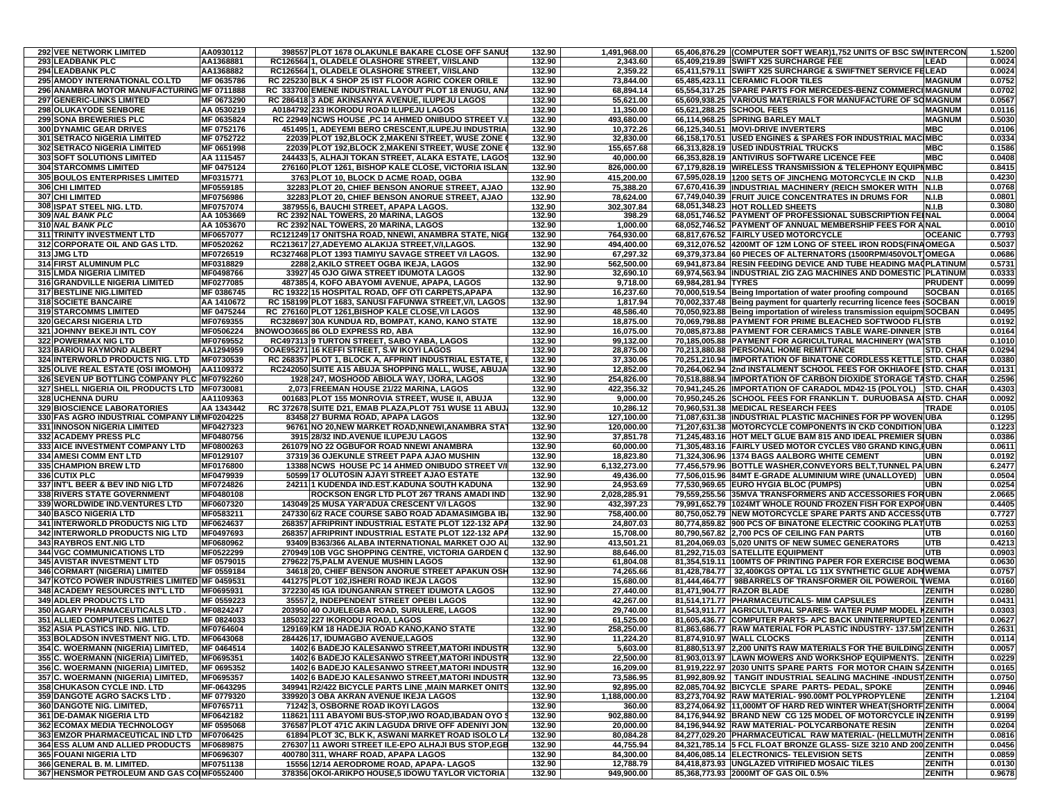| <b>292 VEE NETWORK LIMITED</b>                                                              | AA0930112                | 398557 PLOT 1678 OLAKUNLE BAKARE CLOSE OFF SANUS                                                      | 132.90           | 1,491,968.00              |                     | 65,406,876.29 (COMPUTER SOFT WEAR)1,752 UNITS OF BSC SWINTERCON                                                                      |                                 | 1.5200           |
|---------------------------------------------------------------------------------------------|--------------------------|-------------------------------------------------------------------------------------------------------|------------------|---------------------------|---------------------|--------------------------------------------------------------------------------------------------------------------------------------|---------------------------------|------------------|
| 293 LEADBANK PLC                                                                            | AA1368881                | RC126564 1, OLADELE OLASHORE STREET, V/ISLAND                                                         | 132.90           | 2,343.60                  |                     | 65,409,219.89 SWIFT X25 SURCHARGE FEE                                                                                                | LEAD                            | 0.0024           |
| <b>294 LEADBANK PLC</b>                                                                     | AA1368882                | RC126564 1, OLADELE OLASHORE STREET, V/ISLAND                                                         | 132.90           | 2,359.22                  |                     | 65,411,579.11 SWIFT X25 SURCHARGE & SWIFTNET SERVICE FELEAD                                                                          |                                 | 0.0024           |
| 295 AMODY INTERNATIONAL CO.LTD                                                              | MF 0635786               | RC 225230 BLK 4 SHOP 25 IST FLOOR AGRIC COKER ORILE                                                   | 132.90           | 73,844.00                 |                     | 65,485,423.11 CERAMIC FLOOR TILES                                                                                                    | <b>MAGNUM</b>                   | 0.0752           |
| 296 ANAMBRA MOTOR MANUFACTURING MF 0711888                                                  |                          | RC 333700 EMENE INDUSTRIAL LAYOUT PLOT 18 ENUGU, ANA                                                  | 132.90           | 68,894.14                 |                     | 65,554,317.25 SPARE PARTS FOR MERCEDES-BENZ COMMERCIMAGNUM                                                                           |                                 | 0.0702           |
| <b>297 GENERIC-LINKS LIMITED</b><br>298 OLUKAYODE SENBORE                                   | MF 0673290<br>AA 0530219 | RC 286418 3 ADE AKINSANYA AVENUE, ILUPEJU LAGOS<br>A0184792 233 IKORODU ROAD ILUPEJU LAGOS            | 132.90<br>132.90 | 55,621.00<br>11,350.00    |                     | 65,609,938.25 VARIOUS MATERIALS FOR MANUFACTURE OF SOMAGNUM<br>65,621,288.25 SCHOOL FEES                                             | <b>MAGNUM</b>                   | 0.0567<br>0.0116 |
| <b>299 SONA BREWERIES PLC</b>                                                               | MF 0635824               | RC 22949 NCWS HOUSE , PC 14 AHMED ONIBUDO STREET V.                                                   | 132.90           | 493.680.00                |                     | 66,114,968.25 SPRING BARLEY MALT                                                                                                     | <b>MAGNUM</b>                   | 0.5030           |
| <b>300 DYNAMIC GEAR DRIVES</b>                                                              | MF 0752176               | 451495 1, ADEYEMI BERO CRESCENT, ILUPEJU INDUSTRIA                                                    | 132.90           | 10,372.26                 |                     | 66,125,340.51 MOVI-DRIVE INVERTERS                                                                                                   | <b>MBC</b>                      | 0.0106           |
| <b>301 SETRACO NIGERIA LIMITED</b>                                                          | MF 0752722               | 22039 PLOT 192, BLOCK 2, MAKENI STREET, WUSE ZONE                                                     | 132.90           | 32,830.00                 |                     | 66,158,170.51   USED ENGINES & SPARES FOR INDUSTRIAL MAC MBC                                                                         |                                 | 0.0334           |
| 302 SETRACO NIGERIA LIMITED                                                                 | MF 0651998               | 22039 PLOT 192, BLOCK 2, MAKENI STREET, WUSE ZONE                                                     | 132.90           | 155,657.68                |                     | 66,313,828.19 USED INDUSTRIAL TRUCKS                                                                                                 | <b>MBC</b>                      | 0.1586           |
| 303 SOFT SOLUTIONS LIMITED                                                                  | AA 1115457               | 244433 5, ALHAJI TOKAN STREET, ALAKA ESTATE, LAGOS                                                    | 132.90           | 40,000.00                 |                     | 66,353,828.19 ANTIVIRUS SOFTWARE LICENCE FEE                                                                                         | <b>MBC</b>                      | 0.0408           |
| <b>304 STARCOMMS LIMITED</b>                                                                | MF 0475124               | 276160 PLOT 1261, BISHOP KALE CLOSE, VICTORIA ISLAN                                                   | 132.90           | 826,000.00                |                     | 67,179,828.19 WIRELESS TRANSMISSION & TELEPHONY EQUIPNMBC                                                                            |                                 | 0.8415           |
| <b>305 BOULOS ENTERPRISES LIMITED</b>                                                       | MF0315771                | 3763 PLOT 10, BLOCK D ACME ROAD, OGBA                                                                 | 132.90           | 415,200.00                |                     | 67,595,028.19 1200 SETS OF JINCHENG MOTORCYCLE IN CKD                                                                                | N.I.B                           | 0.4230           |
| 306 CHI LIMITED<br>307 CHI LIMITED                                                          | MF0559185                | 32283 PLOT 20, CHIEF BENSON ANORUE STREET, AJAO                                                       | 132.90           | 75,388.20                 |                     | 67,670,416.39 INDUSTRIAL MACHINERY (REICH SMOKER WITH                                                                                | <b>N.I.B</b>                    | 0.0768<br>0.0801 |
| 308 ISPAT STEEL NIG. LTD.                                                                   | MF0756986<br>MF0757074   | 32283 PLOT 20, CHIEF BENSON ANORUE STREET, AJAO<br>387955 6, BAUCHI STREET, APAPA LAGOS.              | 132.90<br>132.90 | 78,624.00<br>302.307.84   |                     | 67,749,040.39 FRUIT JUICE CONCENTRATES IN DRUMS FOR<br>68,051,348.23 HOT ROLLED SHEETS                                               | N.I.B<br><b>N.I.B</b>           | 0.3080           |
| 309 NAL BANK PLC                                                                            | AA 1053669               | RC 2392 NAL TOWERS, 20 MARINA, LAGOS                                                                  | 132.90           | 398.29                    |                     | 68,051,746.52 PAYMENT OF PROFESSIONAL SUBSCRIPTION FEINAL                                                                            |                                 | 0.0004           |
| 310 NAL BANK PLC                                                                            | AA 1053670               | RC 2392 NAL TOWERS, 20 MARINA, LAGOS                                                                  | 132.90           | 1,000.00                  |                     | 68,052,746.52 PAYMENT OF ANNUAL MEMBERSHIP FEES FOR ANAL                                                                             |                                 | 0.0010           |
| <b>311 TRINITY INVESTMENT LTD</b>                                                           | MF0657077                | RC121249 17 ONITSHA ROAD, NNEWI, ANAMBRA STATE, NIGI                                                  | 132.90           | 764.930.00                |                     | 68,817,676.52 FAIRLY USED MOTORCYCLE                                                                                                 | <b>OCEANIC</b>                  | 0.7793           |
| 312 CORPORATE OIL AND GAS LTD.                                                              | MF0520262                | RC213617 27, ADEYEMO ALAKIJA STREET, V/I, LAGOS.                                                      | 132.90           | 494,400.00                |                     | 69,312,076.52 4200MT OF 12M LONG OF STEEL IRON RODS(FINA OMEGA                                                                       |                                 | 0.5037           |
| 313 JMG LTD                                                                                 | MF0726519                | RC327468 PLOT 1393 TIAMIYU SAVAGE STREET V/I LAGOS.                                                   | 132.90           | 67,297.32                 |                     | 69,379,373.84 60 PIECES OF ALTERNATORS (1500RPM/450VOLT) OMEGA                                                                       |                                 | 0.0686           |
| <b>314 FIRST ALUMINUM PLC</b>                                                               | MF0318829                | 2288 2, AKILO STREET OGBA IKEJA, LAGOS                                                                | 132.90           | 562,500.00                |                     | 69,941,873.84 RESIN FEEDING DEVICE AND TUBE HEADING MACPLATINUM                                                                      |                                 | 0.5731           |
| <b>315 LMDA NIGERIA LIMITED</b>                                                             | MF0498766                | 33927 45 OJO GIWA STREET IDUMOTA LAGOS                                                                | 132.90<br>132.90 | 32,690.10                 |                     | 69,974,563.94 INDUSTRIAL ZIG ZAG MACHINES AND DOMESTIC PLATINUM                                                                      |                                 | 0.0333           |
| 316 GRANDVILLE NIGERIA LIMITED<br>317 BESTLINE NIG.LIMITED                                  | MF0277085<br>MF 0386745  | 487385 4, KOFO ABAYOMI AVENUE, APAPA, LAGOS<br>RC 19322 15 HOSPITAL ROAD, OFF OTI CARPETS, APAPA      | 132.90           | 9,718.00<br>16,237.60     | 69,984,281.94 TYRES | 70,000,519.54 Being Importation of water proofing compound                                                                           | <b>PRUDENT</b><br><b>SOCBAN</b> | 0.0099<br>0.0165 |
| 318 SOCIETE BANCAIRE                                                                        | AA 1410672               | RC 158199 PLOT 1683, SANUSI FAFUNWA STREET, V/I, LAGOS                                                | 132.90           | 1,817.94                  |                     | 70,002,337.48 Being payment for quarterly recurring licence fees SOCBAN                                                              |                                 | 0.0019           |
| <b>319 STARCOMMS LIMITED</b>                                                                | MF 0475244               | RC 276160 PLOT 1261, BISHOP KALE CLOSE, V/I LAGOS                                                     | 132.90           | 48,586.40                 |                     | 70,050,923.88 Being importation of wireless transmission equipm SOCBAN                                                               |                                 | 0.0495           |
| 320 GECARSI NIGERIA LTD                                                                     | MF0769355                | RC328697 30A KUNDUA RD, BOMPAT, KANO, KANO STATE                                                      | 132.90           | 18,875.00                 |                     | 70,069,798.88 PAYMENT FOR PRIME BLEACHED SOFTWOOD FLISTB                                                                             |                                 | 0.0192           |
| 321 JOHNNY BEKEJI INTL COY                                                                  | MF0506224                | <b>BNOWOO3665 86 OLD EXPRESS RD, ABA</b>                                                              | 132.90           | 16,075.00                 |                     | 70,085,873.88 PAYMENT FOR CERAMICS TABLE WARE-DINNER STB                                                                             |                                 | 0.0164           |
| <b>322 POWERMAX NIG LTD</b>                                                                 | MF0769552                | RC497313 9 TURTON STREET, SABO YABA, LAGOS                                                            | 132.90           | 99,132.00                 |                     | 70,185,005.88 PAYMENT FOR AGRICULTURAL MACHINERY (WA1STB                                                                             |                                 | 0.1010           |
| 323 BARIOU RAYMOND ALBERT                                                                   | AA1294959                | OOAE95271 16 KEFFI STREET, S.W IKOYI LAGOS                                                            | 132.90           | 28,875.00                 |                     | 70,213,880.88 PERSONAL HOME REMITTANCE                                                                                               | <b>STD. CHAF</b>                | 0.0294           |
| <b>324 INTERWORLD PRODUCTS NIG. LTD</b>                                                     | MF0730539                | RC 268357 PLOT 1, BLOCK A, AFPRINT INDUSTRIAL ESTATE,                                                 | 132.90           | 37,330.06                 |                     | 70,251,210.94  IMPORTATION OF BINATONE CORDLESS KETTLE STD. CHAF                                                                     |                                 | 0.0380           |
| 325 OLIVE REAL ESTATE (OSI IMOMOH) AA1109372<br>326 SEVEN UP BOTTLING COMPANY PLC MF0792260 |                          | RC242050 SUITE A15 ABUJA SHOPPING MALL, WUSE, ABUJA<br>1928 247, MOSHOOD ABIOLA WAY, IJORA, LAGOS     | 132.90<br>132.90 | 12,852.00<br>254,826.00   |                     | 70,264,062.94 2nd INSTALMENT SCHOOL FEES FOR OKHIAOFE ISTD. CHAF<br>70,518,888.94  IMPORTATION OF CARBON DIOXIDE STORAGE TASTD. CHAR |                                 | 0.0131<br>0.2596 |
| 327 SHELL NIGERIA OIL PRODUCTS LTD MF0730081                                                |                          | 2,073 FREEMAN HOUSE 21/22 MARINA, LAGOS                                                               | 132.90           | 422.356.32                |                     | 70,941,245.26  IMPORTATION OF CARADOL MD42-15 (POLYOL) STD. CHAR                                                                     |                                 | 0.4303           |
| 328 UCHENNA DURU                                                                            | AA1109363                | 001683 PLOT 155 MONROVIA STREET, WUSE II, ABUJA                                                       | 132.90           | 9,000.00                  |                     | 70,950,245.26 SCHOOL FEES FOR FRANKLIN T. DURUOBASA AISTD. CHAR                                                                      |                                 | 0.0092           |
| 329 BIOSCIENCE LABORATORIES                                                                 | AA 1343442               | RC 372678 SUITE D21, EMAB PLAZA, PLOT 751 WUSE 11 ABUJ                                                | 132.90           | 10,286.12                 |                     | 70,960,531.38 MEDICAL RESEARCH FEES                                                                                                  | <b>TRADE</b>                    | 0.0105           |
| 330 FAS AGRO INDUSTRIAL COMPANY LINMF0204225                                                |                          | 83458 27 BURMA ROAD, APAPA LAGOS                                                                      | 132.90           | 127,100.00                |                     | 71,087,631.38 INDUSTRIAL PLASTIC MACHINES FOR PP WOVEN UBA                                                                           |                                 | 0.1295           |
| <b>331 INNOSON NIGERIA LIMITED</b>                                                          | MF0427323                | 96761 NO 20, NEW MARKET ROAD, NNEWI, ANAMBRA STAT                                                     | 132.90           | 120,000.00                |                     | 71,207,631.38 MOTORCYCLE COMPONENTS IN CKD CONDITION UBA                                                                             |                                 | 0.1223           |
| 332 ACADEMY PRESS PLC                                                                       | MF0480756                | 3915 28/32 IND.AVENUE ILUPEJU LAGOS                                                                   | 132.90           | 37,851.78                 |                     | 71,245,483.16 HOT MELT GLUE BAM 815 AND IDEAL PREMIER SIUBN                                                                          |                                 | 0.0386           |
| 333 AICE INVESTMENT COMPANY LTD                                                             | MF0800263                | 261079 NO 22 OGBUFOR ROAD NNEWI ANAMBRA                                                               | 132.90           | 60,000.00                 |                     | 71,305,483.16 FAIRLY USED MOTOR CYCLES V80 GRAND KING, JUBN                                                                          |                                 | 0.0611           |
| 334 AMESI COMM ENT LTD<br>335 CHAMPION BREW LTD                                             | MF0129107<br>MF0176800   | 37319 36 OJEKUNLE STREET PAPA AJAO MUSHIN<br>13388 NCWS HOUSE PC 14 AHMED ONIBUDO STREET V/I          | 132.90<br>132.90 | 18,823.80<br>6,132,273.00 |                     | 71,324,306.96 1374 BAGS AALBORG WHITE CEMENT<br>77,456,579.96 BOTTLE WASHER,CONVEYORS BELT,TUNNEL PA UBN                             | <b>UBN</b>                      | 0.0192<br>6.2477 |
| 336 CUTIX PLC                                                                               | MF0479939                | 50599 17 OLUTOSIN AJAYI STREET AJAO ESTATE                                                            | 132.90           | 49,436.00                 |                     | 77,506,015.96 84MT E-GRADE ALUMINIUM WIRE (UNALLOYED)                                                                                | <b>UBN</b>                      | 0.0504           |
| 337 INT'L BEER & BEV IND NIG LTD                                                            | MF0724826                | 24211 1 KUDENDA IND.EST.KADUNA SOUTH KADUNA                                                           | 132.90           | 24,953.69                 |                     | 77,530,969.65 EURO HYGIA BLOC (PUMPS)                                                                                                | UBN                             | 0.0254           |
| 338 RIVERS STATE GOVERNMENT                                                                 | MF0480108                | ROCKSON ENGR LTD PLOT 267 TRANS AMADI IND                                                             | 132.90           | 2,028,285.91              |                     | 79,559,255.56 35MVA TRANSFORMERS AND ACCESSORIES FORUBN                                                                              |                                 | 2.0665           |
| 339 WORLDWIDE IND.VENTURES LTD                                                              | MF0607320                | 143049 25 MUSA YAR'ADUA CRESCENT V/I LAGOS                                                            | 132.90           | 432,397.23                |                     | 79,991,652.79 1024MT WHOLE ROUND FROZEN FISH FOR EXPORUBN                                                                            |                                 | 0.4405           |
| <b>340 BASCO NIGERIA LTD</b>                                                                | MF0583211                | 247330 6/2 RACE COURSE SABO ROAD ADAMASIMGBA IB                                                       | 132.90           | 758,400.00                |                     | 80,750,052.79  NEW MOTORCYCLE SPARE PARTS AND ACCESS(UTB                                                                             |                                 | 0.7727           |
| 341 INTERWORLD PRODUCTS NIG LTD                                                             | MF0624637                | 268357 AFRIPRINT INDUSTRIAL ESTATE PLOT 122-132 APA                                                   | 132.90           | 24,807.03                 |                     | 80,774,859.82 900 PCS OF BINATONE ELECTRIC COOKING PLATUTB                                                                           |                                 | 0.0253           |
| 342 INTERWORLD PRODUCTS NIG LTD                                                             | MF0497693                | 268357 AFRIPRINT INDUSTRIAL ESTATE PLOT 122-132 AP/                                                   | 132.90           | 15,708.00                 |                     | 80,790,567.82 2,700 PCS OF CEILING FAN PARTS                                                                                         | <b>UTB</b>                      | 0.0160           |
| 343 RAYBROS ENT.NIG LTD<br><b>344 VGC COMMUNICATIONS LTD</b>                                | MF0680962<br>MF0522299   | 93409 B363/366 ALABA INTERNATIONAL MARKET OJO AL<br>270949 10B VGC SHOPPING CENTRE, VICTORIA GARDEN O | 132.90<br>132.90 | 413,501.21<br>88,646.00   |                     | 81,204,069.03 5,020 UNITS OF NEW SUMEC GENERATORS<br>81,292,715.03 SATELLITE EQUIPMENT                                               | <b>UTB</b><br><b>UTB</b>        | 0.4213<br>0.0903 |
| <b>345 AVISTAR INVESTMENT LTD</b>                                                           | MF 0579015               | 279622 75, PALM AVENUE MUSHIN LAGOS                                                                   | 132.90           | 61,804.08                 |                     | 81,354,519.11 100MTS OF PRINTING PAPER FOR EXERCISE BOOWEMA                                                                          |                                 | 0.0630           |
| 346 CORMART (NIGERIA) LIMITED                                                               | MF 0559184               | 34618 20. CHIEF BENSON ANORUE STREET APAKUN OSH                                                       | 132.90           | 74,265.66                 |                     | 81,428,784.77 32,400KGS OPTAL LG 11X SYNTHETIC GLUE ADHWEMA                                                                          |                                 | 0.0757           |
| 347 KOTCO POWER INDUSTRIES LIMITED MF 0459531                                               |                          | 441275 PLOT 102, ISHERI ROAD IKEJA LAGOS                                                              | 132.90           | 15,680.00                 |                     | 81,444,464.77 98BARRELS OF TRANSFORMER OIL POWEROIL TWEMA                                                                            |                                 | 0.0160           |
| 348 ACADEMY RESOURCES INT'L LTD                                                             | MF0695931                | 372230 45 IGA IDUNGANRAN STREET IDUMOTA LAGOS                                                         | 132.90           | 27,440.00                 |                     | 81,471,904.77 RAZOR BLADE                                                                                                            | ZENITH                          | 0.0280           |
| <b>349 ADLER PRODUCTS LTD</b>                                                               | MF 0559223               | 35557 2, INDEPENDENT STREET OPEBI LAGOS                                                               | 132.90           | 42,267.00                 |                     | 81,514,171.77 PHARMACEUTICALS- MIM CAPSULES                                                                                          | ZENITH                          | 0.0431           |
| 350 AGARY PHARMACEUTICALS LTD.                                                              | MF0824247                | 203950 40 OJUELEGBA ROAD, SURULERE, LAGOS                                                             | 132.90           | 29,740.00                 |                     | 81,543,911.77   AGRICULTURAL SPARES-WATER PUMP MODEL HZENITH                                                                         |                                 | 0.0303           |
| <b>351 ALLIED COMPUTERS LIMITED</b>                                                         | MF 0824033<br>MF0764604  | 185032 227 IKORODU ROAD, LAGOS                                                                        | 132.90<br>132.90 | 61,525.00                 |                     | 81,605,436.77 COMPUTER PARTS- APC BACK UNINTERRUPTED ZENITH                                                                          |                                 | 0.0627<br>0.2631 |
| 352 ASIA PLASTICS IND. NIG. LTD.<br>353 BOLADSON INVESTMENT NIG. LTD.                       | MF0643068                | 129169 KM 18 HADEJIA ROAD KANO, KANO STATE<br>284426 17, IDUMAGBO AVENUE, LAGOS                       | 132.90           | 258,250.00<br>11,224.20   |                     | 81,863,686.77 RAW MATERIAL FOR PLASTIC INDUSTRY- 137.5M ZENITH<br>81,874,910.97 WALL CLOCKS                                          | <b>ZENITH</b>                   | 0.0114           |
| 354 C. WOERMANN (NIGERIA) LIMITED,                                                          | MF 0464514               | 1402 6 BADEJO KALESANWO STREET, MATORI INDUSTR                                                        | 132.90           | 5,603.00                  |                     | 81,880,513.97 2,200 UNITS RAW MATERIALS FOR THE BUILDING ZENITH                                                                      |                                 | 0.0057           |
| 355 C. WOERMANN (NIGERIA) LIMITED,                                                          | MF0695351                | 1402 6 BADEJO KALESANWO STREET, MATORI INDUSTR                                                        | 132.90           | 22,500.00                 |                     | 81,903,013.97  LAWN MOWERS AND WORKSHOP EQUIPMENTS.  ZENITH                                                                          |                                 | 0.0229           |
| 356 C. WOERMANN (NIGERIA) LIMITED,                                                          | MF 0695352               | 1402 6 BADEJO KALESANWO STREET, MATORI INDUSTR                                                        | 132.90           | 16,209.00                 |                     | 81,919,222.97 2030 UNITS SPARE PARTS FOR MOTOR CHAIN SAZENITH                                                                        |                                 | 0.0165           |
| 357 C. WOERMANN (NIGERIA) LIMITED,                                                          | MF0695357                | 1402 6 BADEJO KALESANWO STREET, MATORI INDUSTR                                                        | 132.90           | 73,586.95                 |                     | 81,992,809.92   TANGIT INDUSTRIAL SEALING MACHINE -INDUST ZENITH                                                                     |                                 | 0.0750           |
| 358 CHUKASON CYCLE IND. LTD                                                                 | MF-0643295               | 349941 R2/422 BICYCLE PARTS LINE , MAIN MARKET ONITS                                                  | 132.90           | 92,895.00                 |                     | 82,085,704.92 BICYCLE SPARE PARTS- PEDAL, SPOKE                                                                                      | <b>ZENITH</b>                   | 0.0946           |
| 359 DANGOTE AGRO SACKS LTD.                                                                 | MF 0779320               | 339920 3 OBA AKRAN AVENUE IKEJA LAGOS                                                                 | 132.90           | 1,188,000.00              |                     | 83,273,704.92 RAW MATERIAL- 990.00MT POLYPROPYLENE                                                                                   | <b>ZENITH</b>                   | 1.2104           |
| 360 DANGOTE NIG. LIMITED,                                                                   | MF0765711                | 71242 3, OSBORNE ROAD IKOYI LAGOS<br>118621 111 ABAYOMI BUS-STOP, IWO ROAD, IBADAN OYO \$             | 132.90           | 360.00                    |                     | 83,274,064.92 11,000MT OF HARD RED WINTER WHEAT(SHORTF ZENITH                                                                        |                                 | 0.0004           |
| 361 DE-DAMAK NIGERIA LTD<br>362 ECOMAX MEDIA TECHNOLOGY                                     | MF0642182<br>MF 0595068  | 376587 PLOT 471C AKIN LAGUDA DRIVE OFF ADENIYI JON                                                    | 132.90<br>132.90 | 902,880.00<br>20,000.00   |                     | 84,176,944.92 BRAND NEW CG 125 MODEL OF MOTORCYCLE IN ZENITH<br>84,196,944.92 RAW MATERIAL- POLYCARBONATE RESIN                      | ZENITH                          | 0.9199<br>0.0204 |
| 363 EMZOR PHARMACEUTICAL IND LTD MF0706425                                                  |                          | 61894 PLOT 3C, BLK K, ASWANI MARKET ROAD ISOLO LA                                                     | 132.90           | 80,084.28                 |                     | 84,277,029.20 PHARMACEUTICAL RAW MATERIAL- (HELLMUTH ZENITH                                                                          |                                 | 0.0816           |
| <b>364 ESS ALUM AND ALLIED PRODUCTS</b>                                                     | MF0689875                | 276307 11 AWORI STREET ILE-EPO ALHAJI BUS STOP,EGB                                                    | 132.90           | 44,755.94                 |                     | 84,321,785.14 5 FCL FLOAT BRONZE GLASS- SIZE 3210 AND 200 ZENITH                                                                     |                                 | 0.0456           |
| <b>365 FOUANI NIGERIA LTD</b>                                                               | MF0696307                | 400780 311, WHARF ROAD, APAPA LAGOS                                                                   | 132.90           | 84,300.00                 |                     | 84,406,085.14 ELECTRONICS- TELEVISION SETS                                                                                           | <b>ZENITH</b>                   | 0.0859           |
| 366 GENERAL B. M. LIMITED.                                                                  | MF0751138                | 15556 12/14 AERODROME ROAD, APAPA- LAGOS                                                              | 132.90           | 12,788.79                 |                     | 84,418,873.93 UNGLAZED VITRIFIED MOSAIC TILES                                                                                        | <b>ZENITH</b>                   | 0.0130           |
| 367 HENSMOR PETROLEUM AND GAS COIMF0552400                                                  |                          | 378356 OKOI-ARIKPO HOUSE,5 IDOWU TAYLOR VICTORIA                                                      | 132.90           | 949,900.00                |                     | 85,368,773.93 2000MT OF GAS OIL 0.5%                                                                                                 | <b>ZENITH</b>                   | 0.9678           |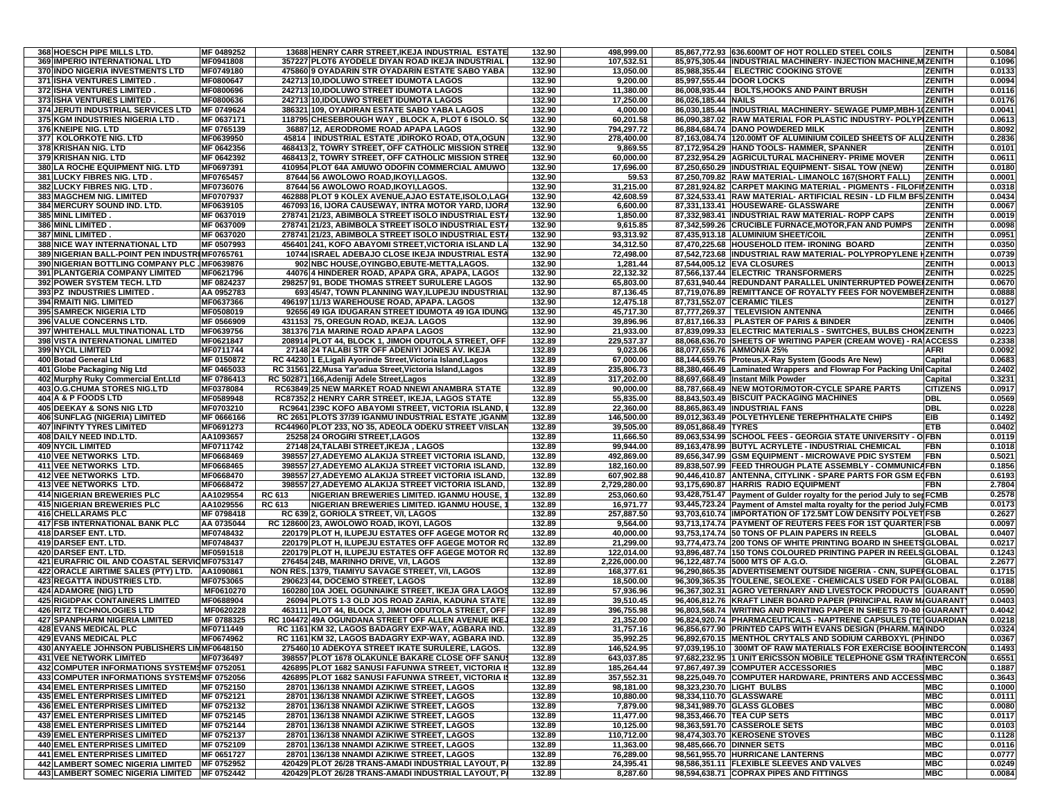| 368 HOESCH PIPE MILLS LTD.                     | MF 0489252 | 13688 HENRY CARR STREET, IKEJA INDUSTRIAL ESTATE             | 132.90           | 498,999.00   | 85,867,772.93 636.600MT OF HOT ROLLED STEEL COILS                       | <b>ZENITH</b>   | 0.5084 |
|------------------------------------------------|------------|--------------------------------------------------------------|------------------|--------------|-------------------------------------------------------------------------|-----------------|--------|
| 369 IMPERIO INTERNATIONAL LTD                  | MF0941808  | 357227 PLOT6 AYODELE DIYAN ROAD IKEJA INDUSTRIAL             | 132.90           | 107,532.51   | 85,975,305.44 INDUSTRIAL MACHINERY- INJECTION MACHINE, M ZENITH         |                 | 0.1096 |
| 370 INDO NIGERIA INVESTMENTS LTD               | MF0749180  | 475860 9 OYADARIN STR OYADARIN ESTATE SABO YABA              | 132.90           | 13,050.00    | 85,988,355.44   ELECTRIC COOKING STOVE                                  | <b>ZENITH</b>   | 0.0133 |
| 371 ISHA VENTURES LIMITED                      | MF0800647  | 242713 10.IDOLUWO STREET IDUMOTA LAGOS                       | 132.90           | 9,200.00     | 85.997.555.44 DOOR LOCKS                                                | <b>ZENITH</b>   | 0.0094 |
| 372 ISHA VENTURES LIMITED                      | MF0800696  | 242713 10, IDOLUWO STREET IDUMOTA LAGOS                      | 132.90           | 11,380.00    | 86.008.935.44 BOLTS.HOOKS AND PAINT BRUSH                               | ZENITH          | 0.0116 |
| 373 ISHA VENTURES LIMITED                      | MF0800636  | 242713 10, IDOLUWO STREET IDUMOTA LAGOS                      | 132.90           | 17,250.00    | 86,026,185.44 NAILS                                                     | ZENITH          | 0.0176 |
| 374 JERUTI INDUSTRIAL SERVICES LTD             | MF 0749624 | 386321 109, OYADIRAN ESTATE SABO YABA LAGOS                  | 132.90           | 4,000.00     | 86,030,185.44  INDUSTRIAL MACHINERY- SEWAGE PUMP, MBH-10ZENITH          |                 | 0.0041 |
| 375 KGM INDUSTRIES NIGERIA LTD                 | MF 0637171 | 118795 CHESEBROUGH WAY, BLOCK A, PLOT 6 ISOLO. SO            | 132.90           | 60,201.58    | 86,090,387.02 RAW MATERIAL FOR PLASTIC INDUSTRY- POLYPIZENITH           |                 | 0.0613 |
| 376 KNEIPE NIG. LTD                            | MF 0765139 | 36887 12, AERODROME ROAD APAPA LAGOS                         | 132.90           | 794,297.72   | 86,884,684.74 DANO POWDERED MILK                                        | <b>ZENITH</b>   | 0.8092 |
| 377 KOLORKOTE NIG. LTD                         | MF0639950  | 45814   INDUSTRIAL ESTATE ,IDIROKO ROAD, OTA,OGUN            | 132.90           | 278.400.00   | 87,163,084.74 120.00MT OF ALUMINIUM COILED SHEETS OF ALUZENITH          |                 | 0.2836 |
| 378 KRISHAN NIG. LTD                           | MF 0642356 | 468413 2, TOWRY STREET, OFF CATHOLIC MISSION STREE           | 132.90           | 9,869.55     | 87,172,954.29 HAND TOOLS- HAMMER, SPANNER                               | ZENITH          | 0.0101 |
| 379 KRISHAN NIG. LTD                           | MF 0642392 | 468413 2, TOWRY STREET, OFF CATHOLIC MISSION STREE           | 132.90           | 60,000.00    | 87,232,954.29 AGRICULTURAL MACHINERY- PRIME MOVER                       | <b>ZENITH</b>   | 0.0611 |
| <b>380 LA ROCHE EQUIPMENT NIG. LTD</b>         | MF0697391  | 410954 PLOT 64A AMUWO ODOFIN COMMERCIAL AMUWO                | 132.90           | 17,696.00    | 87,250,650.29 INDUSTRIAL EQUIPMENT- SISAL TOW (NEW)                     | <b>ZENITH</b>   | 0.0180 |
| 381 LUCKY FIBRES NIG. LTD.                     | MF0765457  | 87644 56 AWOLOWO ROAD, IKOYI, LAGOS.                         | 132.90           | 59.53        | 87,250,709.82 RAW MATERIAL- LIMANOLC 167(SHORT FALL                     | <b>ZENITH</b>   | 0.0001 |
| 382 LUCKY FIBRES NIG. LTD.                     | MF0736076  | 87644 56 AWOLOWO ROAD, IKOYI, LAGOS.                         | 132.90           | 31,215.00    | 87,281,924.82 CARPET MAKING MATERIAL - PIGMENTS - FILOFII ZENITH        |                 | 0.0318 |
| 383 MAGCHEM NIG. LIMITED                       | MF0707937  | 462888 PLOT 9 KOLEX AVENUE, AJAO ESTATE, ISOLO, LAGO         | 132.90           | 42,608.59    | 87,324,533.41 RAW MATERIAL- ARTIFICIAL RESIN - LD FILM BF5 ZENITH       |                 | 0.0434 |
|                                                |            | 467093 16, IJORA CAUSEWAY, INTRA MOTOR YARD, IJORA           |                  |              |                                                                         |                 |        |
| 384 MERCURY SOUND IND. LTD.                    | MF0639105  |                                                              | 132.90           | 6,600.00     | 87,331,133.41 HOUSEWARE- GLASSWARE                                      | ZENITH          | 0.0067 |
| <b>385 MINL LIMITED</b>                        | MF 0637019 | 278741 21/23, ABIMBOLA STREET ISOLO INDUSTRIAL EST.          | 132.90           | 1,850.00     | 87,332,983.41 INDUSTRIAL RAW MATERIAL-ROPP CAPS                         | ZENITH          | 0.0019 |
| 386 MINL LIMITED                               | MF 0637009 | 278741 21/23, ABIMBOLA STREET ISOLO INDUSTRIAL EST/          | 132.90           | 9,615.85     | 87,342,599.26 CRUCIBLE FURNACE, MOTOR, FAN AND PUMPS                    | <b>ZENITH</b>   | 0.0098 |
| <b>387 MINL LIMITED</b>                        | MF 0637020 | 278741 21/23, ABIMBOLA STREET ISOLO INDUSTRIAL EST/          | 132.90           | 93,313.92    | 87,435,913.18 ALUMINIUM SHEET/COIL                                      | ZENITH          | 0.0951 |
| 388 NICE WAY INTERNATIONAL LTD                 | MF 0507993 | 456401 241, KOFO ABAYOMI STREET, VICTORIA ISLAND LA          | 132.90           | 34,312.50    | 87,470,225.68 HOUSEHOLD ITEM- IRONING BOARD                             | ZENITH          | 0.0350 |
| 389 NIGERIAN BALL-POINT PEN INDUSTRIMF0765761  |            | 10744 ISRAEL ADEBAJO CLOSE IKEJA INDUSTRIAL ESTA             | 132.90           | 72,498.00    | 87,542,723.68 INDUSTRIAL RAW MATERIAL- POLYPROPYLENE HZENITH            |                 | 0.0739 |
| 390 NIGERIAN BOTTLING COMPANY PLC . MF0639876  |            | 902 NBC HOUSE, OYINGBO, EBUTE-METTA, LAGOS.                  | 132.90           | 1,281.44     | 87,544,005.12 EVA CLOSURES                                              | ZENITH          | 0.0013 |
| 391 PLANTGERIA COMPANY LIMITED                 | MF0621796  | 44076 4 HINDERER ROAD, APAPA GRA, APAPA, LAGOS               | 132.90           | 22,132.32    | 87,566,137.44 ELECTRIC TRANSFORMERS                                     | <b>ZENITH</b>   | 0.0225 |
| 392 POWER SYSTEM TECH. LTD                     | MF 0824237 | 298257 91, BODE THOMAS STREET SURULERE LAGOS                 | 132.90           | 65,803.00    | 87,631,940.44 REDUNDANT PARALLEL UNINTERRUPTED POWEIZENITH              |                 | 0.0670 |
| 393 PZ INDUSTRIES LIMITED.                     | AA 0952783 | 693 45/47, TOWN PLANNING WAY, ILUPEJU INDUSTRIAL             | 132.90           | 87,136.45    | 87,719,076.89 REMITTANCE OF ROYALTY FEES FOR NOVEMBERZENITH             |                 | 0.0888 |
| 394 RMAITI NIG. LIMITED                        | MF0637366  | 496197 11/13 WAREHOUSE ROAD, APAPA, LAGOS                    | 132.90           | 12,475.18    | 87,731,552.07 CERAMIC TILES                                             | ZENITH          | 0.0127 |
| <b>395 SAMRECK NIGERIA LTD</b>                 | MF0508019  | 92656 49 IGA IDUGARAN STREET IDUMOTA 49 IGA IDUNG            | 132.90           | 45,717.30    | 87,777,269.37   TELEVISION ANTENNA                                      | ZENITH          | 0.0466 |
| <b>396 VALUE CONCERNS LTD.</b>                 | MF 0566909 | 431153 75, OREGUN ROAD, IKEJA. LAGOS                         | 132.90           | 39,896.96    | 87,817,166.33 PLASTER OF PARIS & BINDER                                 | <b>ZENITH</b>   | 0.0406 |
| 397 WHITEHALL MULTINATIONAL LTD                | MF0639756  | 381376 71A MARINE ROAD APAPA LAGOS                           | 132.90           | 21,933.00    | 87,839,099.33 ELECTRIC MATERIALS - SWITCHES, BULBS CHONZENITH           |                 | 0.0223 |
| <b>398 VISTA INTERNATIONAL LIMITED</b>         | MF0621847  | 208914 PLOT 44, BLOCK 1, JIMOH ODUTOLA STREET, OFF           | 132.89           | 229,537.37   | 88.068.636.70 SHEETS OF WRITING PAPER (CREAM WOVE) - RAIACCESS          |                 | 0.2338 |
| <b>399 NYCIL LIMITED</b>                       | MF0711744  |                                                              | 132.89           |              | 88.077.659.76 AMMONIA 25%                                               |                 | 0.0092 |
|                                                |            | 27148 24 TALABI STR OFF ADENIYI JONES AV. IKEJA              |                  | 9,023.06     |                                                                         | AFRI            |        |
| 400 Botad General Ltd                          | MF 0150872 | RC 44230 1 E, Ligali Ayorinde Street, Victoria Island, Lagos | 132.89           | 67,000.00    | 88,144,659.76 Proteus, X-Ray System (Goods Are New)                     | Capital         | 0.0683 |
| 401 Globe Packaging Nig Ltd                    | MF 0465033 | RC 31561 22, Musa Yar'adua Street, Victoria Island, Lagos    | 132.89           | 235.806.73   | 88,380,466.49 Laminated Wrappers and Flowrap For Packing Unil Capital   |                 | 0.2402 |
| 402 Murphy Ruky Commercial Ent.Ltd             | MF 0786413 | RC 502871 166, Adeniji Adele Street, Lagos                   | 132.89           | 317,202.00   | 88,697,668.49 Instant Milk Powder                                       | Capital         | 0.3231 |
| <b>403 O.G.CHUMA STORES NIG.LTD</b>            | MF0378084  | RC63849 25 NEW MARKET ROAD NNEWI ANAMBRA STATE               | 132.89           | 90,000.00    | 88,787,668.49 NEW MOTOR/MOTOR-CYCLE SPARE PARTS                         | <b>CITIZENS</b> | 0.0917 |
| <b>404 A &amp; P FOODS LTD</b>                 | MF0589948  | RC87352 2 HENRY CARR STREET, IKEJA, LAGOS STATE              | 132.89           | 55,835.00    | 88,843,503.49 BISCUIT PACKAGING MACHINES                                | <b>DBL</b>      | 0.0569 |
| <b>405 DEEKAY &amp; SONS NIG LTD</b>           | MF0703210  | RC9641 239C KOFO ABAYOMI STREET, VICTORIA ISLAND.            | 132.89           | 22,360.00    | 88,865,863.49 INDUSTRIAL FANS                                           | <b>DBL</b>      | 0.0228 |
| 406 SUNFLAG (NIGERIA) LIMITED                  | MF 0666166 | RC 2651 PLOTS 37/39 IGANMU INDUSTRIAL ESTATE ,IGANM          | 132.89           | 146,500.00   | 89,012,363.49 POLYETHYLENE TEREPHTHALATE CHIPS                          | <b>EIB</b>      | 0.1492 |
| <b>407 INFINTY TYRES LIMITED</b>               | MF0691273  | RC44960 PLOT 233, NO 35, ADEOLA ODEKU STREET V/ISLAN         | 132.89           | 39,505.00    | 89,051,868.49 TYRES                                                     | <b>ETB</b>      | 0.0402 |
| 408 DAILY NEED IND.LTD.                        | AA1093657  | 25258 24 OROGIRI STREET, LAGOS                               | 132.89           | 11,666.50    | 89,063,534.99 SCHOOL FEES - GEORGIA STATE UNIVERSITY - OFBN             |                 | 0.0119 |
| <b>409 NYCIL LIMITED</b>                       | MF0711742  | 27148 24, TALABI STREET, IKEJA, LAGOS                        | 132.89           | 99,944.00    | 89,163,478.99 BUTYL ACRYLETE - INDUSTRIAL CHEMICAL                      | <b>FBN</b>      | 0.1018 |
| 410 VEE NETWORKS LTD.                          | MF0668469  | 398557 27, ADEYEMO ALAKIJA STREET VICTORIA ISLAND            | 132.89           | 492,869.00   | 89,656,347.99 GSM EQUIPMENT - MICROWAVE PDIC SYSTEM                     | <b>FBN</b>      | 0.5021 |
| 411 VEE NETWORKS LTD.                          | MF0668465  | 398557 27, ADEYEMO ALAKIJA STREET VICTORIA ISLAND            | 132.89           | 182,160.00   | 89,838,507.99 FEED THROUGH PLATE ASSEMBLY - COMMUNICAFBN                |                 | 0.1856 |
| 412 VEE NETWORKS LTD.                          | MF0668470  | 398557 27, ADEYEMO ALAKIJA STREET VICTORIA ISLAND,           | 132.89           | 607,902.88   | 90,446,410.87 ANTENNA, CITYLINK - SPARE PARTS FOR GSM EQFBN             |                 | 0.6193 |
| 413 VEE NETWORKS LTD.                          | MF0668472  | 398557 27, ADEYEMO ALAKIJA STREET VICTORIA ISLAND,           | 132.89           | 2,729,280.00 | 93,175,690.87 HARRIS RADIO EQUIPMENT                                    | <b>FBN</b>      | 2.7804 |
| <b>414 NIGERIAN BREWERIES PLC</b>              | AA1029554  | NIGERIAN BREWERIES LIMITED. IGANMU HOUSE,<br>RC 613          | 132.89           | 253,060.60   | 93,428,751.47 Payment of Gulder royalty for the period July to set FCMB |                 | 0.2578 |
|                                                |            | <b>RC 613</b><br>NIGERIAN BREWERIES LIMITED. IGANMU HOUSE,   |                  |              |                                                                         |                 | 0.0173 |
| <b>415 NIGERIAN BREWERIES PLC</b>              | AA1029556  |                                                              | 132.89<br>132.89 | 16,971.77    | 93,445,723.24 Payment of Amstel malta royalty for the period July FCMB  |                 | 0.2627 |
| <b>416 CHELLARAMS PLC</b>                      | MF 0798418 | RC 639 2, GORIOLA STREET, V/I, LAGOS                         |                  | 257,887.50   | 93,703,610.74  IMPORTATION OF 172.5MT LOW DENSITY POLYET FSB            |                 |        |
| <b>417 FSB INTERNATIONAL BANK PLC</b>          | AA 0735044 | RC 128600 23, AWOLOWO ROAD, IKOYI, LAGOS                     | 132.89           | 9,564.00     | 93,713,174.74 PAYMENT OF REUTERS FEES FOR 1ST QUARTER FSB               |                 | 0.0097 |
| 418 DARSEF ENT. LTD.                           | MF0748432  | 220179 PLOT H, ILUPEJU ESTATES OFF AGEGE MOTOR RO            | 132.89           | 40,000.00    | 93,753,174.74 50 TONS OF PLAIN PAPERS IN REELS                          | <b>GLOBAL</b>   | 0.0407 |
| 419 DARSEF ENT. LTD.                           | MF0748437  | 220179 PLOT H, ILUPEJU ESTATES OFF AGEGE MOTOR RO            | 132.89           | 21,299.00    | 93,774,473.74 200 TONS OF WHITE PRINTING BOARD IN SHEETS GLOBAL         |                 | 0.0217 |
| 420 DARSEF ENT. LTD.                           | MF0591518  | 220179 PLOT H, ILUPEJU ESTATES OFF AGEGE MOTOR RO            | 132.89           | 122.014.00   | 93,896,487.74 150 TONS COLOURED PRINTING PAPER IN REELS GLOBAL          |                 | 0.1243 |
| 421 EURAFRIC OIL AND COASTAL SERVIOMF0753147   |            | 276454 24B, MARINHO DRIVE, V/I, LAGOS                        | 132.89           | 2,226,000.00 | 96,122,487.74 5000 MTS OF A.G.O.                                        | <b>GLOBAL</b>   | 2.2677 |
| 422 ORACLE AIRTIME SALES (PTY) LTD.            | AA1090861  | NON RES. 1379, TIAMIYU SAVAGE STREET, V/I, LAGOS             | 132.89           | 168,377.61   | 96,290,865.35 ADVERTISEMENT OUTSIDE NIGERIA - CNN, SUPENGLOBAL          |                 | 0.1715 |
| <b>423 REGATTA INDUSTRIES LTD.</b>             | MF0753065  | 290623 44, DOCEMO STREET, LAGOS                              | 132.89           | 18,500.00    | 96.309.365.35 TOULENE, SEOLEXE - CHEMICALS USED FOR PAI GLOBAL          |                 | 0.0188 |
| <b>424 ADAMORE (NIG) LTD</b>                   | MF0610270  | 160280 10A JOEL OGUNNAIKE STREET, IKEJA GRA LAGOS            | 132.89           | 57,936.96    | 96,367,302.31 AGRO VETERNARY AND LIVESTOCK PRODUCTS GUARANT             |                 | 0.0590 |
| <b>425 RIGIDPAK CONTAINERS LIMITED</b>         | MF0688904  | 26094 PLOTS 1-3 OLD JOS ROAD ZARIA, KADUNA STATE             | 132.89           | 39,510.45    | 96,406,812.76 KRAFT LINER BOARD PAPER (PRINCIPAL RAW M/GUARANT          |                 | 0.0403 |
| <b>426 RITZ TECHNOLOGIES LTD</b>               | MF0620228  | 463111 PLOT 44, BLOCK J, JIMOH ODUTOLA STREET, OFF           | 132.89           | 396,755.98   | 96,803,568.74 WRITING AND PRINTING PAPER IN SHEETS 70-80 GUARANT        |                 | 0.4042 |
| <b>427 SPANPHARM NIGERIA LIMITED</b>           | MF 0788325 | RC 104472 49A OGUNDANA STREET OFF ALLEN AVENUE IKE.          | 132.89           | 21,352.00    | 96,824,920.74 PHARMACEUTICALS - NAPTRENE CAPSULES (TE GUARDIAN          |                 | 0.0218 |
| <b>428 EVANS MEDICAL PLC</b>                   | MF0711449  | RC 1161 KM 32, LAGOS BADAGRY EXP-WAY, AGBARA IND.            | 132.89           | 31,757.16    | 96,856,677.90 PRINTED CAPS WITH EVANS DESIGN (PHARM. MAINDO             |                 | 0.0324 |
| <b>429 EVANS MEDICAL PLC</b>                   | MF0674962  | RC 1161 KM 32, LAGOS BADAGRY EXP-WAY, AGBARA IND.            | 132.89           | 35,992.25    | 96,892,670.15 MENTHOL CRYTALS AND SODIUM CARBOXYL (PHINDO               |                 | 0.0367 |
| 430 ANYAELE JOHNSON PUBLISHERS LIMMF0648150    |            | 275460 10 ADEKOYA STREET IKATE SURULERE, LAGOS.              | 132.89           | 146,524.95   | 97,039,195.10   300MT OF RAW MATERIALS FOR EXERCISE BOOIINTERCON        |                 | 0.1493 |
| <b>431 VEE NETWORK LIMITED</b>                 | MF0736497  | 398557 PLOT 1678 OLAKUNLE BAKARE CLOSE OFF SANUS             | 132.89           | 643,037.85   | 97.682.232.95 1 UNIT ERICSSON MOBILE TELEPHONE GSM TRAIINTERCON         |                 | 0.6551 |
| 432 COMPUTER INFORMATIONS SYSTEMSMF 0752051    |            | 426895 PLOT 1682 SANUSI FAFUNWA STREET, VICTORIA IS          | 132.89           | 185,264.44   | 97,867,497.39 COMPUTER ACCESSORIES                                      | <b>MBC</b>      | 0.1887 |
| 433 COMPUTER INFORMATIONS SYSTEMSMF 0752056    |            | 426895 PLOT 1682 SANUSI FAFUNWA STREET, VICTORIA IS          | 132.89           | 357,552.31   | 98,225,049.70 COMPUTER HARDWARE, PRINTERS AND ACCESSMBC                 |                 | 0.3643 |
| <b>434 EMEL ENTERPRISES LIMITED</b>            | MF 0752150 | 28701 136/138 NNAMDI AZIKIWE STREET, LAGOS                   | 132.89           | 98,181.00    | 98,323,230.70 LIGHT BULBS                                               | <b>MBC</b>      | 0.1000 |
|                                                | MF 0752121 | 28701 136/138 NNAMDI AZIKIWE STREET, LAGOS                   | 132.89           | 10,880.00    | 98,334,110.70 GLASSWARE                                                 | <b>MBC</b>      | 0.0111 |
| <b>435 EMEL ENTERPRISES LIMITED</b>            |            |                                                              |                  |              |                                                                         |                 |        |
| <b>436 EMEL ENTERPRISES LIMITED</b>            | MF 0752132 | 28701 136/138 NNAMDI AZIKIWE STREET, LAGOS                   | 132.89           | 7,879.00     | 98,341,989.70 GLASS GLOBES                                              | <b>MBC</b>      | 0.0080 |
| <b>437 EMEL ENTERPRISES LIMITED</b>            | MF 0752145 | 28701 136/138 NNAMDI AZIKIWE STREET, LAGOS                   | 132.89           | 11,477.00    | 98,353,466.70 TEA CUP SETS                                              | <b>MBC</b>      | 0.0117 |
| <b>438 EMEL ENTERPRISES LIMITED</b>            | MF 0752144 | 28701 136/138 NNAMDI AZIKIWE STREET, LAGOS                   | 132.89           | 10,125.00    | 98,363,591.70 CASSEROLE SETS                                            | <b>MBC</b>      | 0.0103 |
| <b>439 EMEL ENTERPRISES LIMITED</b>            | MF 0752137 | 28701 136/138 NNAMDI AZIKIWE STREET, LAGOS                   | 132.89           | 110,712.00   | 98,474,303.70 KEROSENE STOVES                                           | <b>NBC</b>      | 0.1128 |
| <b>440 EMEL ENTERPRISES LIMITED</b>            | MF 0752109 | 28701 136/138 NNAMDI AZIKIWE STREET, LAGOS                   | 132.89           | 11,363.00    | 98,485,666.70 DINNER SETS                                               | <b>MBC</b>      | 0.0116 |
| <b>441 EMEL ENTERPRISES LIMITED</b>            | MF 0651727 | 28701 136/138 NNAMDI AZIKIWE STREET, LAGOS                   | 132.89           | 76,289.00    | 98,561,955.70 HURRICANE LANTERNS                                        | <b>MBC</b>      | 0.0777 |
| 442 LAMBERT SOMEC NIGERIA LIMITED MF 0752952   |            | 420429 PLOT 26/28 TRANS-AMADI INDUSTRIAL LAYOUT, PA          | 132.89           | 24,395.41    | 98,586,351.11 FLEXIBLE SLEEVES AND VALVES                               | <b>MBC</b>      | 0.0249 |
| 443 LAMBERT SOMEC NIGERIA LIMITED   MF 0752442 |            | 420429 PLOT 26/28 TRANS-AMADI INDUSTRIAL LAYOUT, P/          | 132.89           | 8,287.60     | 98,594,638.71 COPRAX PIPES AND FITTINGS                                 | <b>MBC</b>      | 0.0084 |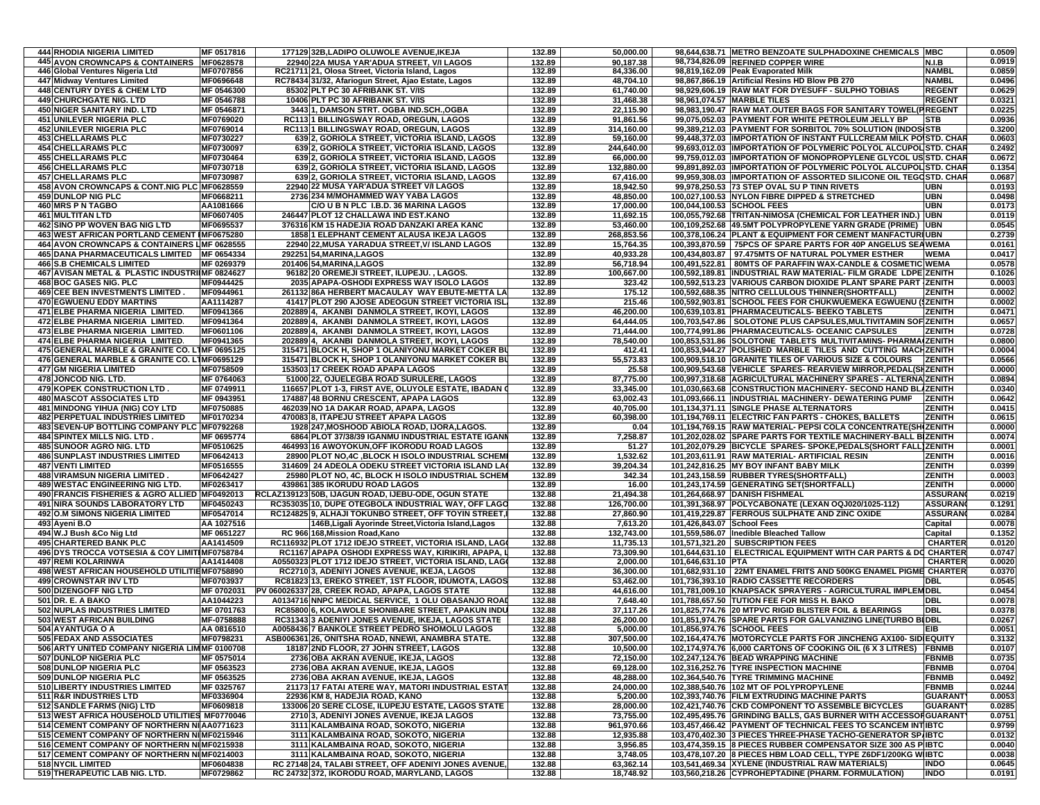|     | <b>444 RHODIA NIGERIA LIMITED</b>                                                             | MF 0517816              | 177129 32B,LADIPO OLUWOLE AVENUE, IKEJA                                                                 | 132.89           | 50,000.00               |                            | 98,644,638.71 METRO BENZOATE SULPHADOXINE CHEMICALS MBC                                                                            |                                | 0.0509           |
|-----|-----------------------------------------------------------------------------------------------|-------------------------|---------------------------------------------------------------------------------------------------------|------------------|-------------------------|----------------------------|------------------------------------------------------------------------------------------------------------------------------------|--------------------------------|------------------|
|     | 445 AVON CROWNCAPS & CONTAINERS MF0628578                                                     |                         | 22940 22A MUSA YAR'ADUA STREET. V/I LAGOS                                                               | 132.89           | 90.187.38               |                            | 98,734,826.09 REFINED COPPER WIRE                                                                                                  | <b>N.I.B</b>                   | 0.0919           |
|     | 446 Global Ventures Nigeria Ltd                                                               | MF0707856               | RC21711 21, Olosa Street, Victoria Island, Lagos                                                        | 132.89           | 84,336.00               |                            | 98,819,162.09 Peak Evaporated Milk                                                                                                 | <b>NAMBL</b>                   | 0.0859           |
|     | 447 Midway Ventures Limited<br><b>448 CENTURY DYES &amp; CHEM LTD</b>                         | MF0696648<br>MF 0546300 | RC78434 31/32, Afariogun Street, Ajao Estate, Lagos<br>85302 PLT PC 30 AFRIBANK ST. V/IS                | 132.89<br>132.89 | 48,704.10<br>61,740.00  |                            | 98,867,866.19 Artificial Resins HD Blow PB 270<br>98,929,606.19 RAW MAT FOR DYESUFF - SULPHO TOBIAS                                | <b>NAMBL</b><br><b>REGENT</b>  | 0.0496<br>0.0629 |
|     | <b>449 CHURCHGATE NIG. LTD</b>                                                                | MF 0546788              | 10406 PLT PC 30 AFRIBANK ST. V/IS                                                                       | 132.89           | 31,468.38               |                            | 98,961,074.57 MARBLE TILES                                                                                                         | <b>REGENT</b>                  | 0.0321           |
|     | <b>450 NIGER SANITARY IND. LTD</b>                                                            | MF 0546871              | 3443 1, DAMSON STRT. OGBA IND.SCH., OGBA                                                                | 132.89           | 22,115.90               |                            | 98,983,190.47 RAW MAT.OUTER BAGS FOR SANITARY TOWEL(PREGENT                                                                        |                                | 0.0225           |
|     | <b>451 UNILEVER NIGERIA PLC</b>                                                               | MF0769020               | RC113 1 BILLINGSWAY ROAD, OREGUN, LAGOS                                                                 | 132.89           | 91,861.56               |                            | 99,075,052.03 PAYMENT FOR WHITE PETROLEUM JELLY BP                                                                                 | <b>STB</b>                     | 0.0936           |
|     | <b>452 UNILEVER NIGERIA PLC</b>                                                               | MF0769014               | RC113 1 BILLINGSWAY ROAD, OREGUN, LAGOS                                                                 | 132.89           | 314,160.00              |                            | 99,389,212.03 PAYMENT FOR SORBITOL 70% SOLUTION (INDOS STB                                                                         |                                | 0.3200           |
|     | <b>453 CHELLARAMS PLC</b>                                                                     | MF0730227               | 639 2, GORIOLA STREET, VICTORIA ISLAND, LAGOS                                                           | 132.89           | 59,160.00               |                            | 99.448.372.03 IIMPORTATION OF INSTANT FULLCREAM MILK POISTD. CHAR                                                                  |                                | 0.0603           |
|     | <b>454 CHELLARAMS PLC</b>                                                                     | MF0730097               | 639 2, GORIOLA STREET, VICTORIA ISLAND, LAGOS                                                           | 132.89           | 244,640.00              |                            | 99,693,012.03  IMPORTATION OF POLYMERIC POLYOL ALCUPOL STD. CHAR                                                                   |                                | 0.2492           |
|     | <b>455 CHELLARAMS PLC</b><br><b>456 CHELLARAMS PLC</b>                                        | MF0730464<br>MF0730718  | 639 2, GORIOLA STREET, VICTORIA ISLAND, LAGOS<br>639 2, GORIOLA STREET, VICTORIA ISLAND, LAGOS          | 132.89<br>132.89 | 66,000.00<br>132,880.00 |                            | 99,759,012.03 IMPORTATION OF MONOPROPYLENE GLYCOL US STD. CHAR<br>99,891,892.03  IMPORTATION OF POLYMERIC POLYOL ALCUPOL STD. CHAR |                                | 0.0672<br>0.1354 |
|     | <b>457 CHELLARAMS PLC</b>                                                                     | MF0730987               | 639 2, GORIOLA STREET, VICTORIA ISLAND, LAGOS                                                           | 132.89           | 67,416.00               |                            | 99,959,308.03  IMPORTATION OF ASSORTED SILICONE OIL TEGOSTD. CHAR                                                                  |                                | 0.0687           |
|     | 458 AVON CROWNCAPS & CONT.NIG PLC MF0628559                                                   |                         | 22940 22 MUSA YAR'ADUA STREET V/I LAGOS                                                                 | 132.89           | 18,942.50               |                            | 99,978,250.53 73 STEP OVAL SU P TINN RIVETS                                                                                        | <b>UBN</b>                     | 0.0193           |
|     | <b>459 DUNLOP NIG PLC</b>                                                                     | MF0668211               | 2736 234 M/MOHAMMED WAY YABA LAGOS                                                                      | 132.89           | 48,850.00               |                            | 100,027,100.53 NYLON FIBRE DIPPED & STRETCHED                                                                                      | <b>UBN</b>                     | 0.0498           |
|     | 460 MRS P N TAGBO                                                                             | AA1081666               | C/O U B N PLC I.B.D. 36 MARINA LAGOS                                                                    | 132.89           | 17,000.00               | 100,044,100.53 SCHOOL FEES |                                                                                                                                    | <b>UBN</b>                     | 0.0173           |
|     | <b>461 MULTITAN LTD</b>                                                                       | MF0607405               | 246447 PLOT 12 CHALLAWA IND EST.KANO                                                                    | 132.89           | 11,692.15               |                            | 100,055,792.68 TRITAN-NIMOSA (CHEMICAL FOR LEATHER IND.)                                                                           | <b>UBN</b>                     | 0.0119           |
|     | <b>462 SINO PP WOVEN BAG NIG LTD</b>                                                          | MF0695537               | 376316 KM 15 HADEJIA ROAD DANZAKI AREA KANC                                                             | 132.89           | 53,460.00               |                            | 100.109.252.68 49.5MT POLYPROPYLENE YARN GRADE (PRIME) UBN                                                                         |                                | 0.0545           |
|     | 463 WEST AFRICAN PORTLAND CEMENT IMF0675280                                                   |                         | 1858 1 ELEPHANT CEMENT ALAUSA IKEJA LAGOS                                                               | 132.89           | 268,853.56              |                            | 100,378,106.24 PLANT & EQUIPMENT FOR CEMENT MANFACTURIUBN                                                                          |                                | 0.2739           |
|     | 464 AVON CROWNCAPS & CONTAINERS LIMF 0628555<br>465 DANA PHARMACEUTICALS LIMITED   MF 0654334 |                         | 22940 22, MUSA YARADUA STREET, V/ ISLAND LAGOS<br>292251 54, MARINA, LAGOS                              | 132.89<br>132.89 | 15,764.35<br>40,933.28  |                            | 100,393,870.59 75PCS OF SPARE PARTS FOR 40P ANGELUS SEAWEMA<br>100,434,803.87   97.475MTS OF NATURAL POLYMER ESTHER                | <b>WEMA</b>                    | 0.0161<br>0.0417 |
|     | <b>466 S.B CHEMICALS LIMITED</b>                                                              | MF 0269379              | 201406 54, MARINA, LAGOS                                                                                | 132.89           | 56,718.94               |                            | 100,491,522.81   80MTS OF PARAFFIN WAX-CANDLE & COSMETIC WEMA                                                                      |                                | 0.0578           |
|     | 467 AVISAN METAL & PLASTIC INDUSTRIIMF 0824627                                                |                         | 96182 20 OREMEJI STREET, ILUPEJU., LAGOS.                                                               | 132.89           | 100,667.00              |                            | 100,592,189.81  INDUSTRIAL RAW MATERIAL- FILM GRADE LDPE ZENITH                                                                    |                                | 0.1026           |
|     | <b>468 BOC GASES NIG. PLC</b>                                                                 | MF0944425               | 2035 APAPA-OSHODI EXPRESS WAY ISOLO LAGOS                                                               | 132.89           | 323.42                  |                            | 100,592,513.23 VARIOUS CARBON DIOXIDE PLANT SPARE PART ZENITH                                                                      |                                | 0.0003           |
|     | 469 CEE BEN INVESTMENTS LIMITED.                                                              | MF0944961               | 261132 86A HERBERT MACAULAY WAY EBUTE-METTA LA                                                          | 132.89           | 175.12                  |                            | 100,592,688.35 NITRO CELLULOUS THINNER(SHORTFALL)                                                                                  | ZENITH                         | 0.0002           |
|     | <b>470 EGWUENU EDDY MARTINS</b>                                                               | AA1114287               | 41417 PLOT 290 AJOSE ADEOGUN STREET VICTORIA ISL.                                                       | 132.89           | 215.46                  |                            | 100,592,903.81 SCHOOL FEES FOR CHUKWUEMEKA EGWUENU (3ZENITH                                                                        |                                | 0.0002           |
|     | 471 ELBE PHARMA NIGERIA LIMITED.                                                              | MF0941366               | 202889 4, AKANBI DANMOLA STREET, IKOYI, LAGOS                                                           | 132.89           | 46,200.00               |                            | 100,639,103.81 PHARMACEUTICALS- BEEKO TABLETS                                                                                      | <b>ZENITH</b>                  | 0.0471           |
|     | 472 ELBE PHARMA NIGERIA LIMITED.                                                              | MF0941364               | 202889 4, AKANBI DANMOLA STREET, IKOYI, LAGOS                                                           | 132.89           | 64,444.05               |                            | 100,703,547.86 SOLOTONE PLUS CAPSULES, MULTIVITAMIN SOF ZENITH                                                                     |                                | 0.0657           |
| 474 | 473 ELBE PHARMA NIGERIA LIMITED.                                                              | MF0601106<br>MF0941365  | 202889 4, AKANBI DANMOLA STREET, IKOYI, LAGOS<br>202889 4, AKANBI DANMOLA STREET, IKOYI, LAGOS          | 132.89<br>132.89 | 71,444.00<br>78,540.00  |                            | 100,774,991.86 PHARMACEUTICALS- OCEANIC CAPSULES<br>100,853,531.86 SOLOTONE TABLETS MULTIVITAMINS- PHARMA(ZENITH                   | ZENITH                         | 0.0728<br>0.0800 |
|     | ELBE PHARMA NIGERIA LIMITED.<br>475 GENERAL MARBLE & GRANITE CO. L1MF 0695125                 |                         | 315471 BLOCK H, SHOP 1 OLANIYONU MARKET COKER BU                                                        | 132.89           | 412.41                  |                            | 100,853,944.27 POLISHED MARBLE TILES AND CUTTING MACHZENITH                                                                        |                                | 0.0004           |
|     | 476 GENERAL MARBLE & GRANITE CO. L1MF0695129                                                  |                         | 315471 BLOCK H, SHOP 1 OLANIYONU MARKET COKER BU                                                        | 132.89           | 55,573.83               |                            | 100,909,518.10 GRANITE TILES OF VARIOUS SIZE & COLOURS                                                                             | <b>ZENITH</b>                  | 0.0566           |
|     | <b>477 GM NIGERIA LIMITED</b>                                                                 | MF0758509               | 153503 17 CREEK ROAD APAPA LAGOS                                                                        | 132.89           | 25.58                   |                            | 100,909,543.68 VEHICLE SPARES- REARVIEW MIRROR, PEDAL(SHZENITH                                                                     |                                | 0.0000           |
|     | 478 JONCOD NIG. LTD.                                                                          | MF 0764063              | 51000 22, OJUELEGBA ROAD SURULERE, LAGOS                                                                | 132.89           | 87,775.00               |                            | 100,997,318.68   AGRICULTURAL MACHINERY SPARES - ALTERNA ZENITH                                                                    |                                | 0.0894           |
|     | 479 KOPEK CONSTRUCTION LTD.                                                                   | MF 0749911              | 116657 PLOT 1-3, FIRST AVE, OLUYOLE ESTATE, IBADAN O                                                    | 132.89           | 33,345.00               |                            | 101,030,663.68 CONSTRUCTION MACHINERY- SECOND HAND BLAZENITH                                                                       |                                | 0.0340           |
|     | <b>480 MASCOT ASSOCIATES LTD</b>                                                              | MF 0943951              | 174887 48 BORNU CRESCENT, APAPA LAGOS                                                                   | 132.89           | 63,002.43               |                            | 101,093,666.11 INDUSTRIAL MACHINERY- DEWATERING PUMP                                                                               | <b>ZENITH</b>                  | 0.0642           |
|     | 481 MINDONG YIHUA (NIG) COY LTD                                                               | MF0750885               | 462039 NO 1A DAKAR ROAD, APAPA, LAGOS                                                                   | 132.89           | 40,705.00               |                            | 101,134,371.11 SINGLE PHASE ALTERNATORS                                                                                            | <b>ZENITH</b>                  | 0.0415           |
|     | <b>482 PERPETUAL INDUSTRIES LIMITED</b>                                                       | MF0170234               | 470083 8, ITAPEJU STREET APAPA LAGOS                                                                    | 132.89           | 60,398.00               |                            | 101,194,769.11 ELECTRIC FAN PARTS - CHOKES, BALLETS                                                                                | ZENITH                         | 0.0615           |
| 483 | SEVEN-UP BOTTLING COMPANY PLC MF0792268<br>484 SPINTEX MILLS NIG. LTD.                        | MF 0695774              | 1928 247, MOSHOOD ABIOLA ROAD, IJORA, LAGOS.<br>6864 PLOT 37/38/39 IGANMU INDUSTRIAL ESTATE IGANN       | 132.89<br>132.89 | 0.04<br>7,258.87        |                            | 101,194,769.15 RAW MATERIAL- PEPSI COLA CONCENTRATE(SH<br>101,202,028.02 SPARE PARTS FOR TEXTILE MACHINERY-BALL BIZENITH           | <b>IZENITH</b>                 | 0.0000<br>0.0074 |
|     | <b>485 SUNOOR AGRO NIG. LTD</b>                                                               | MF0510625               | 464993 16 AWOYOKUN, OFF IKORODU ROAD LAGOS                                                              | 132.89           | 51.27                   |                            | 101,202,079.29 BICYCLE SPARES- SPOKE, PEDALS (SHORT FALL) ZENITH                                                                   |                                | 0.0001           |
|     | <b>486 SUNPLAST INDUSTRIES LIMITED</b>                                                        | MF0642413               | 28900 PLOT NO,4C ,BLOCK H ISOLO INDUSTRIAL SCHEM                                                        | 132.89           | 1,532.62                |                            | 101,203,611.91 RAW MATERIAL- ARTIFICIAL RESIN                                                                                      | ZENITH                         | 0.0016           |
|     | <b>487 VENTI LIMITED</b>                                                                      | MF0516555               | 314609 24 ADEOLA ODEKU STREET VICTORIA ISLAND LA                                                        | 132.89           | 39,204.34               |                            | 101,242,816.25 MY BOY INFANT BABY MILK                                                                                             | <b>ZENITH</b>                  | 0.0399           |
|     | <b>488 VIRAMSUN NIGERIA LIMITED</b>                                                           | MF0642427               | 25980 PLOT NO, 4C, BLOCK H ISOLO INDUSTRIAL SCHEM                                                       | 132.89           | 342.34                  |                            | 101,243,158.59 RUBBER TYRES(SHORTFALL)                                                                                             | <b>ZENITH</b>                  | 0.0003           |
|     | <b>489 WESTAC ENGINEERING NIG LTD.</b>                                                        | MF0263417               | 439861 385 IKORUDU ROAD LAGOS                                                                           | 132.89           | 16.00                   |                            | 101,243,174.59 GENERATING SET(SHORTFALL)                                                                                           | <b>ZENITH</b>                  | 0.0000           |
|     | 490 FRANCIS FISHERIES & AGRO ALLIED MF0492013                                                 |                         | RCLAZ139123 50B, IJAGUN ROAD, IJEBU-ODE, OGUN STATE                                                     | 132.88           | 21,494.38               |                            | 101,264,668.97 DANISH FISHMEAL                                                                                                     | <b>ASSURAN</b>                 | 0.0219           |
|     | 491 NIRA SOUNDS LABORATORY LTD                                                                | MF0450243               | RC353035 10, DUPE OTEGBOLA INDUSTRIAL WAY, OFF LAGO                                                     | 132.88           | 126,700.00              |                            | 101,391,368.97 POLYCABONATE (LEXAN OQJ020/1025-112)                                                                                | <b>ASSURAN</b>                 | 0.1291           |
|     | <b>492 O.M SIMONS NIGERIA LIMITED</b>                                                         | MF0547014<br>AA 1027516 | RC124825 9, ALHAJI TOKUNBO STREET, OFF TOYIN STREET,                                                    | 132.88<br>132.88 | 27,860.90<br>7,613.20   | 101,426,843.07 School Fees | 101,419,229.87 FERROUS SULPHATE AND ZINC OXIDE                                                                                     | <b>ASSURAN</b>                 | 0.0284<br>0.0078 |
|     | 493 Ayeni B.O<br>494 W.J Bush & Co Nig Ltd                                                    | MF 0651227              | 146B, Ligali Ayorinde Street, Victoria Island, Lagos<br>RC 966 168, Mission Road, Kano                  | 132.88           | 132,743.00              |                            | 101,559,586.07 Inedible Bleached Tallow                                                                                            | Capital<br>Capital             | 0.1352           |
|     | <b>495 CHARTERED BANK PLC</b>                                                                 | AA1414509               | RC116932 PLOT 1712 IDEJO STREET, VICTORIA ISLAND, LAGO                                                  | 132.88           | 11,735.13               |                            | 101,571,321.20 SUBSCRIPTION FEES                                                                                                   | <b>CHARTER</b>                 | 0.0120           |
|     | 496 DYS TROCCA VOTSESIA & COY LIMITIMF0758784                                                 |                         | RC1167 APAPA OSHODI EXPRESS WAY, KIRIKIRI, APAPA, L                                                     | 132.88           | 73,309.90               |                            | 101,644,631.10   ELECTRICAL EQUIPMENT WITH CAR PARTS & DC CHARTER                                                                  |                                | 0.0747           |
|     | <b>497 REMI KOLARINWA</b>                                                                     | AA1414408               | A0550323 PLOT 1712 IDEJO STREET, VICTORIA ISLAND, LAGO                                                  | 132.88           | 2,000.00                | 101,646,631.10 PTA         |                                                                                                                                    | <b>CHARTER</b>                 | 0.0020           |
|     | 498 WEST AFRICAN HOUSEHOLD UTILITIEMF0758890                                                  |                         | RC2710 3, ADENIYI JONES AVENUE, IKEJA, LAGOS                                                            | 132.88           | 36,300.00               |                            | 101,682,931.10 22MT ENAMEL FRITS AND 500KG ENAMEL PIGME CHARTER                                                                    |                                | 0.0370           |
|     | <b>499 CROWNSTAR INV LTD</b>                                                                  | MF0703937               | RC81823 13, EREKO STREET, 1ST FLOOR, IDUMOTA, LAGOS                                                     | 132.88           | 53,462.00               |                            | 101,736,393.10 RADIO CASSETTE RECORDERS                                                                                            | <b>DBL</b>                     | 0.0545           |
|     | 500 DIZENGOFF NIG LTD                                                                         | MF 0702031              | V 060026337 28. CREEK ROAD. APAPA. LAGOS STATE                                                          | 132.88           | 44,616.00               |                            | 101,781,009.10 KNAPSACK SPRAYERS - AGRICULTURAL IMPLEM DBL                                                                         |                                | 0.0454           |
|     | <b>501 DR. E. A BAKO</b><br>502 NUPLAS INDUSTRIES LIMITED                                     | AA1044223<br>MF 0701763 | A0134716 NNPC MEDICAL SERVICE, 1 OLU OBASANJO ROAI                                                      | 132.88           | 7,648.40                |                            | 101,788,657.50 TUTION FEE FOR MISS H. BAKO<br>101.825.774.76 20 MTPVC RIGID BLISTER FOIL & BEARINGS                                | <b>DBL</b><br><b>DBL</b>       | 0.0078           |
|     | 503 WEST AFRICAN BUILDING                                                                     | MF-0758888              | RC85800 6, KOLAWOLE SHONIBARE STREET, APAKUN INDU<br>RC31343 3 ADENIYI JONES AVENUE. IKEJA, LAGOS STATE | 132.88<br>132.88 | 37,117.26<br>26,200.00  |                            | 101,851,974.76 SPARE PARTS FOR GALVANIZING LINE(TURBO BIDBL                                                                        |                                | 0.0378<br>0.0267 |
|     | 504 AYANTUGA O A                                                                              | AA 0816510              | A0058436 7 BANKOLE STREET PEDRO SHOMOLU LAGOS                                                           | 132.88           | 5,000.00                | 101,856,974.76 SCHOOL FEES |                                                                                                                                    | <b>EIB</b>                     | 0.0051           |
|     | <b>505 FEDAX AND ASSOCIATES</b>                                                               | MF0798231               | ASB006361 26, ONITSHA ROAD, NNEWI, ANAMBRA STATE.                                                       | 132.88           | 307,500.00              |                            | 102,164,474.76 MOTORCYCLE PARTS FOR JINCHENG AX100-SID EQUITY                                                                      |                                | 0.3132           |
|     | 506 ARTY UNITED COMPANY NIGERIA LIMMF 0100708                                                 |                         | 18187 2ND FLOOR, 27 JOHN STREET, LAGOS                                                                  | 132.88           | 10,500.00               |                            | 102,174,974.76 6,000 CARTONS OF COOKING OIL (6 X 3 LITRES)                                                                         | <b>FBNMB</b>                   | 0.0107           |
|     | 507 DUNLOP NIGERIA PLC                                                                        | MF 0575014              | 2736 OBA AKRAN AVENUE, IKEJA, LAGOS                                                                     | 132.88           | 72,150.00               |                            | 102,247,124.76 BEAD WRAPPING MACHINE                                                                                               | <b>FBNMB</b>                   | 0.0735           |
|     | 508 DUNLOP NIGERIA PLC                                                                        | MF 0563523              | 2736 OBA AKRAN AVENUE, IKEJA, LAGOS                                                                     | 132.88           | 69,128.00               |                            | 102,316,252.76 TYRE INSPECTION MACHINE                                                                                             | <b>FBNMB</b>                   | 0.0704           |
|     | 509 DUNLOP NIGERIA PLC                                                                        | MF 0563525              | 2736 OBA AKRAN AVENUE, IKEJA, LAGOS                                                                     | 132.88           | 48,288.00               |                            | 102,364,540.76 TYRE TRIMMING MACHINE                                                                                               | <b>FBNMB</b>                   | 0.0492           |
|     | 510 LIBERTY INDUSTRIES LIMITED                                                                | MF 0325767<br>MF0336904 | 21173 17 FATAI ATERE WAY, MATORI INDUSTRIAL ESTAT                                                       | 132.88           | 24,000.00               |                            | 102,388,540.76 102 MT OF POLYPROPYLENE                                                                                             | <b>FBNMB</b><br><b>GUARANT</b> | 0.0244           |
|     | 511 R&R INDUSTRIES LTD<br>512 SANDLE FARMS (NIG) LTD                                          | MF0609818               | 22936 KM 8, HADEJIA ROAD, KANO<br>133006 20 SERE CLOSE, ILUPEJU ESTATE, LAGOS STATE                     | 132.88<br>132.88 | 5,200.00<br>28,000.00   |                            | 102,393,740.76 FILM EXTRUDING MACHINE PARTS<br>102.421.740.76 CKD COMPONENT TO ASSEMBLE BICYCLES                                   | <b>GUARANT</b>                 | 0.0053<br>0.0285 |
|     | 513 WEST AFRICA HOUSEHOLD UTILITIES MF0770046                                                 |                         | 2710 3, ADENIYI JONES AVENUE, IKEJA LAGOS                                                               | 132.88           | 73,755.00               |                            | 102,495,495.76 GRINDING BALLS, GAS BURNER WITH ACCESSORGUARANT                                                                     |                                | 0.0751           |
|     | 514 CEMENT COMPANY OF NORTHERN NI AA0771623                                                   |                         | 3111 KALAMBAINA ROAD, SOKOTO, NIGERIA                                                                   | 132.88           | 961,970.66              |                            | 103,457,466.42 PAYMENT OF TECHNICAL FEES TO SCANCEM INTIBTC                                                                        |                                | 0.9799           |
|     | 515 CEMENT COMPANY OF NORTHERN NIMF0215946                                                    |                         | 3111 KALAMBAINA ROAD, SOKOTO, NIGERIA                                                                   | 132.88           | 12,935.88               |                            | 103,470,402.30 3 PIECES THREE-PHASE TACHO-GENERATOR SP/IBTC                                                                        |                                | 0.0132           |
|     | 516 CEMENT COMPANY OF NORTHERN NIMF0215938                                                    |                         | 3111 KALAMBAINA ROAD, SOKOTO, NIGERIA                                                                   | 132.88           | 3,956.85                |                            | 103,474,359.15 8 PIECES RUBBER COMPENSATOR SIZE 300 AS PIBTC                                                                       |                                | 0.0040           |
|     | 517 CEMENT COMPANY OF NORTHERN NIMF0214003                                                    |                         | 3111 KALAMBAINA ROAD, SOKOTO, NIGERIA                                                                   | 132.88           | 3,748.05                |                            | 103,478,107.20 8 PIECES HBM LOAD CELL, TYPE Z6DF1/200KG WIBTC                                                                      |                                | 0.0038           |
|     | <b>518 NYCIL LIMITED</b>                                                                      | MF0604838               | RC 27148 24, TALABI STREET, OFF ADENIYI JONES AVENUE,                                                   | 132.88           | 63,362.14               |                            | 103,541,469.34 XYLENE (INDUSTRIAL RAW MATERIALS)                                                                                   | <b>INDO</b>                    | 0.0645           |
|     | 519 THERAPEUTIC LAB NIG. LTD.                                                                 | MF0729862               | RC 24732 372, IKORODU ROAD, MARYLAND, LAGOS                                                             | 132.88           | 18,748.92               |                            | 103,560,218.26 CYPROHEPTADINE (PHARM. FORMULATION)                                                                                 | <b>INDO</b>                    | 0.0191           |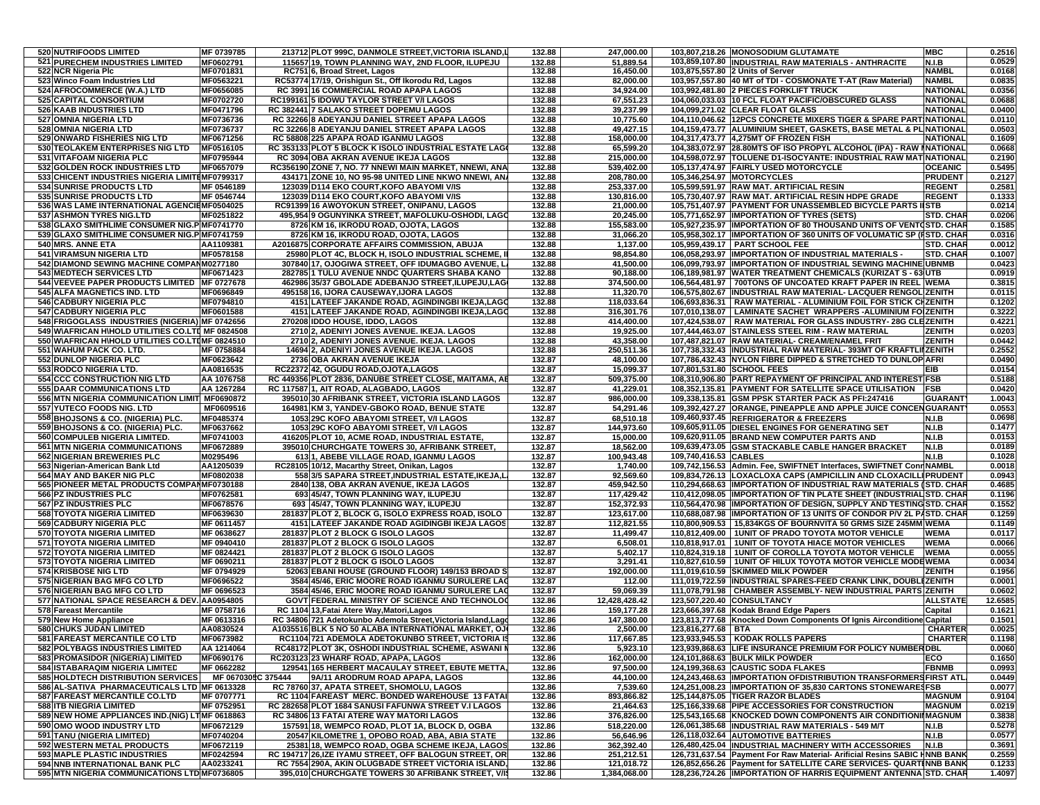| 520 NUTRIFOODS LIMITED                                                                            | MF 0739785               | 213712 PLOT 999C, DANMOLE STREET, VICTORIA ISLAND, L                                                                 | 132.88           | 247,000.00               |                            | 103,807,218.26 MONOSODIUM GLUTAMATE                                                                                                     | <b>MBC</b>                         | 0.2516           |
|---------------------------------------------------------------------------------------------------|--------------------------|----------------------------------------------------------------------------------------------------------------------|------------------|--------------------------|----------------------------|-----------------------------------------------------------------------------------------------------------------------------------------|------------------------------------|------------------|
| <b>521 PURECHEM INDUSTRIES LIMITED</b><br>522 NCR Nigeria Plc                                     | MF0602791<br>MF0701831   | 115657 19, TOWN PLANNING WAY, 2ND FLOOR, ILUPEJU                                                                     | 132.88<br>132.88 | 51,889.54<br>16,450.00   |                            | 103,859,107.80 INDUSTRIAL RAW MATERIALS - ANTHRACITE                                                                                    | <b>N.I.B</b><br><b>NAMBL</b>       | 0.0529<br>0.0168 |
| 523 Winco Foam Industries Ltd                                                                     | MF0563221                | RC751 6, Broad Street, Lagos<br>RC53774 17/19, Orishigun St., Off Ikorodu Rd, Lagos                                  | 132.88           | 82,000.00                |                            | 103,875,557.80 2 Units of Server<br>103,957,557.80 40 MT of TDI - COSMONATE T-AT (Raw Material)                                         | <b>NAMBL</b>                       | 0.0835           |
| 524 AFROCOMMERCE (W.A.) LTD                                                                       | MF0656085                | RC 3991 16 COMMERCIAL ROAD APAPA LAGOS                                                                               | 132.88           | 34,924.00                |                            | 103,992,481.80 2 PIECES FORKLIFT TRUCK                                                                                                  | <b>NATIONAL</b>                    | 0.0356           |
| 525 CAPITAL CONSORTIUM<br><b>526 KAAB INDUSTRIES LTD</b>                                          | MF0702720<br>MF0471796   | RC199161 5 IDOWU TAYLOR STREET V/I LAGOS<br>RC 382441 7 SALAKO STREET DOPEMU LAGOS                                   | 132.88<br>132.88 | 67,551.23<br>39,237.99   |                            | 104,060,033.03 10 FCL FLOAT PACIFIC/OBSCURED GLASS<br>104,099,271.02 CLEAR FLOAT GLASS                                                  | <b>NATIONAL</b><br><b>NATIONAL</b> | 0.0688<br>0.0400 |
| 527 OMNIA NIGERIA LTD                                                                             | MF0736736                | RC 32266 8 ADEYANJU DANIEL STREET APAPA LAGOS                                                                        | 132.88           | 10,775.60                |                            | 104,110,046.62 12PCS CONCRETE MIXERS TIGER & SPARE PARTINATIONAL                                                                        |                                    | 0.0110           |
| 528 OMNIA NIGERIA LTD                                                                             | MF0736737                | RC 32266 8 ADEYANJU DANIEL STREET APAPA LAGOS                                                                        | 132.88           | 49,427.15                |                            | 104,159,473.77 ALUMINIUM SHEET, GASKETS, BASE METAL & PL NATIONAL                                                                       |                                    | 0.0503           |
| 529 ONWARD FISHERIES NIG LTD<br>530 TEOLAKEM ENTERPRISES NIG LTD                                  | MF0671256<br>MF0516105   | RC 58808 225 APAPA ROAD IGANMU LAGOS<br>RC 353133 PLOT 5 BLOCK K ISOLO INDUSTRIAL ESTATE LAGO                        | 132.88<br>132.88 | 158,000.00<br>65,599.20  |                            | 104,317,473.77 4,275MT OF FROZEN FISH<br>104,383,072.97 28.80MTS OF ISO PROPYL ALCOHOL (IPA) - RAW INATIONAL                            | <b>NATIONAL</b>                    | 0.1609<br>0.0668 |
| <b>531 VITAFOAM NIGERIA PLC</b>                                                                   | MF0795944                | RC 3094 OBA AKRAN AVENUE IKEJA LAGOS                                                                                 | 132.88           | 215,000.00               |                            | 104,598,072.97  TOLUENE D1-ISOCYANTE: INDUSTRIAL RAW MAT NATIONAL                                                                       |                                    | 0.2190           |
| 532 GOLDEN ROCK INDUSTRIES LTD                                                                    | MF0657079                | RC356190 ZONE 7, NO. 77 NNEWI MAIN MARKET, NNEWI, ANA                                                                | 132.88           | 539,402.00               |                            | 105,137,474.97 FAIRLY USED MOTORCYCLE                                                                                                   | <b>OCEANIC</b>                     | 0.5495           |
| 533 CHICENT INDUSTRIES NIGERIA LIMITEMF0799317<br><b>534 SUNRISE PRODUCTS LTD</b>                 | MF 0546189               | 434171 ZONE 10, NO 95-98 UNITED LINE NKWO NNEWI, AN.<br>123039 D114 EKO COURT, KOFO ABAYOMI V/IS                     | 132.88<br>132.88 | 208,780.00<br>253,337.00 | 105,346,254.97 MOTORCYCLES | 105,599,591.97 RAW MAT. ARTIFICIAL RESIN                                                                                                | <b>PRUDENT</b><br><b>REGENT</b>    | 0.2127<br>0.2581 |
| <b>535 SUNRISE PRODUCTS LTD</b>                                                                   | MF 0546744               | 123039 D114 EKO COURT, KOFO ABAYOMI V/IS                                                                             | 132.88           | 130,816.00               |                            | 105,730,407.97 RAW MAT. ARTIFICIAL RESIN HDPE GRADE                                                                                     | <b>REGENT</b>                      | 0.1333           |
| 536 WAS LAME INTERNATIONAL AGENCIEMF0504025                                                       |                          | RC91399 16 AWOYOKUN STREET, ONIPANU, LAGOS                                                                           | 132.88           | 21,000.00                |                            | 105,751,407.97 PAYMENT FOR UNASSEMBLED BICYCLE PARTS                                                                                    | <b>STB</b>                         | 0.0214           |
| 537 ASHMON TYRES NIG.LTD<br>538 GLAXO SMITHLIME CONSUMER NIG. PMF0741770                          | MF0251822                | 495,954 9 OGUNYINKA STREET, MAFOLUKU-OSHODI, LAGO<br>8726 KM 16, IKRODU ROAD, OJOTA, LAGOS                           | 132.88<br>132.88 | 20,245.00<br>155,583.00  |                            | 105,771,652.97 IMPORTATION OF TYRES (SETS)<br>105,927,235.97 IMPORTATION OF 80 THOUSAND UNITS OF VENTOSTD. CHAR                         | <b>STD. CHAF</b>                   | 0.0206<br>0.1585 |
| 539 GLAXO SMITHLIME CONSUMER NIG.P MF0741759                                                      |                          | 8726 KM 16, IKRODU ROAD, OJOTA, LAGOS                                                                                | 132.88           | 31,066.20                |                            | 105,958,302.17  IMPORTATION OF 360 UNITS OF VOLUMATIC SP (FSTD. CHAR                                                                    |                                    | 0.0316           |
| 540 MRS. ANNE ETA                                                                                 | AA1109381                | A2016875 CORPORATE AFFAIRS COMMISSION, ABUJA                                                                         | 132.88           | 1,137.00                 |                            | 105,959,439.17 PART SCHOOL FEE                                                                                                          | <b>STD. CHAF</b>                   | 0.0012           |
| <b>541 VIRAMSUN NIGERIA LTD</b><br>542 DIAMOND SEWING MACHINE COMPANM0277180                      | MF0578158                | 25980 PLOT 4C, BLOCK H, ISOLO INDUSTRIAL SCHEME, I<br>307840 17, OJOGIWA STREET, OFF IDUMAGBO AVENUE,                | 132.88<br>132.88 | 98,854.80<br>41,500.00   |                            | 106,058,293.97 IMPORTATION OF INDUSTRIAL MATERIALS -<br>106,099,793.97 IMPORTATION OF INDUSTRIAL SEWING MACHINE UBNMB                   | <b>STD. CHAI</b>                   | 0.1007<br>0.0423 |
| <b>543 MEDTECH SERVICES LTD</b>                                                                   | MF0671423                | 282785 1 TULU AVENUE NNDC QUARTERS SHABA KANO                                                                        | 132.88           | 90,188.00                |                            | 106,189,981.97   WATER TREATMENT CHEMICALS (KURIZAT S - 63 UTB                                                                          |                                    | 0.0919           |
| 544 VEEVEE PAPER PRODUCTS LIMITED MF 0727678                                                      |                          | 462986 35/37 GBOLADE ADEBANJO STREET, ILUPEJU, LAG                                                                   | 132.88           | 374,500.00               |                            | 106,564,481.97   700TONS OF UNCOATED KRAFT PAPER IN REEL WEMA                                                                           |                                    | 0.3815           |
| 545 ALFA MAGNETICS IND. LTD<br><b>546 CADBURY NIGERIA PLC</b>                                     | MF0696849<br>MF0794810   | 495158 16, IJORA CAUSEWAY, IJORA LAGOS<br>4151 LATEEF JAKANDE ROAD, AGINDINGBI IKEJA,LAGO                            | 132.88<br>132.88 | 11,320.70<br>118,033.64  |                            | 106,575,802.67  INDUSTRIAL RAW MATERIAL- LACQUER RENGOL ZENITH<br>106.693.836.31   RAW MATERIAL - ALUMINIUM FOIL FOR STICK CHZENITH     |                                    | 0.0115<br>0.1202 |
| <b>547 CADBURY NIGERIA PLC</b>                                                                    | MF0601588                | 4151 LATEEF JAKANDE ROAD, AGINDINGBI IKEJA,LAGO                                                                      | 132.88           | 316,301.76               |                            | 107,010,138.07   LAMINATE SACHET WRAPPERS -ALUMINIUM FO ZENITH                                                                          |                                    | 0.3222           |
| 548 FRIGOGLASS INDUSTRIES (NIGERIA) MF 0742656<br>549 WAFRICAN H\HOLD UTILITIES CO.LTI MF 0824508 |                          | 270208 IDDO HOUSE, IDDO, LAGOS                                                                                       | 132.88<br>132.88 | 414,400.00<br>19,925.00  |                            | 107,424,538.07   RAW MATERIAL FOR GLASS INDUSTRY- 28G CLEZENITH                                                                         | ZENITH                             | 0.4221<br>0.0203 |
| 550 WAFRICAN H\HOLD UTILITIES CO.LTIMF 0824510                                                    |                          | 2710 2, ADENIYI JONES AVENUE. IKEJA. LAGOS<br>2710 2, ADENIYI JONES AVENUE. IKEJA. LAGOS                             | 132.88           | 43,358.00                |                            | 107,444,463.07 STAINLESS STEEL RIM - RAW MATERIAL<br>107,487,821.07 RAW MATERIAL- CREAM/ENAMEL FRIT                                     | ZENITH                             | 0.0442           |
| 551 WAHUM PACK CO. LTD.                                                                           | MF 0758884               | 14694 2, ADENIYI JONES AVENUE IKEJA. LAGOS                                                                           | 132.88           | 250,511.36               |                            | 107,738,332.43  INDUSTRIAL RAW MATERIAL-393MT OF KRAFTLIIZENITH                                                                         |                                    | 0.2552           |
| 552 DUNLOP NIGERIA PLC<br>553 RODCO NIGERIA LTD.                                                  | MF0623642<br>AA0816535   | 2736 OBA AKRAN AVENUE IKEJA<br>RC22372 42, OGUDU ROAD, OJOTA, LAGOS                                                  | 132.87<br>132.87 | 48,100.00<br>15,099.37   | 107,801,531.80 SCHOOL FEES | 107,786,432.43 NYLON FIBRE DIPPED & STRETCHED TO DUNLOP AFRI                                                                            | EIB                                | 0.0490<br>0.0154 |
| 554 CCC CONSTRUCTION NIG LTD                                                                      | AA 1076758               | RC 449356 PLOT 2836, DANUBE STREET CLOSE, MAITAMA, AE                                                                | 132.87           | 509,375.00               |                            | 108,310,906.80 PART REPAYMENT OF PRINCIPAL AND INTEREST FSB                                                                             |                                    | 0.5188           |
| 555 DAAR COMMUNICATIONS LTD                                                                       | AA 1267284               | RC 1175871. AIT ROAD. ALAGBADO. LAGOS                                                                                | 132.87           | 41,229.01                |                            | 108,352,135.81 PAYMENT FOR SATELLITE SPACE UTILISATION                                                                                  | <b>FSB</b>                         | 0.0420           |
| 556 MTN NIGERIA COMMUNICATION LIMIT MF0690872<br>557 YUTECO FOODS NIG. LTD                        | MF0609516                | 395010 30 AFRIBANK STREET, VICTORIA ISLAND LAGOS<br>164981 KM 3, YANDEV-GBOKO ROAD, BENUE STATE                      | 132.87<br>132.87 | 986,000.00<br>54,291.46  |                            | 109,338,135.81 GSM PPSK STARTER PACK AS PFI:247416<br>109,392,427.27 ORANGE, PINEAPPLE AND APPLE JUICE CONCENGUARANT                    | <b>GUARANT</b>                     | 1.0043<br>0.0553 |
| 558 BHOJSONS & CO. (NIGERIA) PLC.                                                                 | MF0485374                | 1053 29C KOFO ABAYOMI STREET. V/I LAGOS                                                                              | 132.87           | 68.510.18                |                            | 109,460,937.45 REFRIGERATOR & FREEZERS                                                                                                  | <b>N.I.B</b>                       | 0.0698           |
| 559 BHOJSONS & CO. (NIGERIA) PLC.                                                                 | MF0637662                | 1053 29C KOFO ABAYOMI STREET, V/I LAGOS                                                                              | 132.87           | 144,973.60               |                            | 109,605,911.05 DIESEL ENGINES FOR GENERATING SET                                                                                        | N.I.B                              | 0.1477           |
| 560 COMPULEB NIGERIA LIMITED.<br><b>561 MTN NIGERIA COMMUNICATIONS</b>                            | MF0741003<br>MF0672889   | 416205 PLOT 10, ACME ROAD, INDUSTRIAL ESTATE<br>395010 CHURCHGATE TOWERS 30, AFRIBANK STREET,                        | 132.87<br>132.87 | 15,000.00<br>18,562.00   |                            | 109,620,911.05 BRAND NEW COMPUTER PARTS AND<br>109,639,473.05 GSM STACKABLE CABLE HANGER BRACKET                                        | N.I.B<br><b>N.I.B</b>              | 0.0153<br>0.0189 |
| 562 NIGERIAN BREWERIES PLC                                                                        | M0295496                 | 6131, ABEBE VILLAGE ROAD, IGANMU LAGOS                                                                               | 132.87           | 100,943.48               | 109,740,416.53 CABLES      |                                                                                                                                         | <b>N.I.B</b>                       | 0.1028           |
| 563 Nigerian-American Bank Ltd                                                                    | AA1205039                | RC28105 10/12, Macarthy Street, Onikan, Lagos                                                                        | 132.87           | 1,740.00                 |                            | 109,742,156.53 Admin. Fee, SWIFTNET Interfaces, SWIFTNET ConnNAMBL                                                                      |                                    | 0.0018           |
| 564 MAY AND BAKER NIG PLC<br>565 PIONEER METAL PRODUCTS COMPANMF0730188                           | MF0802038                | 558 3/5 SAPARA STREET, INDUSTRIAL ESTATE, IKEJA, L<br>2840 138, OBA AKRAN AVENUE, IKEJA LAGOS                        | 132.87<br>132.87 | 92,569.60<br>459,942.50  |                            | 109,834,726.13  LOXACLOXA CAPS (AMPICILLIN AND CLOXACILLI PRUDENT<br>110,294,668.63 IMPORTATION OF INDUSTRIAL RAW MATERIALS (STD. CHAR  |                                    | 0.0943<br>0.4685 |
| 566 PZ INDUSTRIES PLC                                                                             | MF0762581                | 693 45/47, TOWN PLANNING WAY, ILUPEJU                                                                                | 132.87           | 117,429.42               |                            | 110,412,098.05 IMPORTATION OF TIN PLATE SHEET (INDUSTRIAL STD. CHAR                                                                     |                                    | 0.1196           |
| 567 PZ INDUSTRIES PLC                                                                             | MF0678576                | 693 45/47, TOWN PLANNING WAY, ILUPEJU                                                                                | 132.87           | 152,372.93               |                            | 110,564,470.98 IMPORTATION OF DESIGN, SUPPLY AND TESTING STD. CHAP                                                                      |                                    | 0.1552           |
| 568 TOYOTA NIGERIA LIMITED<br>569 CADBURY NIGERIA PLC                                             | MF0639630<br>MF 0611457  | 281837 PLOT 2, BLOCK G, ISOLO EXPRESS ROAD, ISOLO<br>4151 LATEEF JAKANDE ROAD AGIDINGBI IKEJA LAGOS                  | 132.87<br>132.87 | 123,617.00<br>112,821.55 |                            | 110,688,087.98  IMPORTATION OF 13 UNITS OF CONDOR P/V 2L PASTD. CHAP<br>110,800,909.53   15,834KGS OF BOURNVITA 50 GRMS SIZE 245MM WEMA |                                    | 0.1259<br>0.1149 |
| <b>570 TOYOTA NIGERIA LIMITED</b>                                                                 | MF 0638627               | 281837 PLOT 2 BLOCK G ISOLO LAGOS                                                                                    | 132.87           | 11,499.47                |                            | 110,812,409.00   1UNIT OF PRADO TOYOTA MOTOR VEHICLE                                                                                    | <b>WEMA</b>                        | 0.0117           |
| <b>571 TOYOTA NIGERIA LIMITED</b><br><b>572 TOYOTA NIGERIA LIMITED</b>                            | MF 0940410<br>MF 0824421 | 281837 PLOT 2 BLOCK G ISOLO LAGOS<br>281837 PLOT 2 BLOCK G ISOLO LAGOS                                               | 132.87<br>132.87 | 6,508.01<br>5,402.17     |                            | 110,818,917.01 1UNIT OF TOYOTA HIACE MOTOR VEHICLES<br>110,824,319.18   1UNIT OF COROLLA TOYOTA MOTOR VEHICLE                           | <b>WEMA</b><br><b>WEMA</b>         | 0.0066<br>0.0055 |
| 573 TOYOTA NIGERIA LIMITED                                                                        | MF 0690211               | 281837 PLOT 2 BLOCK G ISOLO LAGOS                                                                                    | 132.87           | 3,291.41                 |                            | 110,827,610.59   1UNIT OF HILUX TOYOTA MOTOR VEHICLE MODEWEMA                                                                           |                                    | 0.0034           |
| 574 KRISBOSE NIG LTD                                                                              | MF 0794929               | 52063 EBANI HOUSE (GROUND FLOOR) 149/153 BROAD S                                                                     | 132.87           | 192,000.00               |                            | 111,019,610.59 SKIMMED MILK POWDER                                                                                                      | ZENITH                             | 0.1956           |
| 575 NIGERIAN BAG MFG CO LTD<br>576 NIGERIAN BAG MFG CO LTD                                        | MF0696522<br>MF 0696523  | 3584 45/46, ERIC MOORE ROAD IGANMU SURULERE LAG<br>3584 45/46, ERIC MOORE ROAD IGANMU SURULERE LAC                   | 132.87<br>132.87 | 112.00<br>59,069.39      |                            | 111,019,722.59 INDUSTRIAL SPARES-FEED CRANK LINK, DOUBLEZENITH<br>111,078,791.98 CHAMBER ASSEMBLY- NEW INDUSTRIAL PARTS ZENITH          |                                    | 0.0001<br>0.0602 |
| 577 NATIONAL SPACE RESEARCH & DEV. AA0954805                                                      |                          | GOVT FEDERAL MINISTRY OF SCIENCE AND TECHNOLOG                                                                       | 132.86           | 12,428,428.42            | 123,507,220.40 CONSULTANCY |                                                                                                                                         | <b>ALLSTATE</b>                    | 12.6585          |
| 578 Fareast Mercantile                                                                            | MF 0758716               | RC 1104 13, Fatai Atere Way, Matori, Lagos                                                                           | 132.86           | 159, 177.28              |                            | 123,666,397.68 Kodak Brand Edge Papers                                                                                                  | Capital                            | 0.1621           |
| 579 New Home Appliance<br><b>580 CHUKS JUDAN LIMITED</b>                                          | MF 0613316<br>AA0830524  | RC 34806 721 Adetokunbo Ademola Street, Victoria Island, Lago<br>A1035516 BLK 5 NO 50 ALABA INTERNATIONAL MARKET, OJ | 132.86<br>132.86 | 147,380.00<br>2,500.00   | 123,816,277.68 BTA         | 123,813,777.68 Knocked Down Components Of Ignis Airconditione Capital                                                                   | <b>CHARTER</b>                     | 0.1501<br>0.0025 |
| 581 FAREAST MERCANTILE CO LTD                                                                     | MF0673982                | RC1104 721 ADEMOLA ADETOKUNBO STREET, VICTORIA IS                                                                    | 132.86           | 117,667.85               |                            | 123,933,945.53   KODAK ROLLS PAPERS                                                                                                     | <b>CHARTER</b>                     | 0.1198           |
| 582 POLYBAGS INDUSTRIES LIMITED                                                                   | AA 1214064               | RC48172 PLOT 3K, OSHODI INDUSTRIAL SCHEME, ASWANI I                                                                  | 132.86           | 5,923.10                 |                            | 123,939,868.63 LIFE INSURANCE PREMIUM FOR POLICY NUMBER DBL                                                                             |                                    | 0.0060           |
| 583 PROMASIDOR (NIGERIA) LIMITED<br>584 ISTABARAQIM NIGERIA LIMITED                               | MF0690176<br>MF 0662282  | RC203123 23 WHARF ROAD, APAPA, LAGOS<br>129541 165 HERBERT MACAULAY STREET, EBUTE METTA                              | 132.86<br>132.86 | 162,000.00<br>97,500.00  |                            | 124,101,868.63 BULK MILK POWDER<br>124,199,368.63 CAUSTIC SODA FLAKES                                                                   | ECO<br><b>FBNMB</b>                | 0.1650<br>0.0993 |
| <b>585 HOLDTECH DISTRIBUTION SERVICES  </b>                                                       | MF 0670305C 375444       | 9A/11 ARODRUM ROAD APAPA, LAGOS                                                                                      | 132.86           | 44,100.00                |                            | 124,243,468.63 IMPORTATION OFDISTRIBUTION TRANSFORMERSFIRST ATL                                                                         |                                    | 0.0449           |
| 586 AL-SATIVA PHARMACEUTICALS LTD MF 0613328                                                      |                          | RC 78760 37, APATA STREET, SHOMOLU, LAGOS                                                                            | 132.86           | 7,539.60                 |                            | 124,251,008.23 IMPORTATION OF 35,830 CARTONS STONEWARESFSB                                                                              |                                    | 0.0077           |
| 587 FAREAST MERCANTILE CO.LTD<br>588 ITB NIEGRIA LIMITED                                          | MF 0707771<br>MF 0752951 | RC 1104 FAREAST MERC. BONDED WAREHOUSE 13 FATAL<br>RC 282658 PLOT 1684 SANUSI FAFUNWA STREET V.I LAGOS               | 132.86<br>132.86 | 893,866.82<br>21.464.63  |                            | 125,144,875.05 TIGER RAZOR BLADES<br>125,166,339.68 PIPE ACCESSORIES FOR CONSTRUCTION                                                   | <b>MAGNUM</b><br><b>MAGNUM</b>     | 0.9104<br>0.0219 |
| 589 NEW HOME APPLIANCES IND.(NIG) LTMF 0618863                                                    |                          | RC 34806 13 FATAI ATERE WAY MATORI LAGOS                                                                             | 132.86           | 376.826.00               |                            | 125,543,165.68 KNOCKED DOWN COMPONENTS AIR CONDITIONI MAGNUM                                                                            |                                    | 0.3838           |
| 590 OMO WOOD INDUSTRY LTD                                                                         | MF0672129                | 157591 18, WEMPCO ROAD, PLOT 1A, BLOCK D, OGBA                                                                       | 132.86           | 518,220.00               |                            | 126,061,385.68 INDUSTRIAL RAW MATERIALS - 549 M/T                                                                                       | <b>N.I.B</b>                       | 0.5278           |
| 591 TANU (NIGERIA LIMITED)<br>592 WESTERN METAL PRODUCTS                                          | MF0740204<br>MF0672119   | 20547 KILOMETRE 1, OPOBO ROAD, ABA, ABIA STATE<br>2538118. WEMPCO ROAD, OGBA SCHEME IKEJA, LAGOS                     | 132.86<br>132.86 | 56,646.96<br>362,392.40  |                            | 126,118,032.64 AUTOMOTIVE BATTERIES<br>126,480,425.04 INDUSTRIAL MACHINERY WITH ACCESSORIES                                             | N.I.B<br>N.I.B                     | 0.0577<br>0.3691 |
| 593 MAPLE PLASTIC INDUSTRIES                                                                      | MF0242594                | RC 194717 26, IZE IYAMU STREET, OFF BALOGUN STREET, ORI                                                              | 132.86           | 251,212.51               |                            | 126,731,637.54 Payment For Raw Material- Arificial Resins SABIC HNNB BANK                                                               |                                    | 0.2559           |
| <b>594 NNB INTERNATIONAL BANK PLC</b>                                                             | AA0233241                | RC 7554 290A, AKIN OLUGBADE STREET VICTORIA ISLAND,                                                                  | 132.86           | 121,018.72               |                            | 126,852,656.26 Payment for SATELLITE CARE SERVICES- QUARTINNB BANK                                                                      |                                    | 0.1233           |
| 595 MTN NIGERIA COMMUNICATIONS LTD MF0736805                                                      |                          | 395,010 CHURCHGATE TOWERS 30 AFRIBANK STREET, V/IS                                                                   | 132.86           | 1,384,068.00             |                            | 128,236,724.26   IMPORTATION OF HARRIS EQUIPMENT ANTENNA STD. CHAR                                                                      |                                    | 1.4097           |